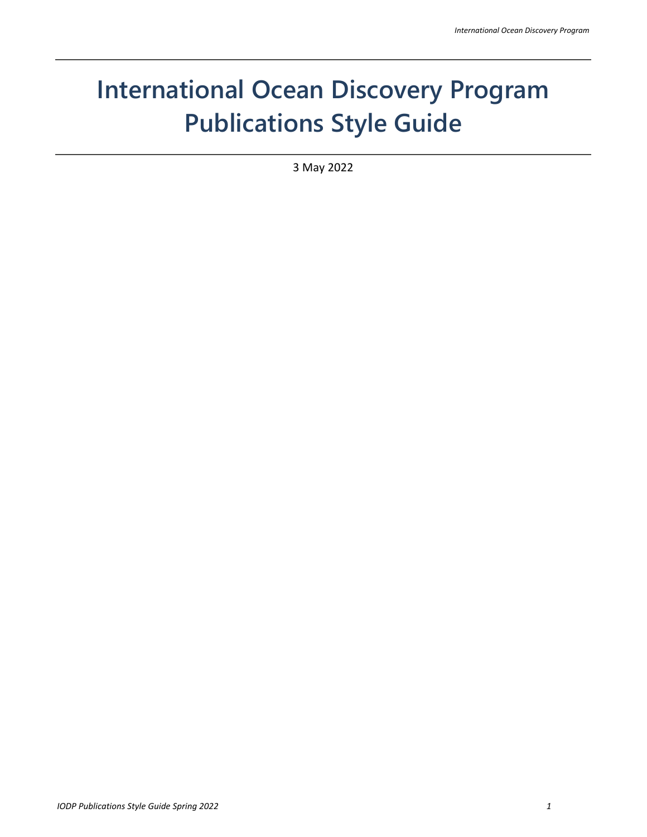# **International Ocean Discovery Program Publications Style Guide**

3 May 2022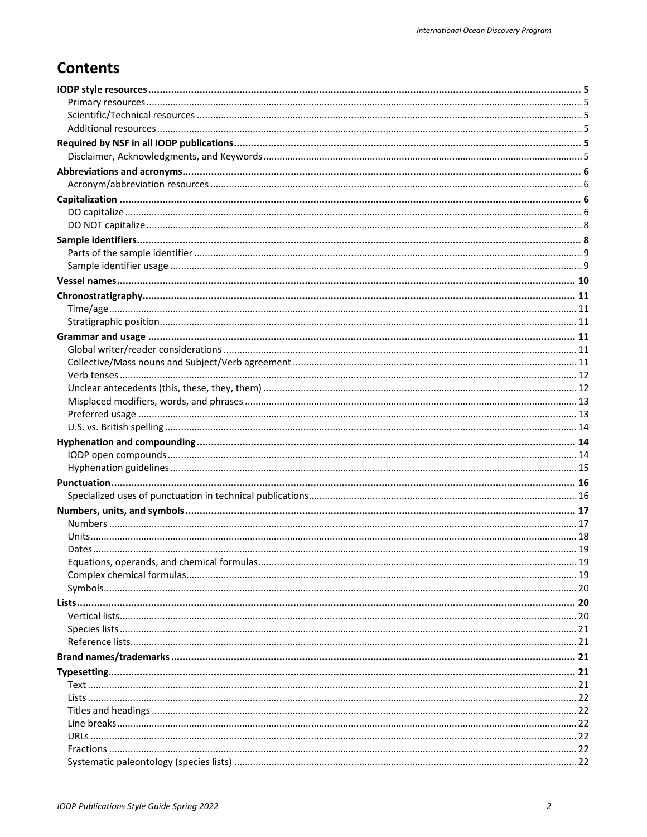# **Contents**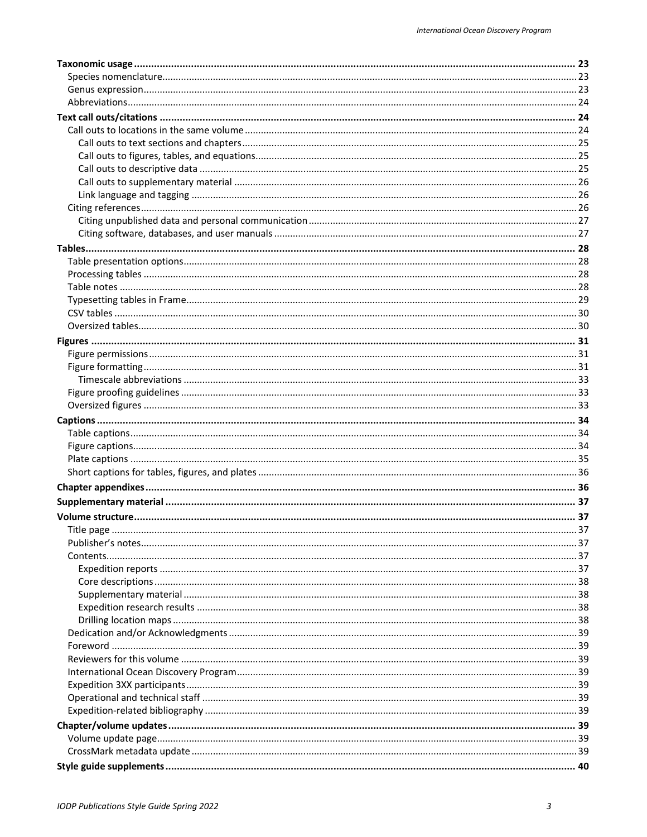| Title nage |  |
|------------|--|
|            |  |
|            |  |
|            |  |
|            |  |
|            |  |
|            |  |
|            |  |
|            |  |
|            |  |
|            |  |
|            |  |
|            |  |
|            |  |
|            |  |
|            |  |
|            |  |
|            |  |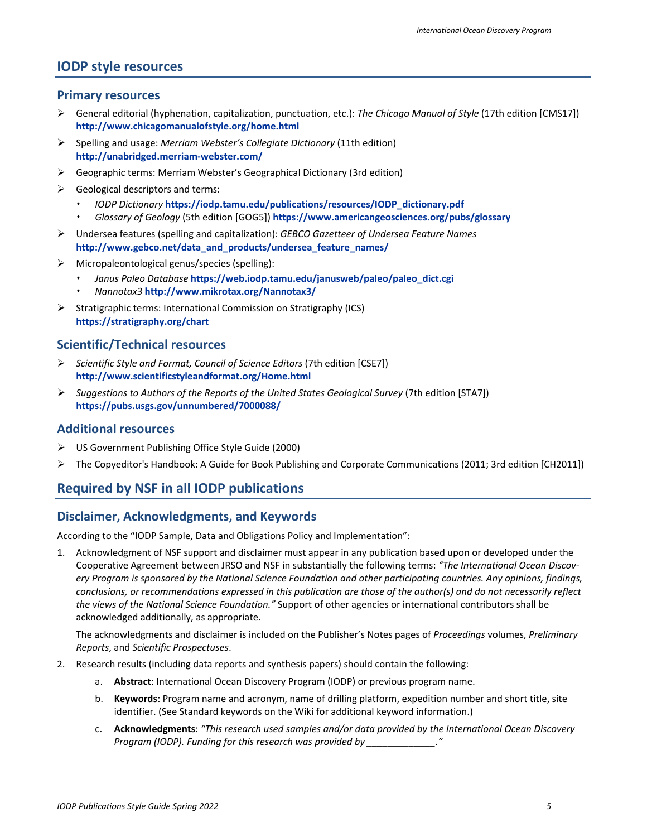### <span id="page-4-0"></span>**IODP style resources**

#### <span id="page-4-1"></span>**Primary resources**

- General editorial (hyphenation, capitalization, punctuation, etc.): *The Chicago Manual of Style* (17th edition [CMS17]) **<http://www.chicagomanualofstyle.org/home.html>**
- Spelling and usage: *Merriam Webster's Collegiate Dictionary* (11th edition) **<http://unabridged.merriam-webster.com/>**
- Geographic terms: Merriam Webster's Geographical Dictionary (3rd edition)
- $\triangleright$  Geological descriptors and terms:
	- *IODP Dictionary* **[https://iodp.tamu.edu/publications/resources/IODP\\_dictionary.pdf](https://iodp.tamu.edu/publications/resources/IODP_dictionary.pdf)**
	- *Glossary of Geology* (5th edition [GOG5]) **<https://www.americangeosciences.org/pubs/glossary>**
- Undersea features (spelling and capitalization): *GEBCO Gazetteer of Undersea Feature Names* **[http://www.gebco.net/data\\_and\\_products/undersea\\_feature\\_names/](http://www.gebco.net/data_and_products/undersea_feature_names/)**
- $\triangleright$  Micropaleontological genus/species (spelling):
	- *Janus Paleo Database* **[https://web.iodp.tamu.edu/janusweb/paleo/paleo\\_dict.cgi](https://web.iodp.tamu.edu/janusweb/paleo/paleo_dict.cgi)**
	- *Nannotax3* **<http://www.mikrotax.org/Nannotax3/>**
- $\triangleright$  Stratigraphic terms: International Commission on Stratigraphy (ICS) **<https://stratigraphy.org/chart>**

### <span id="page-4-2"></span>**Scientific/Technical resources**

- *Scientific Style and Format, Council of Science Editors* (7th edition [CSE7]) **<http://www.scientificstyleandformat.org/Home.html>**
- *Suggestions to Authors of the Reports of the United States Geological Survey* (7th edition [STA7]) **<https://pubs.usgs.gov/unnumbered/7000088/>**

#### <span id="page-4-3"></span>**Additional resources**

- US Government Publishing Office Style Guide (2000)
- $\triangleright$  The Copyeditor's Handbook: A Guide for Book Publishing and Corporate Communications (2011; 3rd edition [CH2011])

### <span id="page-4-4"></span>**Required by NSF in all IODP publications**

#### <span id="page-4-5"></span>**Disclaimer, Acknowledgments, and Keywords**

According to the "IODP Sample, Data and Obligations Policy and Implementation":

1. Acknowledgment of NSF support and disclaimer must appear in any publication based upon or developed under the Cooperative Agreement between JRSO and NSF in substantially the following terms: *"The International Ocean Discovery Program is sponsored by the National Science Foundation and other participating countries. Any opinions, findings, conclusions, or recommendations expressed in this publication are those of the author(s) and do not necessarily reflect the views of the National Science Foundation."* Support of other agencies or international contributors shall be acknowledged additionally, as appropriate.

The acknowledgments and disclaimer is included on the Publisher's Notes pages of *Proceedings* volumes, *Preliminary Reports*, and *Scientific Prospectuses*.

- 2. Research results (including data reports and synthesis papers) should contain the following:
	- a. **Abstract**: International Ocean Discovery Program (IODP) or previous program name.
	- b. **Keywords**: Program name and acronym, name of drilling platform, expedition number and short title, site identifier. (See Standard keywords on the Wiki for additional keyword information.)
	- c. **Acknowledgments**: *"This research used samples and/or data provided by the International Ocean Discovery Program (IODP). Funding for this research was provided by \_\_\_\_\_\_\_\_\_\_\_\_\_."*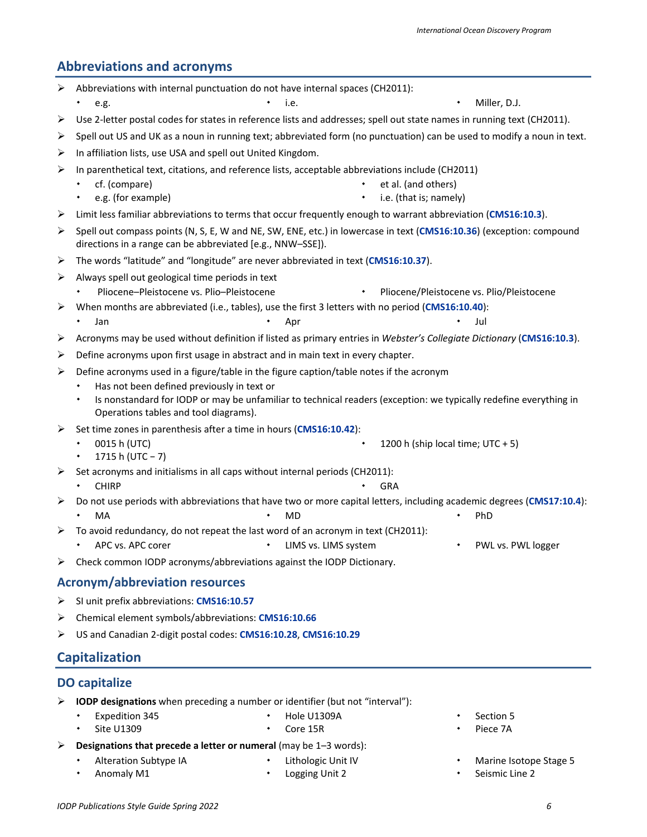# <span id="page-5-0"></span>**Abbreviations and acronyms**

| ⋗ | Abbreviations with internal punctuation do not have internal spaces (CH2011):                                                                                                                            |  |  |  |  |
|---|----------------------------------------------------------------------------------------------------------------------------------------------------------------------------------------------------------|--|--|--|--|
|   | e.g.<br>Miller, D.J.                                                                                                                                                                                     |  |  |  |  |
| ➤ | Use 2-letter postal codes for states in reference lists and addresses; spell out state names in running text (CH2011).                                                                                   |  |  |  |  |
| ➤ | Spell out US and UK as a noun in running text; abbreviated form (no punctuation) can be used to modify a noun in text.                                                                                   |  |  |  |  |
| ⋗ | In affiliation lists, use USA and spell out United Kingdom.                                                                                                                                              |  |  |  |  |
| ≻ | In parenthetical text, citations, and reference lists, acceptable abbreviations include (CH2011)                                                                                                         |  |  |  |  |
|   | cf. (compare)<br>et al. (and others)                                                                                                                                                                     |  |  |  |  |
|   | e.g. (for example)<br>i.e. (that is; namely)                                                                                                                                                             |  |  |  |  |
| ➤ | Limit less familiar abbreviations to terms that occur frequently enough to warrant abbreviation (CMS16:10.3).                                                                                            |  |  |  |  |
| ➤ | Spell out compass points (N, S, E, W and NE, SW, ENE, etc.) in lowercase in text (CMS16:10.36) (exception: compound<br>directions in a range can be abbreviated [e.g., NNW-SSE]).                        |  |  |  |  |
| ➤ | The words "latitude" and "longitude" are never abbreviated in text (CMS16:10.37).                                                                                                                        |  |  |  |  |
| ➤ | Always spell out geological time periods in text                                                                                                                                                         |  |  |  |  |
|   | Pliocene-Pleistocene vs. Plio-Pleistocene<br>Pliocene/Pleistocene vs. Plio/Pleistocene                                                                                                                   |  |  |  |  |
| ➤ | When months are abbreviated (i.e., tables), use the first 3 letters with no period (CMS16:10.40):                                                                                                        |  |  |  |  |
|   | Jan<br>Apr<br>Jul                                                                                                                                                                                        |  |  |  |  |
| ➤ | Acronyms may be used without definition if listed as primary entries in Webster's Collegiate Dictionary (CMS16:10.3).                                                                                    |  |  |  |  |
| ➤ | Define acronyms upon first usage in abstract and in main text in every chapter.                                                                                                                          |  |  |  |  |
| ≻ | Define acronyms used in a figure/table in the figure caption/table notes if the acronym                                                                                                                  |  |  |  |  |
|   | Has not been defined previously in text or<br>Is nonstandard for IODP or may be unfamiliar to technical readers (exception: we typically redefine everything in<br>Operations tables and tool diagrams). |  |  |  |  |
| ⋗ | Set time zones in parenthesis after a time in hours (CMS16:10.42):                                                                                                                                       |  |  |  |  |
|   | 0015 h (UTC)<br>1200 h (ship local time; UTC + 5)<br>1715 h (UTC - 7)<br>٠                                                                                                                               |  |  |  |  |
| ⋗ | Set acronyms and initialisms in all caps without internal periods (CH2011):                                                                                                                              |  |  |  |  |
|   | <b>CHIRP</b><br><b>GRA</b>                                                                                                                                                                               |  |  |  |  |
| ➤ | Do not use periods with abbreviations that have two or more capital letters, including academic degrees (CMS17:10.4):                                                                                    |  |  |  |  |
|   | MA<br>PhD<br>MD                                                                                                                                                                                          |  |  |  |  |
| ➤ | To avoid redundancy, do not repeat the last word of an acronym in text (CH2011):                                                                                                                         |  |  |  |  |
|   | APC vs. APC corer<br>LIMS vs. LIMS system<br>PWL vs. PWL logger                                                                                                                                          |  |  |  |  |
| ➤ | Check common IODP acronyms/abbreviations against the IODP Dictionary.                                                                                                                                    |  |  |  |  |
|   | <b>Acronym/abbreviation resources</b>                                                                                                                                                                    |  |  |  |  |
| ➤ | SI unit prefix abbreviations: CMS16:10.57                                                                                                                                                                |  |  |  |  |
| ➤ | Chemical element symbols/abbreviations: CMS16:10.66                                                                                                                                                      |  |  |  |  |

<span id="page-5-1"></span>US and Canadian 2-digit postal codes: **[CMS16:10.28](http://www.chicagomanualofstyle.org/16/ch10/ch10_sec028.html)**, **[CMS16:10.29](http://www.chicagomanualofstyle.org/16/ch10/ch10_sec029.html)**

# <span id="page-5-2"></span>**Capitalization**

### <span id="page-5-3"></span>**DO capitalize**

- **IODP designations** when preceding a number or identifier (but not "interval"):
	- Expedition 345
- $\cdot$  Hole U1309A

 $\cdot$  Site U1309

- Core 15R
- $\cdot$  Section 5  $\cdot$  Piece 7A
- **Designations that precede a letter or numeral** (may be 1–3 words):
	- Alteration Subtype IA
- Lithologic Unit IV
- Anomaly M1
- Logging Unit 2
- Marine Isotope Stage 5
- **\*** Seismic Line 2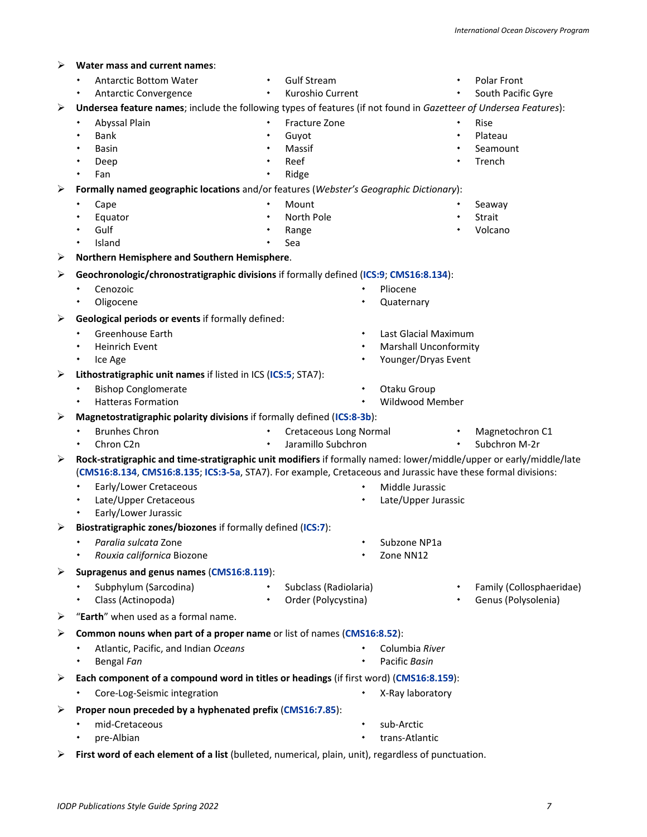| ⋗ | Water mass and current names:                                                                                                                                                                                                        |           |                               |                              |                          |
|---|--------------------------------------------------------------------------------------------------------------------------------------------------------------------------------------------------------------------------------------|-----------|-------------------------------|------------------------------|--------------------------|
|   | <b>Antarctic Bottom Water</b>                                                                                                                                                                                                        | ٠         | <b>Gulf Stream</b>            | ۰                            | Polar Front              |
|   | Antarctic Convergence                                                                                                                                                                                                                | ٠         | Kuroshio Current              |                              | South Pacific Gyre       |
| ➤ | Undersea feature names; include the following types of features (if not found in Gazetteer of Undersea Features):                                                                                                                    |           |                               |                              |                          |
|   | Abyssal Plain<br>٠                                                                                                                                                                                                                   | $\bullet$ | Fracture Zone                 | ٠                            | Rise                     |
|   | <b>Bank</b><br>٠                                                                                                                                                                                                                     | ٠         | Guyot                         | ٠                            | Plateau                  |
|   | Basin<br>٠                                                                                                                                                                                                                           | ٠         | Massif                        | $\bullet$                    | Seamount                 |
|   | ٠<br>Deep                                                                                                                                                                                                                            | ٠         | Reef                          |                              | Trench                   |
|   | Fan<br>٠                                                                                                                                                                                                                             | ۰         | Ridge                         |                              |                          |
| ➤ | Formally named geographic locations and/or features (Webster's Geographic Dictionary):                                                                                                                                               |           |                               |                              |                          |
|   | Cape<br>٠                                                                                                                                                                                                                            | ٠         | Mount<br>North Pole           | ٠                            | Seaway<br>Strait         |
|   | Equator<br>Gulf<br>٠                                                                                                                                                                                                                 |           | Range                         |                              | Volcano                  |
|   | Island<br>٠                                                                                                                                                                                                                          |           | Sea                           |                              |                          |
| ➤ | Northern Hemisphere and Southern Hemisphere.                                                                                                                                                                                         |           |                               |                              |                          |
| ➤ | Geochronologic/chronostratigraphic divisions if formally defined (ICS:9; CMS16:8.134):                                                                                                                                               |           |                               |                              |                          |
|   | Cenozoic                                                                                                                                                                                                                             |           |                               | Pliocene                     |                          |
|   | Oligocene<br>٠                                                                                                                                                                                                                       |           |                               | Quaternary                   |                          |
| ➤ | Geological periods or events if formally defined:                                                                                                                                                                                    |           |                               |                              |                          |
|   | <b>Greenhouse Earth</b>                                                                                                                                                                                                              |           | ٠                             | Last Glacial Maximum         |                          |
|   | Heinrich Event<br>۰                                                                                                                                                                                                                  |           | ٠                             | <b>Marshall Unconformity</b> |                          |
|   | Ice Age<br>٠                                                                                                                                                                                                                         |           |                               | Younger/Dryas Event          |                          |
| ➤ | Lithostratigraphic unit names if listed in ICS (ICS:5; STA7):                                                                                                                                                                        |           |                               |                              |                          |
|   | <b>Bishop Conglomerate</b><br>٠                                                                                                                                                                                                      |           |                               | Otaku Group                  |                          |
|   | <b>Hatteras Formation</b><br>$\bullet$                                                                                                                                                                                               |           |                               | <b>Wildwood Member</b>       |                          |
| ➤ | Magnetostratigraphic polarity divisions if formally defined (ICS:8-3b):                                                                                                                                                              |           |                               |                              |                          |
|   | <b>Brunhes Chron</b><br>٠                                                                                                                                                                                                            |           | <b>Cretaceous Long Normal</b> | $\bullet$                    | Magnetochron C1          |
|   | Chron C <sub>2</sub> n                                                                                                                                                                                                               | ۰         | Jaramillo Subchron            | ٠                            | Subchron M-2r            |
| ➤ | Rock-stratigraphic and time-stratigraphic unit modifiers if formally named: lower/middle/upper or early/middle/late<br>(CMS16:8.134, CMS16:8.135; ICS:3-5a, STA7). For example, Cretaceous and Jurassic have these formal divisions: |           |                               |                              |                          |
|   |                                                                                                                                                                                                                                      |           |                               |                              |                          |
|   |                                                                                                                                                                                                                                      |           |                               |                              |                          |
|   | Early/Lower Cretaceous<br>٠                                                                                                                                                                                                          |           |                               | Middle Jurassic              |                          |
|   | Late/Upper Cretaceous<br>Early/Lower Jurassic<br>٠                                                                                                                                                                                   |           |                               | Late/Upper Jurassic          |                          |
| ➤ | Biostratigraphic zones/biozones if formally defined (ICS:7):                                                                                                                                                                         |           |                               |                              |                          |
|   | Paralia sulcata Zone                                                                                                                                                                                                                 |           |                               | Subzone NP1a                 |                          |
|   | Rouxia californica Biozone                                                                                                                                                                                                           |           |                               | Zone NN12                    |                          |
| ➤ | Supragenus and genus names (CMS16:8.119):                                                                                                                                                                                            |           |                               |                              |                          |
|   | Subphylum (Sarcodina)                                                                                                                                                                                                                |           | Subclass (Radiolaria)         |                              | Family (Collosphaeridae) |
|   | Class (Actinopoda)                                                                                                                                                                                                                   | $\bullet$ | Order (Polycystina)           |                              | Genus (Polysolenia)      |
| ➤ | "Earth" when used as a formal name.                                                                                                                                                                                                  |           |                               |                              |                          |
|   | Common nouns when part of a proper name or list of names (CMS16:8.52):                                                                                                                                                               |           |                               |                              |                          |
|   | Atlantic, Pacific, and Indian Oceans                                                                                                                                                                                                 |           |                               | Columbia River               |                          |
|   | Bengal Fan                                                                                                                                                                                                                           |           |                               | Pacific Basin                |                          |
| ➤ | Each component of a compound word in titles or headings (if first word) (CMS16:8.159):                                                                                                                                               |           |                               |                              |                          |
|   | Core-Log-Seismic integration                                                                                                                                                                                                         |           |                               | X-Ray laboratory             |                          |
| ➤ | Proper noun preceded by a hyphenated prefix (CMS16:7.85):                                                                                                                                                                            |           |                               |                              |                          |
|   | mid-Cretaceous                                                                                                                                                                                                                       |           |                               | sub-Arctic                   |                          |

**First word of each element of a list** (bulleted, numerical, plain, unit), regardless of punctuation.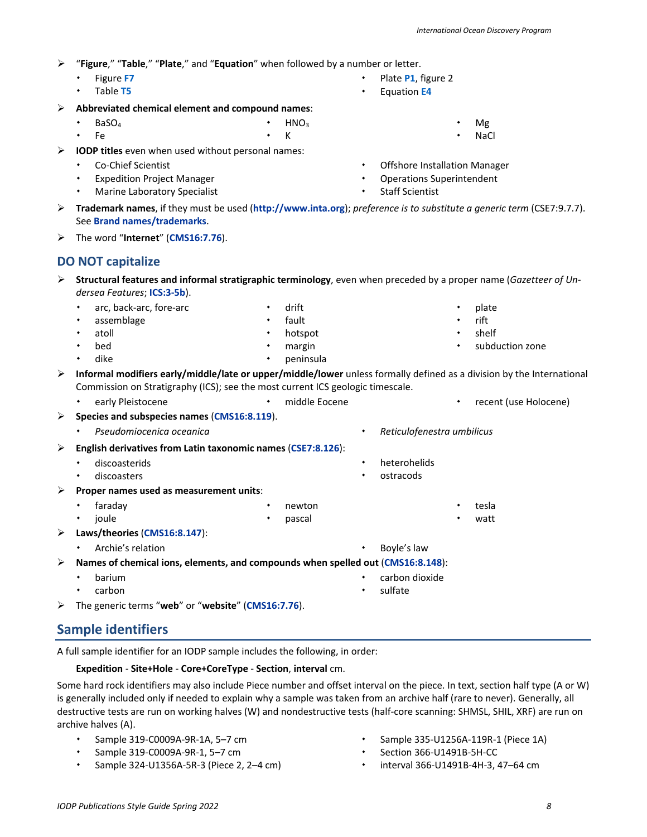- 
- "**Figure**," "**Table**," "**Plate**," and "**Equation**" when followed by a number or letter.

K

- Figure **F7**
- Table **T5**
- **Abbreviated chemical element and compound names**:
	- BaSO4 HNO<sub>3</sub>
	- Fe
- **IODP titles** even when used without personal names:
	- Co-Chief Scientist
	- Expedition Project Manager
	- Marine Laboratory Specialist
- Operations Superintendent Staff Scientist
- **Trademark names**, if they must be used (**[http://www.inta.org](http://www.inta.org/)**); *preference is to substitute a generic term* (CSE7:9.7.7). See **[Brand names/trademarks](#page-20-2)**.
- The word "**Internet**" (**[CMS16:7.76](http://www.chicagomanualofstyle.org/16/ch07/ch07_sec076.html)**).

# <span id="page-7-0"></span>**DO NOT capitalize**

- **Structural features and informal stratigraphic terminology**, even when preceded by a proper name (*Gazetteer of Undersea Features*; **[ICS:3-5b](https://stratigraphy.org/guide/defs)**).
- arc, back-arc, fore-arc assemblage drift fault
	- atoll hotspot
	- bed margin
		- dike peninsula
- **Informal modifiers early/middle/late or upper/middle/lower** unless formally defined as a division by the International Commission on Stratigraphy (ICS); see the most current ICS geologic timescale.

early Pleistocene **1988 1988 1999 · Constant 1999 · Pleistocene 1999 · Pleistocene recent (use Holocene)** 

- **Species and subspecies names** (**[CMS16:8.119](http://www.chicagomanualofstyle.org/16/ch08/ch08_sec119.html)**). *Pseudomiocenica oceanica Reticulofenestra umbilicus* **English derivatives from Latin taxonomic names** (**[CSE7:8.126](http://www.chicagomanualofstyle.org/16/ch08/ch08_sec126.html)**): discoasterids discoasters heterohelids ostracods **Proper names used as measurement units**: faraday joule newton pascal tesla watt
	- **Laws/theories** (**[CMS16:8.147](http://www.chicagomanualofstyle.org/16/ch08/ch08_sec147.html)**):
		- Archie's relation **Boyle's law**
	- **Names of chemical ions, elements, and compounds when spelled out** (**[CMS16:8.148](http://www.chicagomanualofstyle.org/16/ch08/ch08_sec148.html)**):
		- barium carbon carbon dioxide sulfate
	- The generic terms "**web**" or "**website**" (**[CMS16:7.76](http://www.chicagomanualofstyle.org/16/ch07/ch07_sec076.html)**).

# <span id="page-7-1"></span>**Sample identifiers**

A full sample identifier for an IODP sample includes the following, in order:

# **Expedition** - **Site+Hole** - **Core+CoreType** - **Section**, **interval** cm.

Some hard rock identifiers may also include Piece number and offset interval on the piece. In text, section half type (A or W) is generally included only if needed to explain why a sample was taken from an archive half (rare to never). Generally, all destructive tests are run on working halves (W) and nondestructive tests (half-core scanning: SHMSL, SHIL, XRF) are run on archive halves (A).

- Sample 319-C0009A-9R-1A, 5–7 cm
- Sample 319-C0009A-9R-1, 5–7 cm
- Sample 324-U1356A-5R-3 (Piece 2, 2–4 cm)
- Sample 335-U1256A-119R-1 (Piece 1A)
- Section 366-U1491B-5H-CC
	- interval 366-U1491B-4H-3, 47–64 cm
- Plate **P1**, figure 2
- Equation **E4**
- Mg NaCl

 plate rift shelf

subduction zone

*International Ocean Discovery Program*

Offshore Installation Manager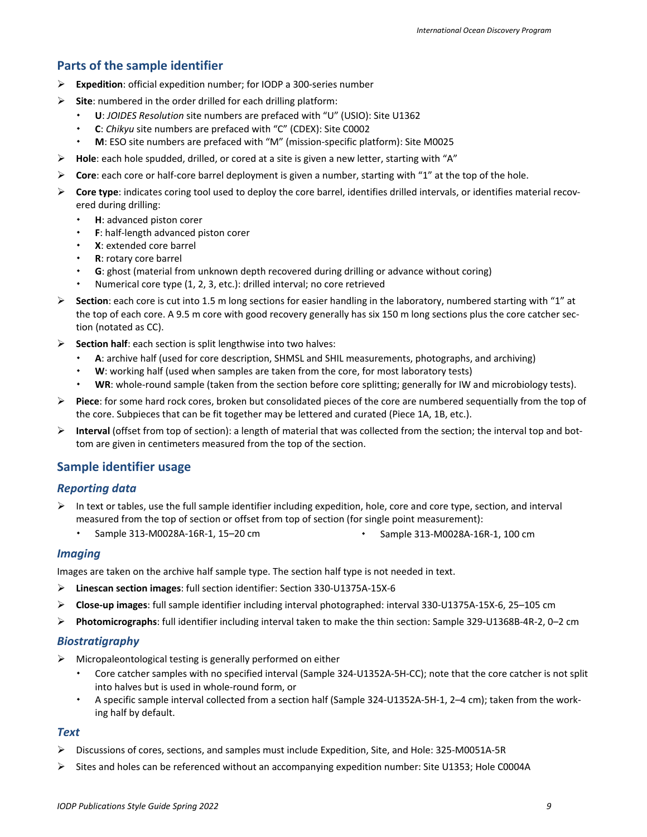# <span id="page-8-0"></span>**Parts of the sample identifier**

- **Expedition**: official expedition number; for IODP a 300-series number
- **Site**: numbered in the order drilled for each drilling platform:
	- **U**: *JOIDES Resolution* site numbers are prefaced with "U" (USIO): Site U1362
	- **C**: *Chikyu* site numbers are prefaced with "C" (CDEX): Site C0002
	- **M**: ESO site numbers are prefaced with "M" (mission-specific platform): Site M0025
- **Hole**: each hole spudded, drilled, or cored at a site is given a new letter, starting with "A"
- **Core**: each core or half-core barrel deployment is given a number, starting with "1" at the top of the hole.
- **Core type**: indicates coring tool used to deploy the core barrel, identifies drilled intervals, or identifies material recovered during drilling:
	- **H**: advanced piston corer
	- **F**: half-length advanced piston corer
	- **X**: extended core barrel
	- **R**: rotary core barrel
	- **G**: ghost (material from unknown depth recovered during drilling or advance without coring)
	- Numerical core type (1, 2, 3, etc.): drilled interval; no core retrieved
- **Section**: each core is cut into 1.5 m long sections for easier handling in the laboratory, numbered starting with "1" at the top of each core. A 9.5 m core with good recovery generally has six 150 m long sections plus the core catcher section (notated as CC).
- **Section half**: each section is split lengthwise into two halves:
	- **A**: archive half (used for core description, SHMSL and SHIL measurements, photographs, and archiving)
	- **W**: working half (used when samples are taken from the core, for most laboratory tests)
	- **WR**: whole-round sample (taken from the section before core splitting; generally for IW and microbiology tests).
- **Piece**: for some hard rock cores, broken but consolidated pieces of the core are numbered sequentially from the top of the core. Subpieces that can be fit together may be lettered and curated (Piece 1A, 1B, etc.).
- **Interval** (offset from top of section): a length of material that was collected from the section; the interval top and bottom are given in centimeters measured from the top of the section.

### <span id="page-8-1"></span>**Sample identifier usage**

#### *Reporting data*

- $\triangleright$  In text or tables, use the full sample identifier including expedition, hole, core and core type, section, and interval measured from the top of section or offset from top of section (for single point measurement):
	- Sample 313-M0028A-16R-1, 15-20 cm  $\bullet$  Sample 313-M0028A-16R-1, 100 cm
- 

#### *Imaging*

Images are taken on the archive half sample type. The section half type is not needed in text.

- **Linescan section images**: full section identifier: Section 330-U1375A-15X-6
- **Close-up images**: full sample identifier including interval photographed: interval 330-U1375A-15X-6, 25–105 cm
- **Photomicrographs**: full identifier including interval taken to make the thin section: Sample 329-U1368B-4R-2, 0–2 cm

#### *Biostratigraphy*

- $\triangleright$  Micropaleontological testing is generally performed on either
	- Core catcher samples with no specified interval (Sample 324-U1352A-5H-CC); note that the core catcher is not split into halves but is used in whole-round form, or
	- A specific sample interval collected from a section half (Sample 324-U1352A-5H-1, 2–4 cm); taken from the working half by default.

#### *Text*

- Discussions of cores, sections, and samples must include Expedition, Site, and Hole: 325-M0051A-5R
- $\triangleright$  Sites and holes can be referenced without an accompanying expedition number: Site U1353; Hole C0004A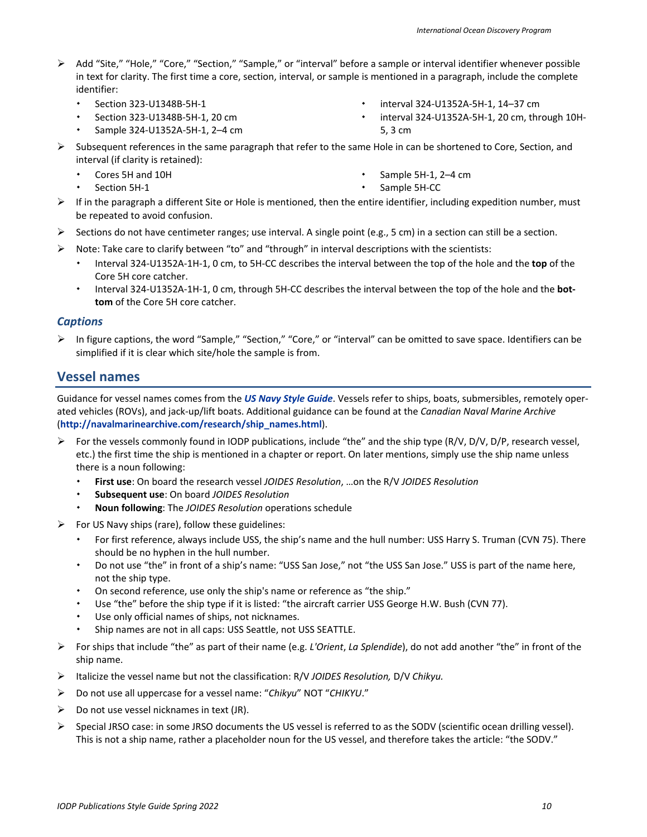- Add "Site," "Hole," "Core," "Section," "Sample," or "interval" before a sample or interval identifier whenever possible in text for clarity. The first time a core, section, interval, or sample is mentioned in a paragraph, include the complete identifier:
	- Section 323-U1348B-5H-1
	- Section 323-U1348B-5H-1, 20 cm
	- Sample 324-U1352A-5H-1, 2–4 cm
- interval 324-U1352A-5H-1, 14–37 cm
- interval 324-U1352A-5H-1, 20 cm, through 10H-5, 3 cm
- $\triangleright$  Subsequent references in the same paragraph that refer to the same Hole in can be shortened to Core, Section, and interval (if clarity is retained):
	- Cores 5H and 10H
	- Section 5H-1
- Sample 5H-1, 2–4 cm
- Sample 5H-CC
- $\triangleright$  If in the paragraph a different Site or Hole is mentioned, then the entire identifier, including expedition number, must be repeated to avoid confusion.
- Sections do not have centimeter ranges; use interval. A single point (e.g., 5 cm) in a section can still be a section.
- $\triangleright$  Note: Take care to clarify between "to" and "through" in interval descriptions with the scientists:
	- Interval 324-U1352A-1H-1, 0 cm, to 5H-CC describes the interval between the top of the hole and the **top** of the Core 5H core catcher.
	- Interval 324-U1352A-1H-1, 0 cm, through 5H-CC describes the interval between the top of the hole and the **bottom** of the Core 5H core catcher.

#### *Captions*

 $\triangleright$  In figure captions, the word "Sample," "Section," "Core," or "interval" can be omitted to save space. Identifiers can be simplified if it is clear which site/hole the sample is from.

# <span id="page-9-0"></span>**Vessel names**

Guidance for vessel names comes from the *[US Navy Style Guide](https://www.navymwr.org/modules/media/?do=download&id=d6c2671c-e9b5-43ea-be3e-a20a4a8b62cf)*. Vessels refer to ships, boats, submersibles, remotely operated vehicles (ROVs), and jack-up/lift boats. Additional guidance can be found at the *Canadian Naval Marine Archive* (**[http://navalmarinearchive.com/research/ship\\_names.html](http://navalmarinearchive.com/research/ship_names.html)**).

- For the vessels commonly found in IODP publications, include "the" and the ship type (R/V, D/V, D/P, research vessel, etc.) the first time the ship is mentioned in a chapter or report. On later mentions, simply use the ship name unless there is a noun following:
	- **First use**: On board the research vessel *JOIDES Resolution*, …on the R/V *JOIDES Resolution*
	- **Subsequent use**: On board *JOIDES Resolution*
	- **Noun following**: The *JOIDES Resolution* operations schedule
- $\triangleright$  For US Navy ships (rare), follow these guidelines:
	- For first reference, always include USS, the ship's name and the hull number: USS Harry S. Truman (CVN 75). There should be no hyphen in the hull number.
	- Do not use "the" in front of a ship's name: "USS San Jose," not "the USS San Jose." USS is part of the name here, not the ship type.
	- On second reference, use only the ship's name or reference as "the ship."
	- Use "the" before the ship type if it is listed: "the aircraft carrier USS George H.W. Bush (CVN 77).
	- Use only official names of ships, not nicknames.
	- Ship names are not in all caps: USS Seattle, not USS SEATTLE.
- For ships that include "the" as part of their name (e.g. *L'Orient*, *La Splendide*), do not add another "the" in front of the ship name.
- Italicize the vessel name but not the classification: R/V *JOIDES Resolution,* D/V *Chikyu.*
- Do not use all uppercase for a vessel name: "*Chikyu*" NOT "*CHIKYU*."
- $\triangleright$  Do not use vessel nicknames in text (JR).
- $\triangleright$  Special JRSO case: in some JRSO documents the US vessel is referred to as the SODV (scientific ocean drilling vessel). This is not a ship name, rather a placeholder noun for the US vessel, and therefore takes the article: "the SODV."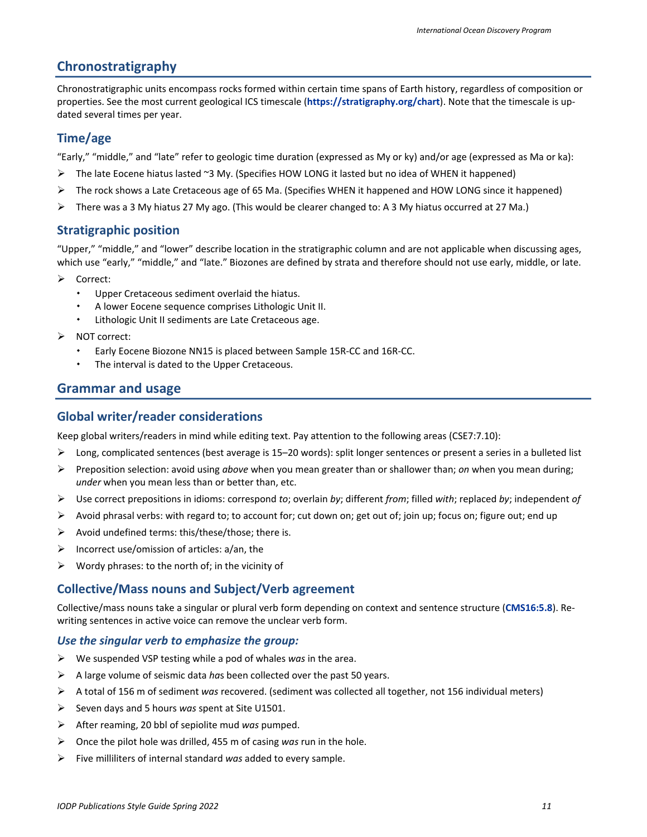### <span id="page-10-0"></span>**Chronostratigraphy**

Chronostratigraphic units encompass rocks formed within certain time spans of Earth history, regardless of composition or properties. See the most current geological ICS timescale (**<https://stratigraphy.org/chart>**). Note that the timescale is updated several times per year.

#### <span id="page-10-1"></span>**Time/age**

"Early," "middle," and "late" refer to geologic time duration (expressed as My or ky) and/or age (expressed as Ma or ka):

- The late Eocene hiatus lasted ~3 My. (Specifies HOW LONG it lasted but no idea of WHEN it happened)
- The rock shows a Late Cretaceous age of 65 Ma. (Specifies WHEN it happened and HOW LONG since it happened)
- $\triangleright$  There was a 3 My hiatus 27 My ago. (This would be clearer changed to: A 3 My hiatus occurred at 27 Ma.)

#### <span id="page-10-2"></span>**Stratigraphic position**

"Upper," "middle," and "lower" describe location in the stratigraphic column and are not applicable when discussing ages, which use "early," "middle," and "late." Biozones are defined by strata and therefore should not use early, middle, or late.

- Correct:
	- Upper Cretaceous sediment overlaid the hiatus.
	- A lower Eocene sequence comprises Lithologic Unit II.
	- Lithologic Unit II sediments are Late Cretaceous age.
- NOT correct:
	- Early Eocene Biozone NN15 is placed between Sample 15R-CC and 16R-CC.
	- The interval is dated to the Upper Cretaceous.

#### <span id="page-10-3"></span>**Grammar and usage**

#### <span id="page-10-4"></span>**Global writer/reader considerations**

Keep global writers/readers in mind while editing text. Pay attention to the following areas (CSE7:7.10):

- $\triangleright$  Long, complicated sentences (best average is 15–20 words): split longer sentences or present a series in a bulleted list
- Preposition selection: avoid using *above* when you mean greater than or shallower than; *on* when you mean during; *under* when you mean less than or better than, etc.
- Use correct prepositions in idioms: correspond *to*; overlain *by*; different *from*; filled *with*; replaced *by*; independent *of*
- $\triangleright$  Avoid phrasal verbs: with regard to; to account for; cut down on; get out of; join up; focus on; figure out; end up
- $\triangleright$  Avoid undefined terms: this/these/those; there is.
- $\triangleright$  Incorrect use/omission of articles: a/an, the
- $\triangleright$  Wordy phrases: to the north of; in the vicinity of

#### <span id="page-10-5"></span>**Collective/Mass nouns and Subject/Verb agreement**

Collective/mass nouns take a singular or plural verb form depending on context and sentence structure (**[CMS16:5.8](http://www.chicagomanualofstyle.org/16/ch05/ch05_sec008.html)**). Rewriting sentences in active voice can remove the unclear verb form.

#### *Use the singular verb to emphasize the group:*

- We suspended VSP testing while a pod of whales *was* in the area.
- A large volume of seismic data *ha*s been collected over the past 50 years.
- A total of 156 m of sediment *was* recovered. (sediment was collected all together, not 156 individual meters)
- Seven days and 5 hours *was* spent at Site U1501.
- After reaming, 20 bbl of sepiolite mud *was* pumped.
- Once the pilot hole was drilled, 455 m of casing *was* run in the hole.
- Five milliliters of internal standard *was* added to every sample.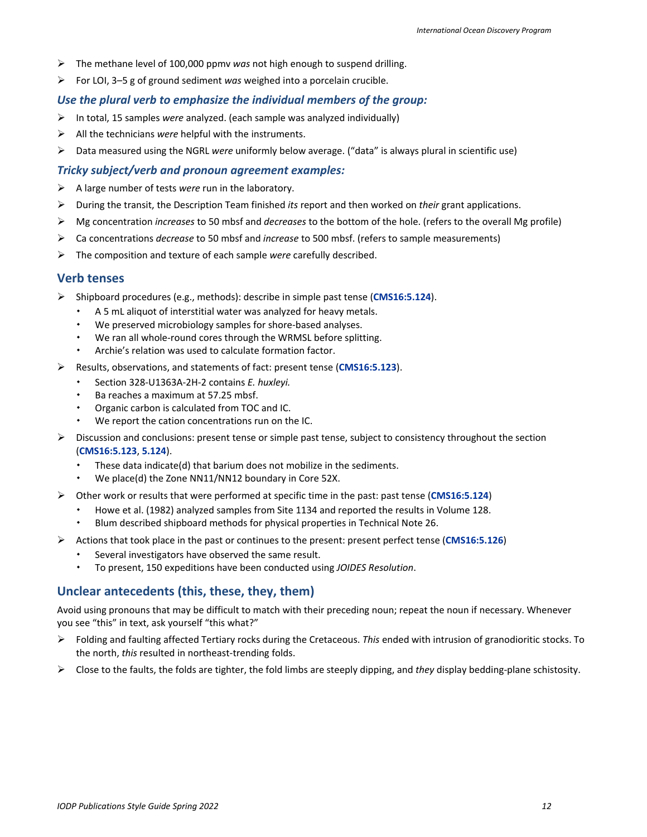- The methane level of 100,000 ppmv *was* not high enough to suspend drilling.
- For LOI, 3–5 g of ground sediment *was* weighed into a porcelain crucible.

#### *Use the plural verb to emphasize the individual members of the group:*

- In total, 15 samples *were* analyzed. (each sample was analyzed individually)
- All the technicians *were* helpful with the instruments.
- Data measured using the NGRL *were* uniformly below average. ("data" is always plural in scientific use)

#### *Tricky subject/verb and pronoun agreement examples:*

- A large number of tests *were* run in the laboratory.
- During the transit, the Description Team finished *its* report and then worked on *their* grant applications.
- Mg concentration *increases* to 50 mbsf and *decreases* to the bottom of the hole. (refers to the overall Mg profile)
- Ca concentrations *decrease* to 50 mbsf and *increase* to 500 mbsf. (refers to sample measurements)
- The composition and texture of each sample *were* carefully described.

#### <span id="page-11-0"></span>**Verb tenses**

- Shipboard procedures (e.g., methods): describe in simple past tense (**[CMS16:5.124](http://www.chicagomanualofstyle.org/16/ch05/ch05_sec124.html)**).
	- A 5 mL aliquot of interstitial water was analyzed for heavy metals.
	- We preserved microbiology samples for shore-based analyses.
	- We ran all whole-round cores through the WRMSL before splitting.
	- Archie's relation was used to calculate formation factor.
- Results, observations, and statements of fact: present tense (**[CMS16:5.123](http://www.chicagomanualofstyle.org/16/ch05/ch05_sec123.html)**).
	- Section 328-U1363A-2H-2 contains *E. huxleyi.*
	- Ba reaches a maximum at 57.25 mbsf.
	- Organic carbon is calculated from TOC and IC.
	- We report the cation concentrations run on the IC.
- $\triangleright$  Discussion and conclusions: present tense or simple past tense, subject to consistency throughout the section (**[CMS16:5.123](https://www.chicagomanualofstyle.org/16/ch05/ch05_sec123.html)**, **[5.124](http://www.chicagomanualofstyle.org/16/ch05/ch05_sec124.html)**).
	- These data indicate(d) that barium does not mobilize in the sediments.
	- We place(d) the Zone NN11/NN12 boundary in Core 52X.
- Other work or results that were performed at specific time in the past: past tense (**[CMS16:5.124](http://www.chicagomanualofstyle.org/16/ch05/ch05_sec124.html)**)
	- Howe et al. (1982) analyzed samples from Site 1134 and reported the results in Volume 128.
	- Blum described shipboard methods for physical properties in Technical Note 26.
- Actions that took place in the past or continues to the present: present perfect tense (**[CMS16:5.126](http://www.chicagomanualofstyle.org/16/ch05/ch05_sec126.html)**)
	- Several investigators have observed the same result.
	- To present, 150 expeditions have been conducted using *JOIDES Resolution*.

#### <span id="page-11-1"></span>**Unclear antecedents (this, these, they, them)**

Avoid using pronouns that may be difficult to match with their preceding noun; repeat the noun if necessary. Whenever you see "this" in text, ask yourself "this what?"

- Folding and faulting affected Tertiary rocks during the Cretaceous. *This* ended with intrusion of granodioritic stocks. To the north, *this* resulted in northeast-trending folds.
- Close to the faults, the folds are tighter, the fold limbs are steeply dipping, and *they* display bedding-plane schistosity.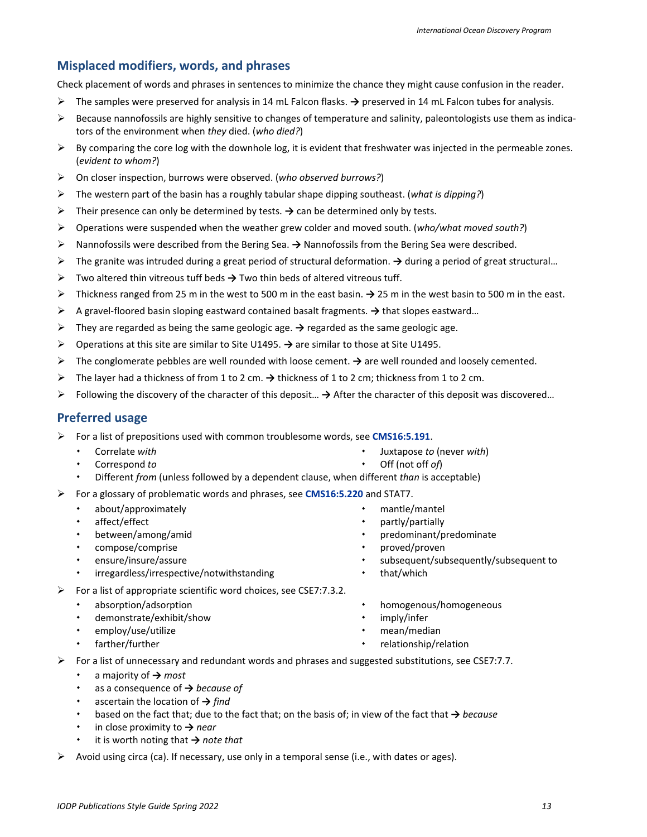### <span id="page-12-0"></span>**Misplaced modifiers, words, and phrases**

Check placement of words and phrases in sentences to minimize the chance they might cause confusion in the reader.

- The samples were preserved for analysis in 14 mL Falcon flasks. **→** preserved in 14 mL Falcon tubes for analysis.
- $\triangleright$  Because nannofossils are highly sensitive to changes of temperature and salinity, paleontologists use them as indicators of the environment when *they* died. (*who died?*)
- $\triangleright$  By comparing the core log with the downhole log, it is evident that freshwater was injected in the permeable zones. (*evident to whom?*)
- On closer inspection, burrows were observed. (*who observed burrows?*)
- The western part of the basin has a roughly tabular shape dipping southeast. (*what is dipping?*)
- Their presence can only be determined by tests. **→** can be determined only by tests.
- Operations were suspended when the weather grew colder and moved south. (*who/what moved south?*)
- Nannofossils were described from the Bering Sea. **→** Nannofossils from the Bering Sea were described.
- The granite was intruded during a great period of structural deformation. **→** during a period of great structural…
- Two altered thin vitreous tuff beds **→** Two thin beds of altered vitreous tuff.
- Thickness ranged from 25 m in the west to 500 m in the east basin. **→** 25 m in the west basin to 500 m in the east.
- A gravel-floored basin sloping eastward contained basalt fragments. **→** that slopes eastward…
- They are regarded as being the same geologic age. **→** regarded as the same geologic age.
- Operations at this site are similar to Site U1495. **→** are similar to those at Site U1495.
- The conglomerate pebbles are well rounded with loose cement. **→** are well rounded and loosely cemented.
- The layer had a thickness of from 1 to 2 cm. **→** thickness of 1 to 2 cm; thickness from 1 to 2 cm.
- Following the discovery of the character of this deposit… **→** After the character of this deposit was discovered…

#### <span id="page-12-1"></span>**Preferred usage**

- For a list of prepositions used with common troublesome words, see **[CMS16:5.191](http://www.chicagomanualofstyle.org/16/ch05/ch05_sec191.html)**.
	- Correlate *with*
	- Correspond *to*
- Juxtapose *to* (never *with*) Off (not off *of*)
- Different *from* (unless followed by a dependent clause, when different *than* is acceptable)
- For a glossary of problematic words and phrases, see **[CMS16:5.220](http://www.chicagomanualofstyle.org/16/ch05/ch05_sec220.html)** and STAT7.
	- about/approximately
	- affect/effect
	- between/among/amid
	- compose/comprise
	- ensure/insure/assure
	- irregardless/irrespective/notwithstanding
- $\triangleright$  For a list of appropriate scientific word choices, see CSE7:7.3.2.
	- absorption/adsorption
	- demonstrate/exhibit/show
	- employ/use/utilize
	- farther/further
- mantle/mantel
- partly/partially
- predominant/predominate
- proved/proven
- subsequent/subsequently/subsequent to
- that/which
- homogenous/homogeneous
- -
- For a list of unnecessary and redundant words and phrases and suggested substitutions, see CSE7:7.7.
	- a majority of **→** *most*
	- as a consequence of **→** *because of*
	- ascertain the location of **→** *find*
	- based on the fact that; due to the fact that; on the basis of; in view of the fact that **→** *because*
	- in close proximity to **→** *near*
	- it is worth noting that **→** *note that*
- $\triangleright$  Avoid using circa (ca). If necessary, use only in a temporal sense (i.e., with dates or ages).
- - imply/infer
	- mean/median
		- relationship/relation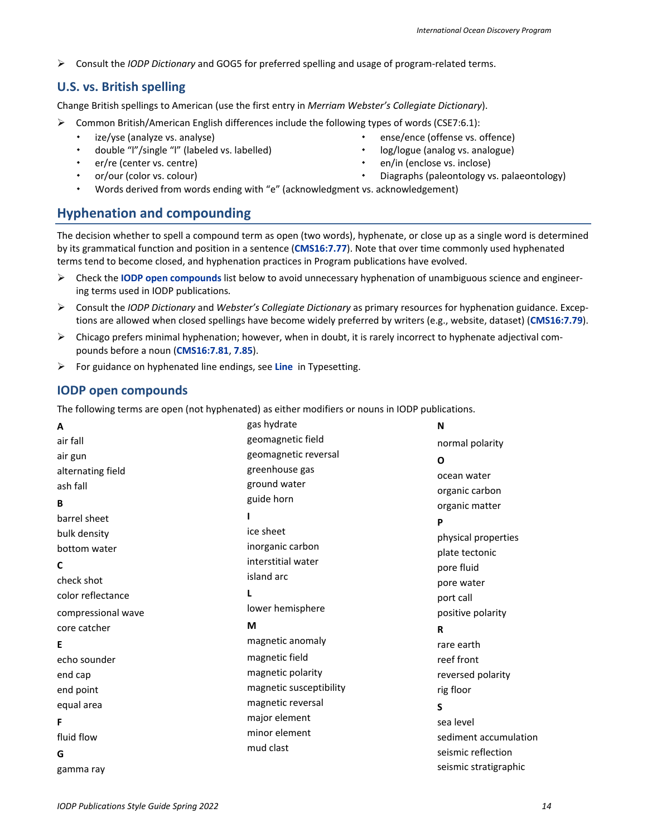Consult the *IODP Dictionary* and GOG5 for preferred spelling and usage of program-related terms.

#### <span id="page-13-0"></span>**U.S. vs. British spelling**

Change British spellings to American (use the first entry in *Merriam Webster's Collegiate Dictionary*).

- $\triangleright$  Common British/American English differences include the following types of words (CSE7:6.1):
	- ize/yse (analyze vs. analyse)
	- double "l"/single "l" (labeled vs. labelled)
	- er/re (center vs. centre)
	- or/our (color vs. colour)
- ense/ence (offense vs. offence)
- log/logue (analog vs. analogue)
- en/in (enclose vs. inclose)
	- Diagraphs (paleontology vs. palaeontology)
- Words derived from words ending with "e" (acknowledgment vs. acknowledgement)

# <span id="page-13-1"></span>**Hyphenation and compounding**

The decision whether to spell a compound term as open (two words), hyphenate, or close up as a single word is determined by its grammatical function and position in a sentence (**[CMS16:7.77](http://www.chicagomanualofstyle.org/16/ch07/ch07_sec077.html)**). Note that over time commonly used hyphenated terms tend to become closed, and hyphenation practices in Program publications have evolved.

- Check the **IODP open compounds** list below to avoid unnecessary hyphenation of unambiguous science and engineering terms used in IODP publications*.*
- Consult the *IODP Dictionary* and *Webster's Collegiate Dictionary* as primary resources for hyphenation guidance. Exceptions are allowed when closed spellings have become widely preferred by writers (e.g., website, dataset) (**[CMS16:7.79](http://www.chicagomanualofstyle.org/16/ch07/ch07_sec079.html)**).
- $\triangleright$  Chicago prefers minimal hyphenation; however, when in doubt, it is rarely incorrect to hyphenate adjectival compounds before a noun (**[CMS16:7.81](http://www.chicagomanualofstyle.org/16/ch07/ch07_sec081.html)**, **[7.85](http://www.chicagomanualofstyle.org/16/ch07/ch07_sec085.html)**).
- For guidance on hyphenated line endings, see **[Line](#page-21-2)** in Typesetting.

### <span id="page-13-2"></span>**IODP open compounds**

The following terms are open (not hyphenated) as either modifiers or nouns in IODP publications.

| A                  | gas hydrate             | N                     |
|--------------------|-------------------------|-----------------------|
| air fall           | geomagnetic field       | normal polarity       |
| air gun            | geomagnetic reversal    | $\mathbf{o}$          |
| alternating field  | greenhouse gas          | ocean water           |
| ash fall           | ground water            | organic carbon        |
| B                  | guide horn              | organic matter        |
| barrel sheet       |                         | P                     |
| bulk density       | ice sheet               | physical properties   |
| bottom water       | inorganic carbon        | plate tectonic        |
| C                  | interstitial water      | pore fluid            |
| check shot         | island arc              | pore water            |
| color reflectance  |                         | port call             |
| compressional wave | lower hemisphere        | positive polarity     |
| core catcher       | M                       | R                     |
| Е                  | magnetic anomaly        | rare earth            |
| echo sounder       | magnetic field          | reef front            |
| end cap            | magnetic polarity       | reversed polarity     |
| end point          | magnetic susceptibility | rig floor             |
| equal area         | magnetic reversal       | S                     |
| F                  | major element           | sea level             |
| fluid flow         | minor element           | sediment accumulation |
| G                  | mud clast               | seismic reflection    |
| gamma ray          |                         | seismic stratigraphic |
|                    |                         |                       |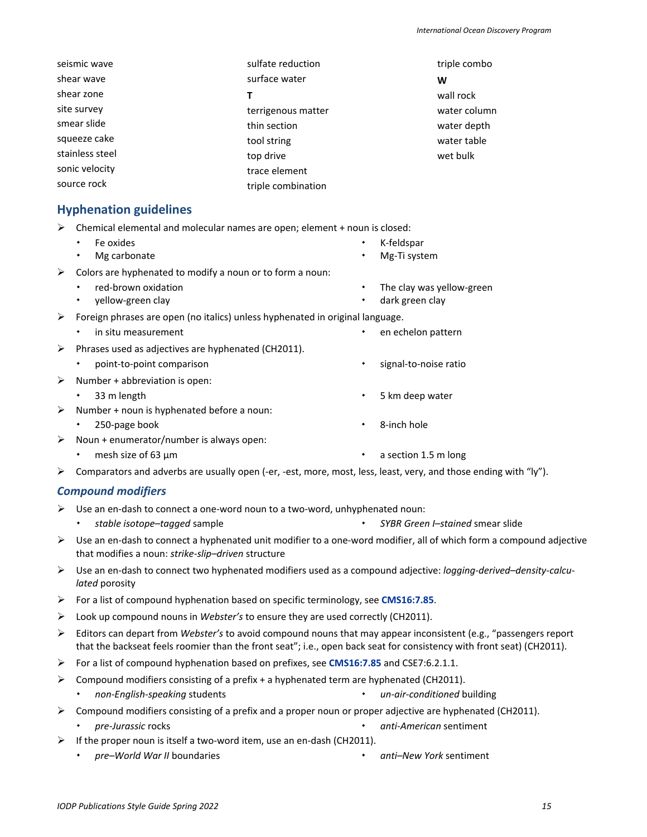| sulfate reduction  |
|--------------------|
| surface water      |
| т                  |
| terrigenous matter |
| thin section       |
| tool string        |
| top drive          |
| trace element      |
| triple combination |
|                    |

triple combo **W** wall rock water column water depth water table wet bulk

Mg-Ti system

The clay was yellow-green

### <span id="page-14-0"></span>**Hyphenation guidelines**

- $\triangleright$  Chemical elemental and molecular names are open; element + noun is closed:
	- **+** Fe oxides K-feldspar
	- Mg carbonate
- $\triangleright$  Colors are hyphenated to modify a noun or to form a noun:
	- red-brown oxidation
	- yellow-green clay dark green clay

 $\triangleright$  Foreign phrases are open (no italics) unless hyphenated in original language.

- in situ measurement **end** in situ measurement **example the engage of the engage of the engage of the engage of the engage of the engage of the engage of the engage of the engage of the engage of the engage of the engage of**
- $\triangleright$  Phrases used as adjectives are hyphenated (CH2011).
	- point-to-point comparison and the signal-to-noise ratio
- $\triangleright$  Number + abbreviation is open:
	- 33 m length 5 km deep water
- $\triangleright$  Number + noun is hyphenated before a noun:
	- 250-page book **8-inch hole**
- $\triangleright$  Noun + enumerator/number is always open:
	- mesh size of 63 µm a section 1.5 m long
- $\triangleright$  Comparators and adverbs are usually open (-er, -est, more, most, less, least, very, and those ending with "ly").

#### *Compound modifiers*

- $\triangleright$  Use an en-dash to connect a one-word noun to a two-word, unhyphenated noun:
	- *stable isotope–tagged* sample *SYBR Green I–stained* smear slide
- $\triangleright$  Use an en-dash to connect a hyphenated unit modifier to a one-word modifier, all of which form a compound adjective that modifies a noun: *strike-slip–driven* structure
- Use an en-dash to connect two hyphenated modifiers used as a compound adjective: *logging-derived–density-calculated* porosity
- For a list of compound hyphenation based on specific terminology, see **[CMS16:7.85](http://www.chicagomanualofstyle.org/16/ch07/ch07_sec085.html)**.
- Look up compound nouns in *Webster's* to ensure they are used correctly (CH2011).
- Editors can depart from *Webster's* to avoid compound nouns that may appear inconsistent (e.g., "passengers report that the backseat feels roomier than the front seat"; i.e., open back seat for consistency with front seat) (CH2011).
- For a list of compound hyphenation based on prefixes, see **[CMS16:7.85](http://www.chicagomanualofstyle.org/16/ch07/ch07_sec085.html)** and CSE7:6.2.1.1.
- $\triangleright$  Compound modifiers consisting of a prefix + a hyphenated term are hyphenated (CH2011).
- *non-English-speaking* students *un-air-conditioned* building
- $\triangleright$  Compound modifiers consisting of a prefix and a proper noun or proper adjective are hyphenated (CH2011).
	- *pre-Jurassic* rocks *anti-American* sentiment
- $\triangleright$  If the proper noun is itself a two-word item, use an en-dash (CH2011).
	- *pre–World War II* boundaries *anti–New York* sentiment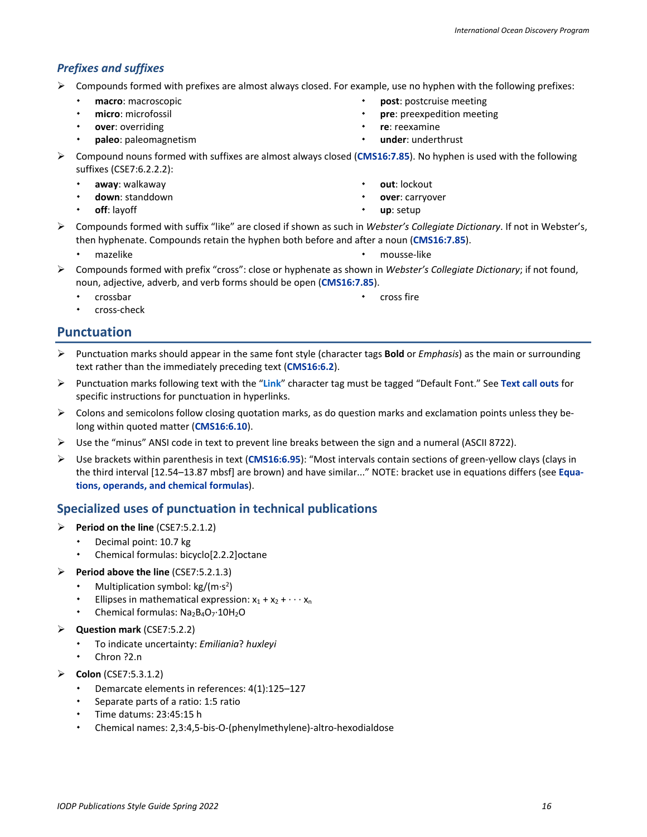### *Prefixes and suffixes*

- $\triangleright$  Compounds formed with prefixes are almost always closed. For example, use no hyphen with the following prefixes:
	- **macro**: macroscopic
	- **micro**: microfossil
	- **over**: overriding
	- **paleo**: paleomagnetism
- **post**: postcruise meeting
- **pre**: preexpedition meeting
- **re**: reexamine
- **under**: underthrust
- Compound nouns formed with suffixes are almost always closed (**[CMS16:7.85](http://www.chicagomanualofstyle.org/16/ch07/ch07_sec085.html)**). No hyphen is used with the following suffixes (CSE7:6.2.2.2):
	- **away**: walkaway
	- **down**: standdown
	- **off**: layoff
- **out**: lockout
- **over**: carryover
- **up**: setup
- Compounds formed with suffix "like" are closed if shown as such in *Webster's Collegiate Dictionary*. If not in Webster's, then hyphenate. Compounds retain the hyphen both before and after a noun (**[CMS16:7.85](http://www.chicagomanualofstyle.org/16/ch07/ch07_sec085.html)**).
	-
	- \* mazelike \* \* \* \* \* \* \* \* \* \* \* \* \* \* \* \* mousse-like

cross fire

- Compounds formed with prefix "cross": close or hyphenate as shown in *Webster's Collegiate Dictionary*; if not found, noun, adjective, adverb, and verb forms should be open (**[CMS16:7.85](http://www.chicagomanualofstyle.org/16/ch07/ch07_sec085.html)**).
	- $\cdot$  crossbar

cross-check

# <span id="page-15-0"></span>**Punctuation**

- Punctuation marks should appear in the same font style (character tags **Bold** or *Emphasis*) as the main or surrounding text rather than the immediately preceding text (**[CMS16:6.2](http://www.chicagomanualofstyle.org/16/ch06/ch06_sec002.html)**).
- Punctuation marks following text with the "**Link**" character tag must be tagged "Default Font." See **[Text call outs](#page-23-1)** for specific instructions for punctuation in hyperlinks.
- $\triangleright$  Colons and semicolons follow closing quotation marks, as do question marks and exclamation points unless they belong within quoted matter (**[CMS16:6.10](http://www.chicagomanualofstyle.org/16/ch06/ch06_sec010.html)**).
- $\triangleright$  Use the "minus" ANSI code in text to prevent line breaks between the sign and a numeral (ASCII 8722).
- Use brackets within parenthesis in text (**[CMS16:6.95](http://www.chicagomanualofstyle.org/16/ch06/ch06_sec095.html)**): "Most intervals contain sections of green-yellow clays (clays in the third interval [12.54–13.87 mbsf] are brown) and have similar..." NOTE: bracket use in equations differs (see **[Equa](#page-18-1)[tions, operands, and chemical formulas](#page-18-1)**).

# <span id="page-15-1"></span>**Specialized uses of punctuation in technical publications**

- Period on the line (CSE7:5.2.1.2)
	- Decimal point: 10.7 kg
	- Chemical formulas: bicyclo[2.2.2]octane
- Period above the line (CSE7:5.2.1.3)
	- Multiplication symbol:  $kg/(m·s<sup>2</sup>)$
	- Ellipses in mathematical expression:  $x_1 + x_2 + \cdots + x_n$
	- Chemical formulas: Na<sub>2</sub>B<sub>4</sub>O<sub>7</sub>·10H<sub>2</sub>O
- **Question mark** (CSE7:5.2.2)
	- To indicate uncertainty: *Emiliania*? *huxleyi*
	- Chron ?2.n
- **Colon** (CSE7:5.3.1.2)
	- Demarcate elements in references: 4(1):125–127
	- Separate parts of a ratio: 1:5 ratio
	- Time datums: 23:45:15 h
	- Chemical names: 2,3:4,5-bis-O-(phenylmethylene)-altro-hexodialdose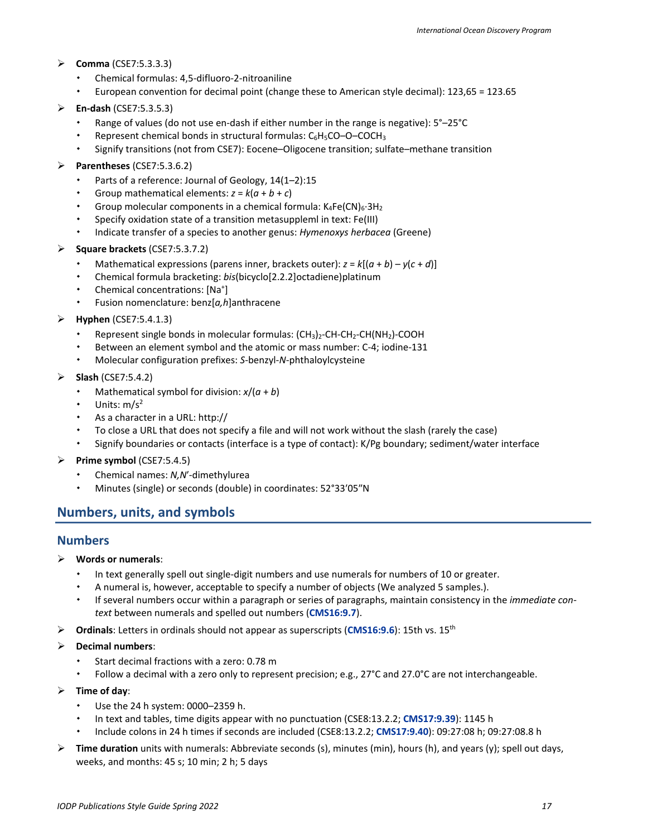#### **Comma** (CSE7:5.3.3.3)

- Chemical formulas: 4,5-difluoro-2-nitroaniline
- European convention for decimal point (change these to American style decimal): 123,65 = 123.65
- **En-dash** (CSE7:5.3.5.3)
	- Range of values (do not use en-dash if either number in the range is negative): 5°–25°C
	- Represent chemical bonds in structural formulas:  $C_6H_5CO-O-COCH_3$
	- Signify transitions (not from CSE7): Eocene–Oligocene transition; sulfate–methane transition
- **Parentheses** (CSE7:5.3.6.2)
	- Parts of a reference: Journal of Geology, 14(1–2):15
	- Group mathematical elements:  $z = k(a + b + c)$
	- Group molecular components in a chemical formula:  $K_4Fe(CN)_6·3H_2$
	- Specify oxidation state of a transition metasuppleml in text: Fe(III)
	- Indicate transfer of a species to another genus: *Hymenoxys herbacea* (Greene)
- **Square brackets** (CSE7:5.3.7.2)
	- Mathematical expressions (parens inner, brackets outer): *z* = *k*[(*a* + *b*) *y*(*c* + *d*)]
	- Chemical formula bracketing: *bis*(bicyclo[2.2.2]octadiene)platinum
	- Chemical concentrations: [Na<sup>+</sup>]
	- Fusion nomenclature: benz[*a,h*]anthracene
- **Hyphen** (CSE7:5.4.1.3)
	- Represent single bonds in molecular formulas:  $(CH_3)_2$ -CH-CH<sub>2</sub>-CH(NH<sub>2</sub>)-COOH
	- Between an element symbol and the atomic or mass number: C-4; iodine-131
	- Molecular configuration prefixes: *S*-benzyl-*N*-phthaloylcysteine
- **Slash** (CSE7:5.4.2)
	- Mathematical symbol for division: *x*/(*a* + *b*)
	- Units:  $m/s<sup>2</sup>$
	- As a character in a URL: http://
	- To close a URL that does not specify a file and will not work without the slash (rarely the case)
	- Signify boundaries or contacts (interface is a type of contact): K/Pg boundary; sediment/water interface
- **Prime symbol** (CSE7:5.4.5)
	- Chemical names: *N,N*′-dimethylurea
	- Minutes (single) or seconds (double) in coordinates: 52°33′05″N

# <span id="page-16-0"></span>**Numbers, units, and symbols**

#### <span id="page-16-1"></span>**Numbers**

- **Words or numerals**:
	- In text generally spell out single-digit numbers and use numerals for numbers of 10 or greater.
	- A numeral is, however, acceptable to specify a number of objects (We analyzed 5 samples.).
	- If several numbers occur within a paragraph or series of paragraphs, maintain consistency in the *immediate context* between numerals and spelled out numbers (**[CMS16:9.7](http://www.chicagomanualofstyle.org/16/ch09/ch09_sec007.html)**).
- **Ordinals**: Letters in ordinals should not appear as superscripts (**[CMS16:9.6](http://www.chicagomanualofstyle.org/16/ch09/ch09_sec006.html)**): 15th vs. 15th

#### **Decimal numbers**:

- Start decimal fractions with a zero: 0.78 m
- Follow a decimal with a zero only to represent precision; e.g., 27°C and 27.0°C are not interchangeable.
- **Time of day**:
	- Use the 24 h system: 0000–2359 h.
	- In text and tables, time digits appear with no punctuation (CSE8:13.2.2; **[CMS17:9.39](https://www.chicagomanualofstyle.org/book/ed17/part2/ch09/psec039.html)**): 1145 h
	- Include colons in 24 h times if seconds are included (CSE8:13.2.2; **[CMS17:9.40](https://www.chicagomanualofstyle.org/book/ed17/part2/ch09/psec040.html)**): 09:27:08 h; 09:27:08.8 h
- **Time duration** units with numerals: Abbreviate seconds (s), minutes (min), hours (h), and years (y); spell out days, weeks, and months: 45 s; 10 min; 2 h; 5 days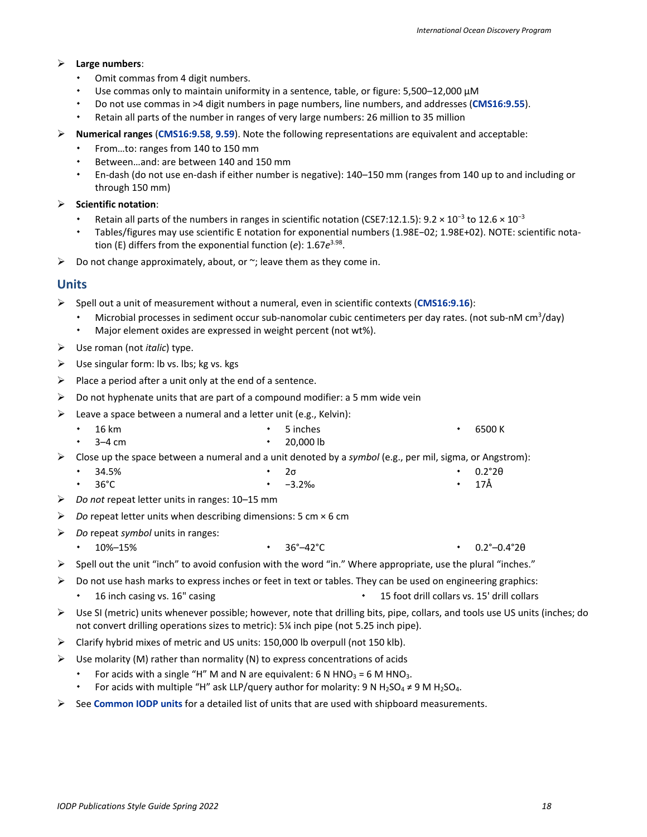#### **Large numbers**:

- Omit commas from 4 digit numbers.
- Use commas only to maintain uniformity in a sentence, table, or figure: 5,500–12,000 µM
- Do not use commas in >4 digit numbers in page numbers, line numbers, and addresses (**[CMS16:9.55](http://www.chicagomanualofstyle.org/16/ch09/ch09_sec055.html)**).
- Retain all parts of the number in ranges of very large numbers: 26 million to 35 million
- **Numerical ranges** (**[CMS16:9.58](http://www.chicagomanualofstyle.org/16/ch09/ch09_sec058.html)**, **[9.59](http://www.chicagomanualofstyle.org/16/ch09/ch09_sec059.html)**). Note the following representations are equivalent and acceptable:
	- From…to: ranges from 140 to 150 mm
	- Between…and: are between 140 and 150 mm
	- En-dash (do not use en-dash if either number is negative): 140–150 mm (ranges from 140 up to and including or through 150 mm)

#### **Scientific notation**:

- Retain all parts of the numbers in ranges in scientific notation (CSE7:12.1.5): 9.2 × 10<sup>-3</sup> to 12.6 × 10<sup>-3</sup>
- Tables/figures may use scientific E notation for exponential numbers (1.98E−02; 1.98E+02). NOTE: scientific notation (E) differs from the exponential function (*e*): 1.67*e*3.98.
- $\triangleright$  Do not change approximately, about, or  $\sim$ ; leave them as they come in.

### <span id="page-17-0"></span>**Units**

- Spell out a unit of measurement without a numeral, even in scientific contexts (**[CMS16:9.16](http://www.chicagomanualofstyle.org/16/ch09/ch09_sec016.html)**):
	- Microbial processes in sediment occur sub-nanomolar cubic centimeters per day rates. (not sub-nM cm<sup>3</sup>/day)
	- Major element oxides are expressed in weight percent (not wt%).
- Use roman (not *italic*) type.
- $\triangleright$  Use singular form: lb vs. lbs; kg vs. kgs
- $\triangleright$  Place a period after a unit only at the end of a sentence.
- $\triangleright$  Do not hyphenate units that are part of a compound modifier: a 5 mm wide vein
- $\triangleright$  Leave a space between a numeral and a letter unit (e.g., Kelvin):
	- 16 km 5 inches  $\cdot$  6500 K
- 3–4 cm 20,000 lb Close up the space between a numeral and a unit denoted by a *symbol* (e.g., per mil, sigma, or Angstrom):
	- 34.5% 2σ 0.2°2θ
		- 36°C −3.2‰  $\cdot$  17Å
- *Do not* repeat letter units in ranges: 10–15 mm
- *Do* repeat letter units when describing dimensions: 5 cm × 6 cm
- *Do* repeat *symbol* units in ranges:
	- 10%–15% 36°–42°C 0.2°–0.4°2θ
- $\triangleright$  Spell out the unit "inch" to avoid confusion with the word "in." Where appropriate, use the plural "inches."
- Do not use hash marks to express inches or feet in text or tables. They can be used on engineering graphics:
	- 16 inch casing vs. 16" casing 15 foot drill collars vs. 15' drill collars vs. 15' drill collars vs. 15' drill collars vs. 15' drill collars vs. 15' drill collars vs. 15' drill collars vs. 15' drill collars vs. 15' drill co
- $\triangleright$  Use SI (metric) units whenever possible; however, note that drilling bits, pipe, collars, and tools use US units (inches; do not convert drilling operations sizes to metric): 5¼ inch pipe (not 5.25 inch pipe).
- $\triangleright$  Clarify hybrid mixes of metric and US units: 150,000 lb overpull (not 150 klb).
- $\triangleright$  Use molarity (M) rather than normality (N) to express concentrations of acids
	- For acids with a single "H" M and N are equivalent: 6 N HNO<sub>3</sub> = 6 M HNO<sub>3</sub>.
	- For acids with multiple "H" ask LLP/query author for molarity: 9 N H<sub>2</sub>SO<sub>4</sub>  $\neq$  9 M H<sub>2</sub>SO<sub>4</sub>.
- See **[Common IODP units](#page-39-1)** for a detailed list of units that are used with shipboard measurements.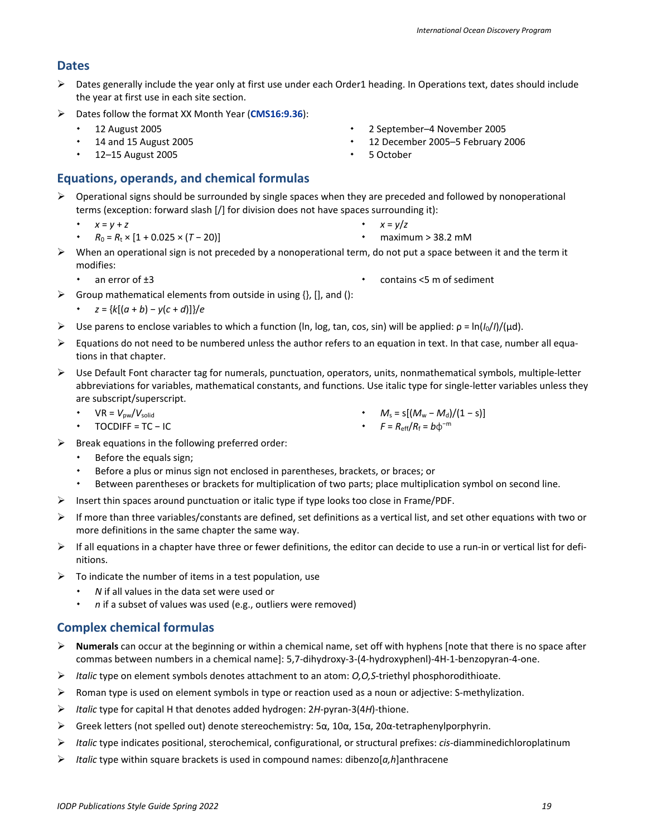# <span id="page-18-0"></span>**Dates**

- $\triangleright$  Dates generally include the year only at first use under each Order1 heading. In Operations text, dates should include the year at first use in each site section.
- Dates follow the format XX Month Year (**[CMS16:9.36](http://www.chicagomanualofstyle.org/16/ch09/ch09_sec036.html)**):
	- 12 August 2005
	- 14 and 15 August 2005
	- 12–15 August 2005

# <span id="page-18-1"></span>**Equations, operands, and chemical formulas**

- $\triangleright$  Operational signs should be surrounded by single spaces when they are preceded and followed by nonoperational terms (exception: forward slash [/] for division does not have spaces surrounding it):
	- *x* = *y* + *z*
	- $R_0 = R_t \times [1 + 0.025 \times (T 20)]$
- $\triangleright$  When an operational sign is not preceded by a nonoperational term, do not put a space between it and the term it modifies:
	- an error of  $\pm 3$  contains <5 m of sediment
- $\triangleright$  Group mathematical elements from outside in using {}, [], and ():
	- *z* = {*k*[(*a* + *b*) − *y*(*c* + *d*)]}/*e*
- Use parens to enclose variables to which a function (ln, log, tan, cos, sin) will be applied: ρ = ln(*I*0/*I*)/(µd).
- $\triangleright$  Equations do not need to be numbered unless the author refers to an equation in text. In that case, number all equations in that chapter.
- $\triangleright$  Use Default Font character tag for numerals, punctuation, operators, units, nonmathematical symbols, multiple-letter abbreviations for variables, mathematical constants, and functions. Use italic type for single-letter variables unless they are subscript/superscript.
	- $VR = V_{pw}/V_{solid}$
	- TOCDIFF = TC − IC
- $\triangleright$  Break equations in the following preferred order:
	- Before the equals sign;
	- Before a plus or minus sign not enclosed in parentheses, brackets, or braces; or
	- Between parentheses or brackets for multiplication of two parts; place multiplication symbol on second line.
- $\triangleright$  Insert thin spaces around punctuation or italic type if type looks too close in Frame/PDF.
- $\triangleright$  If more than three variables/constants are defined, set definitions as a vertical list, and set other equations with two or more definitions in the same chapter the same way.
- $\triangleright$  If all equations in a chapter have three or fewer definitions, the editor can decide to use a run-in or vertical list for definitions.
- $\triangleright$  To indicate the number of items in a test population, use
	- *N* if all values in the data set were used or
	- *n* if a subset of values was used (e.g., outliers were removed)

# <span id="page-18-2"></span>**Complex chemical formulas**

- **Numerals** can occur at the beginning or within a chemical name, set off with hyphens [note that there is no space after commas between numbers in a chemical name]: 5,7-dihydroxy-3-(4-hydroxyphenl)-4H-1-benzopyran-4-one.
- *Italic* type on element symbols denotes attachment to an atom: *O,O,S*-triethyl phosphorodithioate.
- $\triangleright$  Roman type is used on element symbols in type or reaction used as a noun or adjective: S-methylization.
- *Italic* type for capital H that denotes added hydrogen: 2*H*-pyran-3(4*H*)-thione.
- Greek letters (not spelled out) denote stereochemistry: 5α, 10α, 15α, 20α-tetraphenylporphyrin.
- *Italic* type indicates positional, sterochemical, configurational, or structural prefixes: *cis*-diamminedichloroplatinum
- *Italic* type within square brackets is used in compound names: dibenzo[*a,h*]anthracene

 12 December 2005–5 February 2006 5 October

2 September–4 November 2005

- $M_s = s[(M_w M_d)/(1 s)]$
- $\cdot$  *F* =  $R_{\text{eff}}/R_f = b\phi^{-m}$
- 
- maximum > 38.2 mM
- 
- $\cdot$   $x = y/z$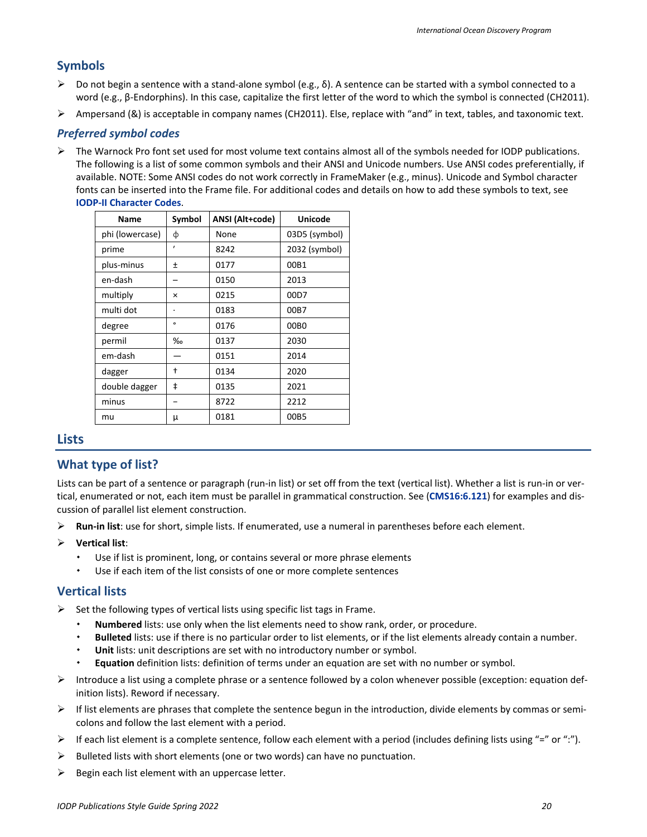### <span id="page-19-0"></span>**Symbols**

- $\triangleright$  Do not begin a sentence with a stand-alone symbol (e.g., δ). A sentence can be started with a symbol connected to a word (e.g., β-Endorphins). In this case, capitalize the first letter of the word to which the symbol is connected (CH2011).
- Ampersand (&) is acceptable in company names (CH2011). Else, replace with "and" in text, tables, and taxonomic text.

#### *Preferred symbol codes*

 $\triangleright$  The Warnock Pro font set used for most volume text contains almost all of the symbols needed for IODP publications. The following is a list of some common symbols and their ANSI and Unicode numbers. Use ANSI codes preferentially, if available. NOTE: Some ANSI codes do not work correctly in FrameMaker (e.g., minus). Unicode and Symbol character fonts can be inserted into the Frame file. For additional codes and details on how to add these symbols to text, see **[IODP-II Character Codes](https://sites.google.com/a/scientific-ocean-drilling.org/wikied/editiorial-resources)**.

| <b>Name</b>     | Symbol       | ANSI (Alt+code) | <b>Unicode</b>   |
|-----------------|--------------|-----------------|------------------|
| phi (lowercase) | ф            | None            | 03D5 (symbol)    |
| prime           | $\mathbf{r}$ | 8242            | 2032 (symbol)    |
| plus-minus      | Ŧ            | 0177            | 00B1             |
| en-dash         |              | 0150            | 2013             |
| multiply        | ×            | 0215            | 00D7             |
| multi dot       | ٠            | 0183            | 00B7             |
| degree          | $\circ$      | 0176            | 00B <sub>0</sub> |
| permil          | ‰            | 0137            | 2030             |
| em-dash         |              | 0151            | 2014             |
| dagger          | t            | 0134            | 2020             |
| double dagger   | ŧ            | 0135            | 2021             |
| minus           |              | 8722            | 2212             |
| mu              | μ            | 0181            | 00B5             |
|                 |              |                 |                  |

#### <span id="page-19-1"></span>**Lists**

#### **What type of list?**

Lists can be part of a sentence or paragraph (run-in list) or set off from the text (vertical list). Whether a list is run-in or vertical, enumerated or not, each item must be parallel in grammatical construction. See (**[CMS16:6.121](http://www.chicagomanualofstyle.org/16/ch06/ch06_sec121.html)**) for examples and discussion of parallel list element construction.

- **Run-in list**: use for short, simple lists. If enumerated, use a numeral in parentheses before each element.
- **Vertical list**:
	- Use if list is prominent, long, or contains several or more phrase elements
	- Use if each item of the list consists of one or more complete sentences

#### <span id="page-19-2"></span>**Vertical lists**

- $\triangleright$  Set the following types of vertical lists using specific list tags in Frame.
	- **Numbered** lists: use only when the list elements need to show rank, order, or procedure.
	- **Bulleted** lists: use if there is no particular order to list elements, or if the list elements already contain a number.
	- **Unit** lists: unit descriptions are set with no introductory number or symbol.
	- **Equation** definition lists: definition of terms under an equation are set with no number or symbol.
- Introduce a list using a complete phrase or a sentence followed by a colon whenever possible (exception: equation definition lists). Reword if necessary.
- $\triangleright$  If list elements are phrases that complete the sentence begun in the introduction, divide elements by commas or semicolons and follow the last element with a period.
- $\triangleright$  If each list element is a complete sentence, follow each element with a period (includes defining lists using "=" or ":").
- $\triangleright$  Bulleted lists with short elements (one or two words) can have no punctuation.
- $\triangleright$  Begin each list element with an uppercase letter.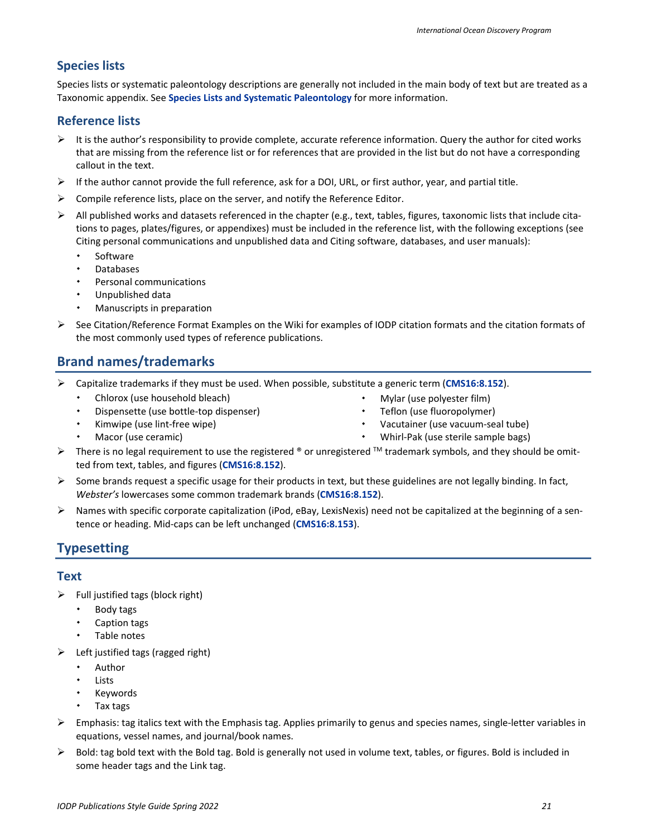### <span id="page-20-0"></span>**Species lists**

Species lists or systematic paleontology descriptions are generally not included in the main body of text but are treated as a Taxonomic appendix. See **[Species Lists and Systematic Paleontology](#page-42-3)** for more information.

#### <span id="page-20-1"></span>**Reference lists**

- $\triangleright$  It is the author's responsibility to provide complete, accurate reference information. Query the author for cited works that are missing from the reference list or for references that are provided in the list but do not have a corresponding callout in the text.
- $\triangleright$  If the author cannot provide the full reference, ask for a DOI, URL, or first author, year, and partial title.
- $\triangleright$  Compile reference lists, place on the server, and notify the Reference Editor.
- $\triangleright$  All published works and datasets referenced in the chapter (e.g., text, tables, figures, taxonomic lists that include citations to pages, plates/figures, or appendixes) must be included in the reference list, with the following exceptions (see Citing personal communications and unpublished data and Citing software, databases, and user manuals):
	- Software
	- Databases
	- Personal communications
	- Unpublished data
	- Manuscripts in preparation
- $\triangleright$  See Citation/Reference Format Examples on the Wiki for examples of IODP citation formats and the citation formats of the most commonly used types of reference publications.

# <span id="page-20-2"></span>**Brand names/trademarks**

- Capitalize trademarks if they must be used. When possible, substitute a generic term (**[CMS16:8.152](http://www.chicagomanualofstyle.org/16/ch08/ch08_sec152.html)**).
	- Chlorox (use household bleach)
	- Dispensette (use bottle-top dispenser)
	- Kimwipe (use lint-free wipe) Macor (use ceramic)
- Mylar (use polyester film) Teflon (use fluoropolymer)
- Vacutainer (use vacuum-seal tube)
- Whirl-Pak (use sterile sample bags)
- There is no legal requirement to use the registered ® or unregistered ™ trademark symbols, and they should be omitted from text, tables, and figures (**[CMS16:8.152](http://www.chicagomanualofstyle.org/16/ch08/ch08_sec152.html)**).
- $\triangleright$  Some brands request a specific usage for their products in text, but these guidelines are not legally binding. In fact, *Webster's* lowercases some common trademark brands (**[CMS16:8.152](http://www.chicagomanualofstyle.org/16/ch08/ch08_sec152.html)**).
- $\triangleright$  Names with specific corporate capitalization (iPod, eBay, LexisNexis) need not be capitalized at the beginning of a sentence or heading. Mid-caps can be left unchanged (**[CMS16:8.153](http://www.chicagomanualofstyle.org/16/ch08/ch08_sec153.html)**).

# <span id="page-20-3"></span>**Typesetting**

#### <span id="page-20-4"></span>**Text**

- $\triangleright$  Full justified tags (block right)
	- Body tags
	- Caption tags
	- Table notes
- $\triangleright$  Left justified tags (ragged right)
	- Author
	- Lists
	- Keywords
	- Tax tags
- $\triangleright$  Emphasis: tag italics text with the Emphasis tag. Applies primarily to genus and species names, single-letter variables in equations, vessel names, and journal/book names.
- $\triangleright$  Bold: tag bold text with the Bold tag. Bold is generally not used in volume text, tables, or figures. Bold is included in some header tags and the Link tag.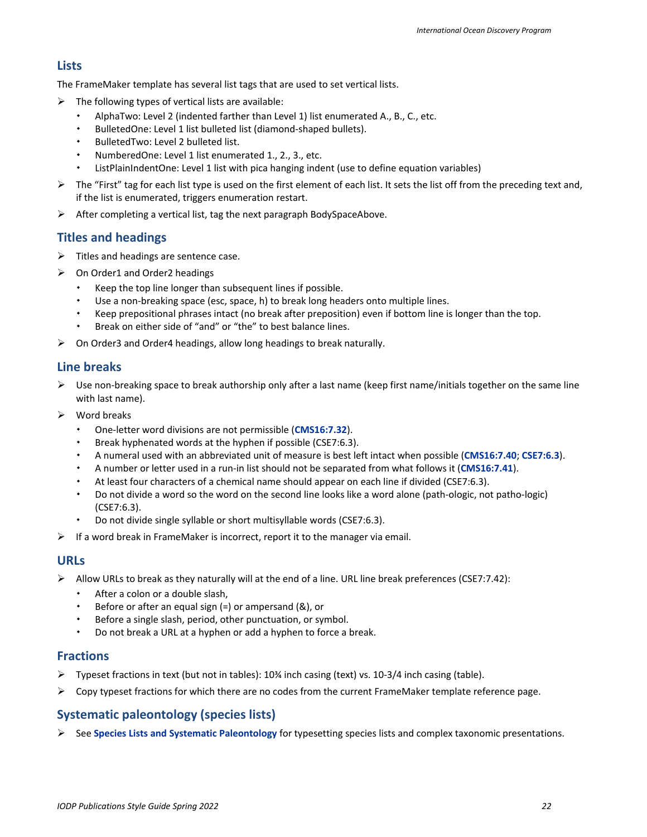### <span id="page-21-0"></span>**Lists**

The FrameMaker template has several list tags that are used to set vertical lists.

- $\triangleright$  The following types of vertical lists are available:
	- AlphaTwo: Level 2 (indented farther than Level 1) list enumerated A., B., C., etc.
	- BulletedOne: Level 1 list bulleted list (diamond-shaped bullets).
	- BulletedTwo: Level 2 bulleted list.
	- NumberedOne: Level 1 list enumerated 1., 2., 3., etc.
	- ListPlainIndentOne: Level 1 list with pica hanging indent (use to define equation variables)
- $\triangleright$  The "First" tag for each list type is used on the first element of each list. It sets the list off from the preceding text and, if the list is enumerated, triggers enumeration restart.
- $\triangleright$  After completing a vertical list, tag the next paragraph BodySpaceAbove.

### <span id="page-21-1"></span>**Titles and headings**

- $\triangleright$  Titles and headings are sentence case.
- $\triangleright$  On Order1 and Order2 headings
	- Keep the top line longer than subsequent lines if possible.
	- Use a non-breaking space (esc, space, h) to break long headers onto multiple lines.
	- Keep prepositional phrases intact (no break after preposition) even if bottom line is longer than the top.
	- Break on either side of "and" or "the" to best balance lines.
- On Order3 and Order4 headings, allow long headings to break naturally.

### <span id="page-21-2"></span>**Line breaks**

- $\triangleright$  Use non-breaking space to break authorship only after a last name (keep first name/initials together on the same line with last name).
- $\triangleright$  Word breaks
	- One-letter word divisions are not permissible (**[CMS16:7.32](http://www.chicagomanualofstyle.org/16/ch07/ch07_sec032.html)**).
	- Break hyphenated words at the hyphen if possible (CSE7:6.3).
	- A numeral used with an abbreviated unit of measure is best left intact when possible (**[CMS16:7.40](http://www.chicagomanualofstyle.org/16/ch07/ch07_sec040.html)**; **[CSE7:6.3](http://www.chicagomanualofstyle.org/16/ch06/ch06_sec003.html)**).
	- A number or letter used in a run-in list should not be separated from what follows it (**CMS16:7.41**).
	- At least four characters of a chemical name should appear on each line if divided (CSE7:6.3).
	- Do not divide a word so the word on the second line looks like a word alone (path-ologic, not patho-logic) (CSE7:6.3).
	- Do not divide single syllable or short multisyllable words (CSE7:6.3).
- $\triangleright$  If a word break in FrameMaker is incorrect, report it to the manager via email.

### <span id="page-21-3"></span>**URLs**

- $\triangleright$  Allow URLs to break as they naturally will at the end of a line. URL line break preferences (CSE7:7.42):
	- After a colon or a double slash,
	- Before or after an equal sign (=) or ampersand (&), or
	- Before a single slash, period, other punctuation, or symbol.
	- Do not break a URL at a hyphen or add a hyphen to force a break.

#### <span id="page-21-4"></span>**Fractions**

- $▶$  Typeset fractions in text (but not in tables): 10¾ inch casing (text) vs. 10-3/4 inch casing (table).
- $\triangleright$  Copy typeset fractions for which there are no codes from the current FrameMaker template reference page.

### <span id="page-21-5"></span>**Systematic paleontology (species lists)**

 $\triangleright$  See [Species Lists and Systematic Paleontology](#page-42-3) for typesetting species lists and complex taxonomic presentations.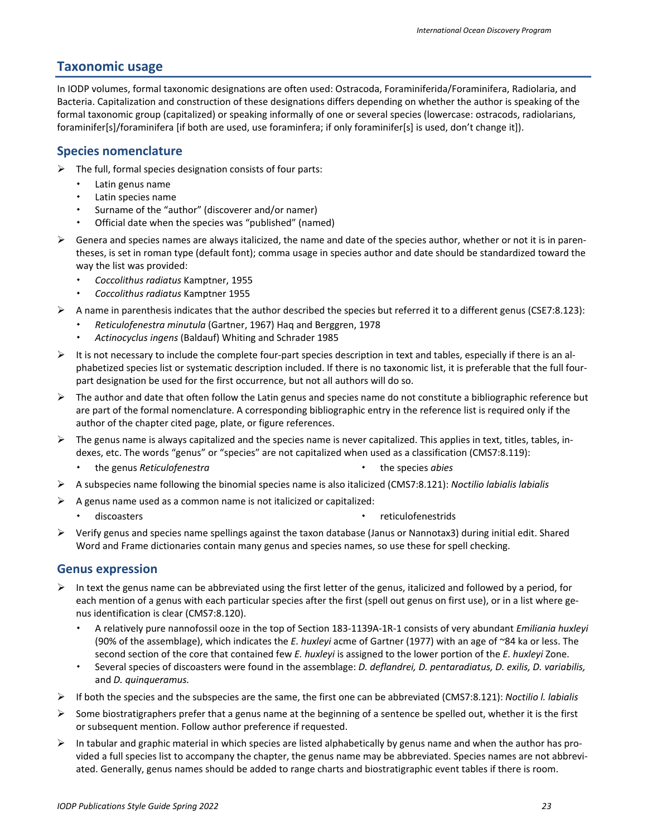### <span id="page-22-0"></span>**Taxonomic usage**

In IODP volumes, formal taxonomic designations are often used: Ostracoda, Foraminiferida/Foraminifera, Radiolaria, and Bacteria. Capitalization and construction of these designations differs depending on whether the author is speaking of the formal taxonomic group (capitalized) or speaking informally of one or several species (lowercase: ostracods, radiolarians, foraminifer[s]/foraminifera [if both are used, use foraminfera; if only foraminifer[s] is used, don't change it]).

#### <span id="page-22-1"></span>**Species nomenclature**

- $\triangleright$  The full, formal species designation consists of four parts:
	- Latin genus name
	- Latin species name
	- Surname of the "author" (discoverer and/or namer)
	- Official date when the species was "published" (named)
- $\triangleright$  Genera and species names are always italicized, the name and date of the species author, whether or not it is in parentheses, is set in roman type (default font); comma usage in species author and date should be standardized toward the way the list was provided:
	- *Coccolithus radiatus* Kamptner, 1955
	- *Coccolithus radiatus* Kamptner 1955
- $\triangleright$  A name in parenthesis indicates that the author described the species but referred it to a different genus (CSE7:8.123):
	- *Reticulofenestra minutula* (Gartner, 1967) Haq and Berggren, 1978
	- *Actinocyclus ingens* (Baldauf) Whiting and Schrader 1985
- $\triangleright$  It is not necessary to include the complete four-part species description in text and tables, especially if there is an alphabetized species list or systematic description included. If there is no taxonomic list, it is preferable that the full fourpart designation be used for the first occurrence, but not all authors will do so.
- $\triangleright$  The author and date that often follow the Latin genus and species name do not constitute a bibliographic reference but are part of the formal nomenclature. A corresponding bibliographic entry in the reference list is required only if the author of the chapter cited page, plate, or figure references.
- $\triangleright$  The genus name is always capitalized and the species name is never capitalized. This applies in text, titles, tables, indexes, etc. The words "genus" or "species" are not capitalized when used as a classification (CMS7:8.119):
	- the genus *Reticulofenestra* the species *abies*
- A subspecies name following the binomial species name is also italicized (CMS7:8.121): *Noctilio labialis labialis*
- $\triangleright$  A genus name used as a common name is not italicized or capitalized:
	- discoasters **reticulofenestrids reticulofenestrids**
- Verify genus and species name spellings against the taxon database (Janus or Nannotax3) during initial edit. Shared Word and Frame dictionaries contain many genus and species names, so use these for spell checking.

#### <span id="page-22-2"></span>**Genus expression**

- $\triangleright$  In text the genus name can be abbreviated using the first letter of the genus, italicized and followed by a period, for each mention of a genus with each particular species after the first (spell out genus on first use), or in a list where genus identification is clear (CMS7:8.120).
	- A relatively pure nannofossil ooze in the top of Section 183-1139A-1R-1 consists of very abundant *Emiliania huxleyi* (90% of the assemblage), which indicates the *E. huxleyi* acme of Gartner (1977) with an age of ~84 ka or less. The second section of the core that contained few *E. huxleyi* is assigned to the lower portion of the *E. huxleyi* Zone.
	- Several species of discoasters were found in the assemblage: *D. deflandrei, D. pentaradiatus, D. exilis, D. variabilis,*  and *D. quinqueramus.*
- If both the species and the subspecies are the same, the first one can be abbreviated (CMS7:8.121): *Noctilio l. labialis*
- Some biostratigraphers prefer that a genus name at the beginning of a sentence be spelled out, whether it is the first or subsequent mention. Follow author preference if requested.
- $\triangleright$  In tabular and graphic material in which species are listed alphabetically by genus name and when the author has provided a full species list to accompany the chapter, the genus name may be abbreviated. Species names are not abbreviated. Generally, genus names should be added to range charts and biostratigraphic event tables if there is room.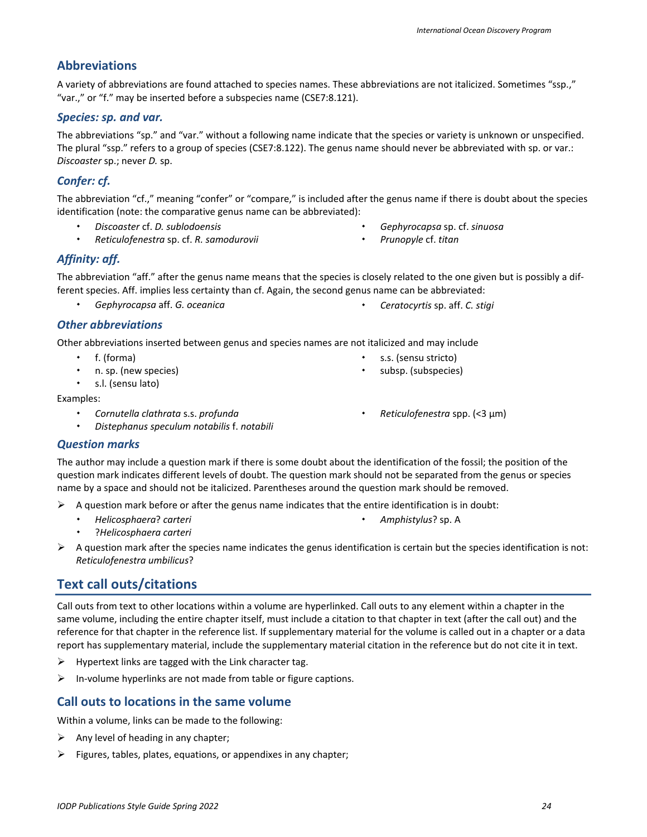# <span id="page-23-0"></span>**Abbreviations**

A variety of abbreviations are found attached to species names. These abbreviations are not italicized. Sometimes "ssp.," "var.," or "f." may be inserted before a subspecies name (CSE7:8.121).

# *Species: sp. and var.*

The abbreviations "sp." and "var." without a following name indicate that the species or variety is unknown or unspecified. The plural "ssp." refers to a group of species (CSE7:8.122). The genus name should never be abbreviated with sp. or var.: *Discoaster* sp.; never *D.* sp.

# *Confer: cf.*

The abbreviation "cf.," meaning "confer" or "compare," is included after the genus name if there is doubt about the species identification (note: the comparative genus name can be abbreviated):

- *Discoaster* cf. *D. sublodoensis*
- *Reticulofenestra* sp. cf. *R. samodurovii*
- *Gephyrocapsa* sp. cf. *sinuosa*
- *Prunopyle* cf. *titan*

### *Affinity: aff.*

The abbreviation "aff." after the genus name means that the species is closely related to the one given but is possibly a different species. Aff. implies less certainty than cf. Again, the second genus name can be abbreviated:

- *Gephyrocapsa* aff. *G. oceanica Ceratocyrtis* sp. aff. *C. stigi*
- 

 s.s. (sensu stricto) subsp. (subspecies)

#### *Other abbreviations*

Other abbreviations inserted between genus and species names are not italicized and may include

- f. (forma)
- n. sp. (new species)
- s.l. (sensu lato)

Examples:

- *Cornutella clathrata* s.s. *profunda*
- *Distephanus speculum notabilis* f. *notabili*

*Reticulofenestra* spp. (<3 µm)

*Amphistylus*? sp. A

### *Question marks*

The author may include a question mark if there is some doubt about the identification of the fossil; the position of the question mark indicates different levels of doubt. The question mark should not be separated from the genus or species name by a space and should not be italicized. Parentheses around the question mark should be removed.

- $\triangleright$  A question mark before or after the genus name indicates that the entire identification is in doubt:
	- *Helicosphaera*? *carteri*
	- ?*Helicosphaera carteri*
- $\triangleright$  A question mark after the species name indicates the genus identification is certain but the species identification is not: *Reticulofenestra umbilicus*?

# <span id="page-23-1"></span>**Text call outs/citations**

Call outs from text to other locations within a volume are hyperlinked. Call outs to any element within a chapter in the same volume, including the entire chapter itself, must include a citation to that chapter in text (after the call out) and the reference for that chapter in the reference list. If supplementary material for the volume is called out in a chapter or a data report has supplementary material, include the supplementary material citation in the reference but do not cite it in text.

- $\triangleright$  Hypertext links are tagged with the Link character tag.
- $\triangleright$  In-volume hyperlinks are not made from table or figure captions.

# <span id="page-23-2"></span>**Call outs to locations in the same volume**

Within a volume, links can be made to the following:

- $\triangleright$  Any level of heading in any chapter;
- $\triangleright$  Figures, tables, plates, equations, or appendixes in any chapter;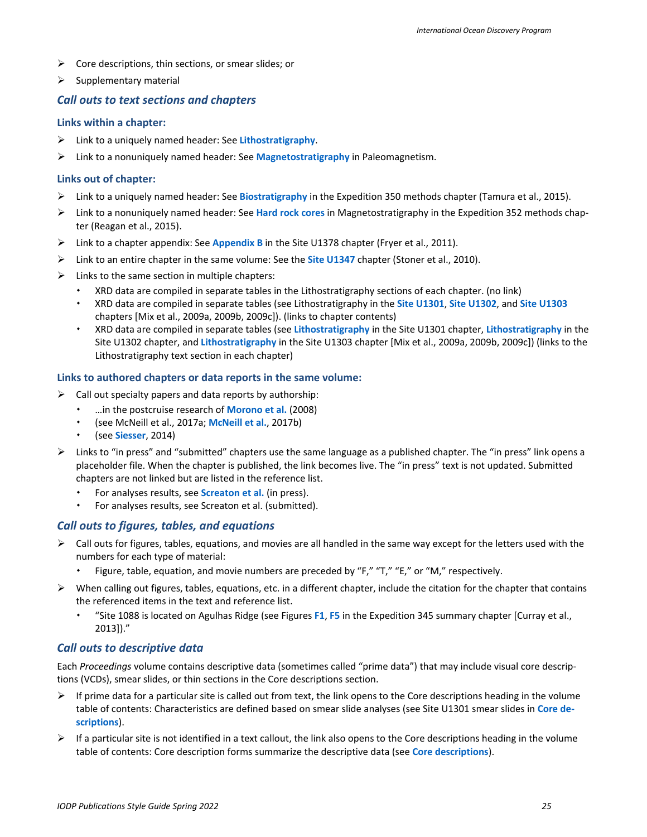- $\triangleright$  Core descriptions, thin sections, or smear slides; or
- $\triangleright$  Supplementary material

#### <span id="page-24-0"></span>*Call outs to text sections and chapters*

#### **Links within a chapter:**

- Link to a uniquely named header: See **Lithostratigraphy**.
- Link to a nonuniquely named header: See **Magnetostratigraphy** in Paleomagnetism.

#### **Links out of chapter:**

- Link to a uniquely named header: See **Biostratigraphy** in the Expedition 350 methods chapter (Tamura et al., 2015).
- Link to a nonuniquely named header: See **Hard rock cores** in Magnetostratigraphy in the Expedition 352 methods chapter (Reagan et al., 2015).
- Link to a chapter appendix: See **Appendix B** in the Site U1378 chapter (Fryer et al., 2011).
- Link to an entire chapter in the same volume: See the **Site U1347** chapter (Stoner et al., 2010).
- $\triangleright$  Links to the same section in multiple chapters:
	- XRD data are compiled in separate tables in the Lithostratigraphy sections of each chapter. (no link)
	- XRD data are compiled in separate tables (see Lithostratigraphy in the **Site U1301**, **Site U1302**, and **Site U1303** chapters [Mix et al., 2009a, 2009b, 2009c]). (links to chapter contents)
	- XRD data are compiled in separate tables (see **Lithostratigraphy** in the Site U1301 chapter, **Lithostratigraphy** in the Site U1302 chapter, and **Lithostratigraphy** in the Site U1303 chapter [Mix et al., 2009a, 2009b, 2009c]) (links to the Lithostratigraphy text section in each chapter)

#### **Links to authored chapters or data reports in the same volume:**

- $\triangleright$  Call out specialty papers and data reports by authorship:
	- …in the postcruise research of **Morono et al.** (2008)
	- (see McNeill et al., 2017a; **McNeill et al.**, 2017b)
	- (see **Siesser**, 2014)
- $\triangleright$  Links to "in press" and "submitted" chapters use the same language as a published chapter. The "in press" link opens a placeholder file. When the chapter is published, the link becomes live. The "in press" text is not updated. Submitted chapters are not linked but are listed in the reference list.
	- For analyses results, see **Screaton et al.** (in press).
	- For analyses results, see Screaton et al. (submitted).

#### <span id="page-24-1"></span>*Call outs to figures, tables, and equations*

- $\triangleright$  Call outs for figures, tables, equations, and movies are all handled in the same way except for the letters used with the numbers for each type of material:
	- Figure, table, equation, and movie numbers are preceded by "F," "T," "E," or "M," respectively.
- $\triangleright$  When calling out figures, tables, equations, etc. in a different chapter, include the citation for the chapter that contains the referenced items in the text and reference list.
	- "Site 1088 is located on Agulhas Ridge (see Figures **F1**, **F5** in the Expedition 345 summary chapter [Curray et al., 2013])."

#### <span id="page-24-2"></span>*Call outs to descriptive data*

Each *Proceedings* volume contains descriptive data (sometimes called "prime data") that may include visual core descriptions (VCDs), smear slides, or thin sections in the Core descriptions section.

- $\triangleright$  If prime data for a particular site is called out from text, the link opens to the Core descriptions heading in the volume table of contents: Characteristics are defined based on smear slide analyses (see Site U1301 smear slides in **Core descriptions**).
- $\triangleright$  If a particular site is not identified in a text callout, the link also opens to the Core descriptions heading in the volume table of contents: Core description forms summarize the descriptive data (see **Core descriptions**).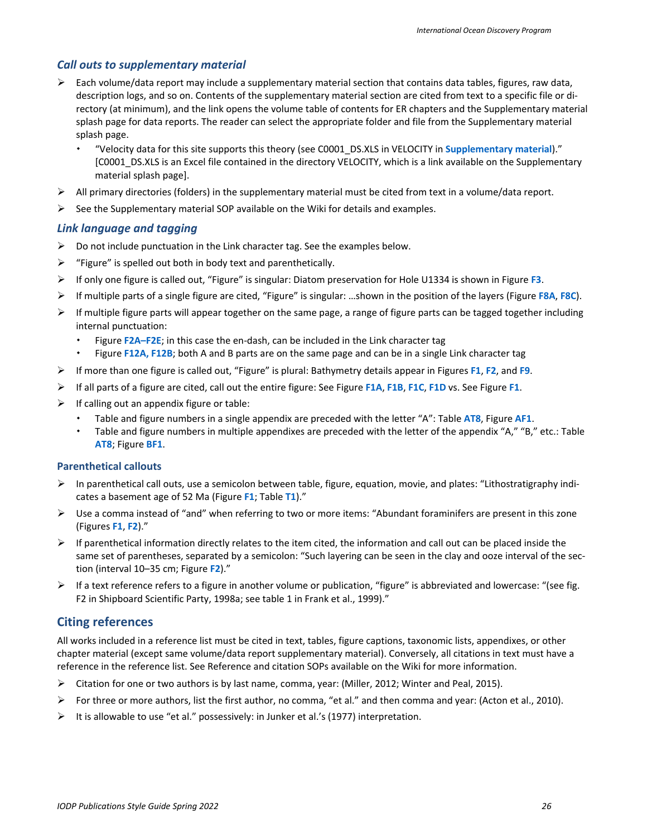#### <span id="page-25-0"></span>*Call outs to supplementary material*

- $\triangleright$  Each volume/data report may include a supplementary material section that contains data tables, figures, raw data, description logs, and so on. Contents of the supplementary material section are cited from text to a specific file or directory (at minimum), and the link opens the volume table of contents for ER chapters and the Supplementary material splash page for data reports. The reader can select the appropriate folder and file from the Supplementary material splash page.
	- "Velocity data for this site supports this theory (see C0001\_DS.XLS in VELOCITY in **Supplementary material**)." [C0001\_DS.XLS is an Excel file contained in the directory VELOCITY, which is a link available on the Supplementary material splash page].
- $\triangleright$  All primary directories (folders) in the supplementary material must be cited from text in a volume/data report.
- $\triangleright$  See the Supplementary material SOP available on the Wiki for details and examples.

#### <span id="page-25-1"></span>*Link language and tagging*

- $\triangleright$  Do not include punctuation in the Link character tag. See the examples below.
- $\triangleright$  "Figure" is spelled out both in body text and parenthetically.
- If only one figure is called out, "Figure" is singular: Diatom preservation for Hole U1334 is shown in Figure **F3**.
- If multiple parts of a single figure are cited, "Figure" is singular: …shown in the position of the layers (Figure **F8A**, **F8C**).
- $\triangleright$  If multiple figure parts will appear together on the same page, a range of figure parts can be tagged together including internal punctuation:
	- Figure **F2A–F2E**; in this case the en-dash, can be included in the Link character tag
	- Figure **F12A, F12B**; both A and B parts are on the same page and can be in a single Link character tag
- If more than one figure is called out, "Figure" is plural: Bathymetry details appear in Figures **F1**, **F2**, and **F9**.
- If all parts of a figure are cited, call out the entire figure: See Figure **F1A**, **F1B**, **F1C**, **F1D** vs. See Figure **F1**.
- $\triangleright$  If calling out an appendix figure or table:
	- Table and figure numbers in a single appendix are preceded with the letter "A": Table **AT8**, Figure **AF1**.
	- Table and figure numbers in multiple appendixes are preceded with the letter of the appendix "A," "B," etc.: Table **AT8**; Figure **BF1**.

#### **Parenthetical callouts**

- $\triangleright$  In parenthetical call outs, use a semicolon between table, figure, equation, movie, and plates: "Lithostratigraphy indicates a basement age of 52 Ma (Figure **F1**; Table **T1**)."
- $\triangleright$  Use a comma instead of "and" when referring to two or more items: "Abundant foraminifers are present in this zone (Figures **F1**, **F2**)."
- $\triangleright$  If parenthetical information directly relates to the item cited, the information and call out can be placed inside the same set of parentheses, separated by a semicolon: "Such layering can be seen in the clay and ooze interval of the section (interval 10–35 cm; Figure **F2**)."
- $\triangleright$  If a text reference refers to a figure in another volume or publication, "figure" is abbreviated and lowercase: "(see fig. F2 in Shipboard Scientific Party, 1998a; see table 1 in Frank et al., 1999)."

#### <span id="page-25-2"></span>**Citing references**

All works included in a reference list must be cited in text, tables, figure captions, taxonomic lists, appendixes, or other chapter material (except same volume/data report supplementary material). Conversely, all citations in text must have a reference in the reference list. See Reference and citation SOPs available on the Wiki for more information.

- $\triangleright$  Citation for one or two authors is by last name, comma, year: (Miller, 2012; Winter and Peal, 2015).
- For three or more authors, list the first author, no comma, "et al." and then comma and year: (Acton et al., 2010).
- It is allowable to use "et al." possessively: in Junker et al.'s (1977) interpretation.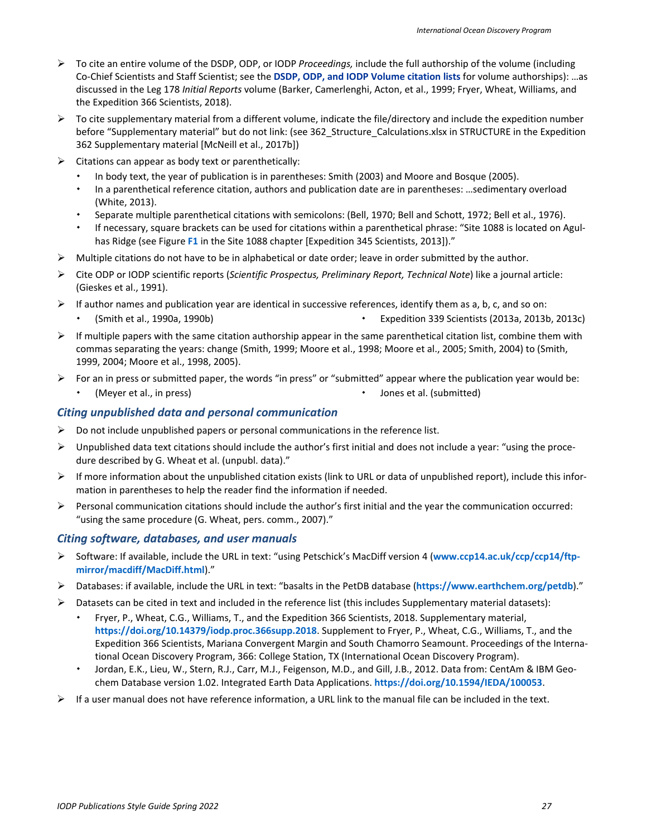- To cite an entire volume of the DSDP, ODP, or IODP *Proceedings,* include the full authorship of the volume (including Co-Chief Scientists and Staff Scientist; see the **[DSDP, ODP, and IODP Volume citation lists](https://sites.google.com/a/scientific-ocean-drilling.org/wikied/citation-sops)** for volume authorships): …as discussed in the Leg 178 *Initial Reports* volume (Barker, Camerlenghi, Acton, et al., 1999; Fryer, Wheat, Williams, and the Expedition 366 Scientists, 2018).
- $\triangleright$  To cite supplementary material from a different volume, indicate the file/directory and include the expedition number before "Supplementary material" but do not link: (see 362\_Structure\_Calculations.xlsx in STRUCTURE in the Expedition 362 Supplementary material [McNeill et al., 2017b])
- $\triangleright$  Citations can appear as body text or parenthetically:
	- In body text, the year of publication is in parentheses: Smith (2003) and Moore and Bosque (2005).
	- In a parenthetical reference citation, authors and publication date are in parentheses: …sedimentary overload (White, 2013).
	- Separate multiple parenthetical citations with semicolons: (Bell, 1970; Bell and Schott, 1972; Bell et al., 1976).
	- If necessary, square brackets can be used for citations within a parenthetical phrase: "Site 1088 is located on Agulhas Ridge (see Figure **F1** in the Site 1088 chapter [Expedition 345 Scientists, 2013])."
- $\triangleright$  Multiple citations do not have to be in alphabetical or date order; leave in order submitted by the author.
- Cite ODP or IODP scientific reports (*Scientific Prospectus, Preliminary Report, Technical Note*) like a journal article: (Gieskes et al., 1991).
- $\triangleright$  If author names and publication year are identical in successive references, identify them as a, b, c, and so on:
	- (Smith et al., 1990a, 1990b) Expedition 339 Scientists (2013a, 2013b, 2013c)
- $\triangleright$  If multiple papers with the same citation authorship appear in the same parenthetical citation list, combine them with commas separating the years: change (Smith, 1999; Moore et al., 1998; Moore et al., 2005; Smith, 2004) to (Smith, 1999, 2004; Moore et al., 1998, 2005).
- For an in press or submitted paper, the words "in press" or "submitted" appear where the publication year would be:
	- (Meyer et al., in press)  $\bullet$  Jones et al. (submitted)

### <span id="page-26-0"></span>*Citing unpublished data and personal communication*

- $\triangleright$  Do not include unpublished papers or personal communications in the reference list.
- $\triangleright$  Unpublished data text citations should include the author's first initial and does not include a year: "using the procedure described by G. Wheat et al. (unpubl. data)."
- $\triangleright$  If more information about the unpublished citation exists (link to URL or data of unpublished report), include this information in parentheses to help the reader find the information if needed.
- $\triangleright$  Personal communication citations should include the author's first initial and the year the communication occurred: "using the same procedure (G. Wheat, pers. comm., 2007)."

#### <span id="page-26-1"></span>*Citing software, databases, and user manuals*

- Software: If available, include the URL in text: "using Petschick's MacDiff version 4 (**www.ccp14.ac.uk/ccp/ccp14/ftpmirror/macdiff/MacDiff.html**)."
- Databases: if available, include the URL in text: "basalts in the PetDB database (**https://www.earthchem.org/petdb**)."
- $\triangleright$  Datasets can be cited in text and included in the reference list (this includes Supplementary material datasets):
	- Fryer, P., Wheat, C.G., Williams, T., and the Expedition 366 Scientists, 2018. Supplementary material, **<https://doi.org/10.14379/iodp.proc.366supp.2018>**. Supplement to Fryer, P., Wheat, C.G., Williams, T., and the Expedition 366 Scientists, Mariana Convergent Margin and South Chamorro Seamount. Proceedings of the International Ocean Discovery Program, 366: College Station, TX (International Ocean Discovery Program).
	- Jordan, E.K., Lieu, W., Stern, R.J., Carr, M.J., Feigenson, M.D., and Gill, J.B., 2012. Data from: CentAm & IBM Geochem Database version 1.02. Integrated Earth Data Applications. **https://doi.org/10.1594/IEDA/100053**.
- $\triangleright$  If a user manual does not have reference information, a URL link to the manual file can be included in the text.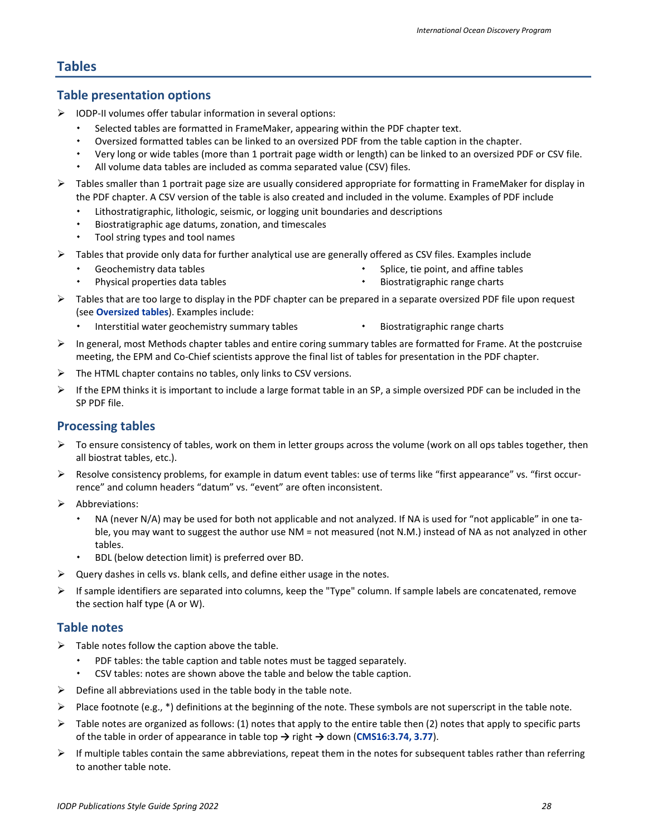### <span id="page-27-0"></span>**Tables**

#### <span id="page-27-1"></span>**Table presentation options**

- $\triangleright$  IODP-II volumes offer tabular information in several options:
	- Selected tables are formatted in FrameMaker, appearing within the PDF chapter text.
	- Oversized formatted tables can be linked to an oversized PDF from the table caption in the chapter.
	- Very long or wide tables (more than 1 portrait page width or length) can be linked to an oversized PDF or CSV file.
	- All volume data tables are included as comma separated value (CSV) files.
- Tables smaller than 1 portrait page size are usually considered appropriate for formatting in FrameMaker for display in the PDF chapter. A CSV version of the table is also created and included in the volume. Examples of PDF include
	- Lithostratigraphic, lithologic, seismic, or logging unit boundaries and descriptions
	- Biostratigraphic age datums, zonation, and timescales
	- Tool string types and tool names
- $\triangleright$  Tables that provide only data for further analytical use are generally offered as CSV files. Examples include
	- Geochemistry data tables
- Splice, tie point, and affine tables
- Physical properties data tables
- Biostratigraphic range charts
- $\triangleright$  Tables that are too large to display in the PDF chapter can be prepared in a separate oversized PDF file upon request (see **[Oversized tables](#page-29-1)**). Examples include:
	- Interstitial water geochemistry summary tables **Biostratigraphic range charts** https://www.marty.com
		-
- $\triangleright$  In general, most Methods chapter tables and entire coring summary tables are formatted for Frame. At the postcruise meeting, the EPM and Co-Chief scientists approve the final list of tables for presentation in the PDF chapter.
- $\triangleright$  The HTML chapter contains no tables, only links to CSV versions.
- $\triangleright$  If the EPM thinks it is important to include a large format table in an SP, a simple oversized PDF can be included in the SP PDF file.

### <span id="page-27-2"></span>**Processing tables**

- $\triangleright$  To ensure consistency of tables, work on them in letter groups across the volume (work on all ops tables together, then all biostrat tables, etc.).
- $\triangleright$  Resolve consistency problems, for example in datum event tables: use of terms like "first appearance" vs. "first occurrence" and column headers "datum" vs. "event" are often inconsistent.
- $\triangleright$  Abbreviations:
	- NA (never N/A) may be used for both not applicable and not analyzed. If NA is used for "not applicable" in one table, you may want to suggest the author use NM = not measured (not N.M.) instead of NA as not analyzed in other tables.
	- BDL (below detection limit) is preferred over BD.
- Query dashes in cells vs. blank cells, and define either usage in the notes.
- $\triangleright$  If sample identifiers are separated into columns, keep the "Type" column. If sample labels are concatenated, remove the section half type (A or W).

#### <span id="page-27-3"></span>**Table notes**

- $\triangleright$  Table notes follow the caption above the table.
	- PDF tables: the table caption and table notes must be tagged separately.
	- CSV tables: notes are shown above the table and below the table caption.
- $\triangleright$  Define all abbreviations used in the table body in the table note.
- Place footnote (e.g.,  $*$ ) definitions at the beginning of the note. These symbols are not superscript in the table note.
- Table notes are organized as follows: (1) notes that apply to the entire table then (2) notes that apply to specific parts of the table in order of appearance in table top **→** right **→** down (**[CMS16:3.74,](http://www.chicagomanualofstyle.org/16/ch03/ch03_sec074.html) 3.77**).
- $\triangleright$  If multiple tables contain the same abbreviations, repeat them in the notes for subsequent tables rather than referring to another table note.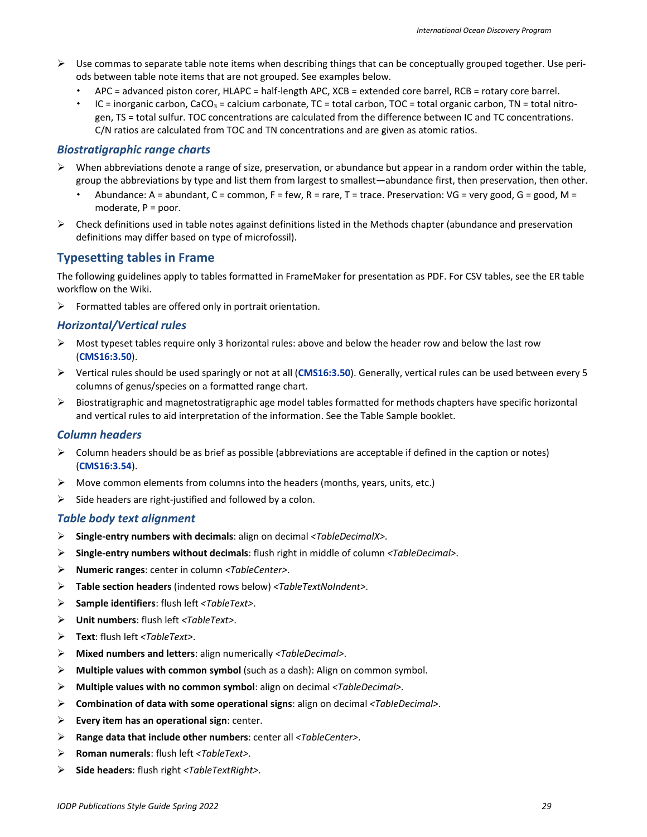- $\triangleright$  Use commas to separate table note items when describing things that can be conceptually grouped together. Use periods between table note items that are not grouped. See examples below.
	- APC = advanced piston corer, HLAPC = half-length APC, XCB = extended core barrel, RCB = rotary core barrel.
	- IC = inorganic carbon, CaCO<sub>3</sub> = calcium carbonate, TC = total carbon, TOC = total organic carbon, TN = total nitrogen, TS = total sulfur. TOC concentrations are calculated from the difference between IC and TC concentrations. C/N ratios are calculated from TOC and TN concentrations and are given as atomic ratios.

#### *Biostratigraphic range charts*

- $\triangleright$  When abbreviations denote a range of size, preservation, or abundance but appear in a random order within the table, group the abbreviations by type and list them from largest to smallest—abundance first, then preservation, then other.
	- Abundance: A = abundant, C = common, F = few, R = rare, T = trace. Preservation: VG = very good, G = good, M = moderate, P = poor.
- $\triangleright$  Check definitions used in table notes against definitions listed in the Methods chapter (abundance and preservation definitions may differ based on type of microfossil).

### <span id="page-28-0"></span>**Typesetting tables in Frame**

The following guidelines apply to tables formatted in FrameMaker for presentation as PDF. For CSV tables, see the ER table workflow on the Wiki.

 $\triangleright$  Formatted tables are offered only in portrait orientation.

#### *Horizontal/Vertical rules*

- $\triangleright$  Most typeset tables require only 3 horizontal rules: above and below the header row and below the last row (**[CMS16:3.50](http://www.chicagomanualofstyle.org/16/ch03/ch03_sec050.html)**).
- Vertical rules should be used sparingly or not at all (**[CMS16:3.50](http://www.chicagomanualofstyle.org/16/ch03/ch03_sec050.html)**). Generally, vertical rules can be used between every 5 columns of genus/species on a formatted range chart.
- $\triangleright$  Biostratigraphic and magnetostratigraphic age model tables formatted for methods chapters have specific horizontal and vertical rules to aid interpretation of the information. See the Table Sample booklet.

#### *Column headers*

- $\triangleright$  Column headers should be as brief as possible (abbreviations are acceptable if defined in the caption or notes) (**[CMS16:3.54](http://www.chicagomanualofstyle.org/16/ch03/ch03_sec054.html)**).
- $\triangleright$  Move common elements from columns into the headers (months, years, units, etc.)
- $\triangleright$  Side headers are right-justified and followed by a colon.

#### *Table body text alignment*

- **Single-entry numbers with decimals**: align on decimal *<TableDecimalX>*.
- **Single-entry numbers without decimals**: flush right in middle of column *<TableDecimal>*.
- **Numeric ranges**: center in column *<TableCenter>*.
- **Table section headers** (indented rows below) *<TableTextNoIndent>*.
- **Sample identifiers**: flush left *<TableText>*.
- **Unit numbers**: flush left *<TableText>*.
- **Text**: flush left *<TableText>*.
- **Mixed numbers and letters**: align numerically *<TableDecimal>*.
- **Multiple values with common symbol** (such as a dash): Align on common symbol.
- **Multiple values with no common symbol**: align on decimal *<TableDecimal>*.
- **Combination of data with some operational signs**: align on decimal *<TableDecimal>*.
- **Every item has an operational sign**: center.
- **Range data that include other numbers**: center all *<TableCenter>*.
- **Roman numerals**: flush left *<TableText>*.
- **Side headers**: flush right *<TableTextRight>*.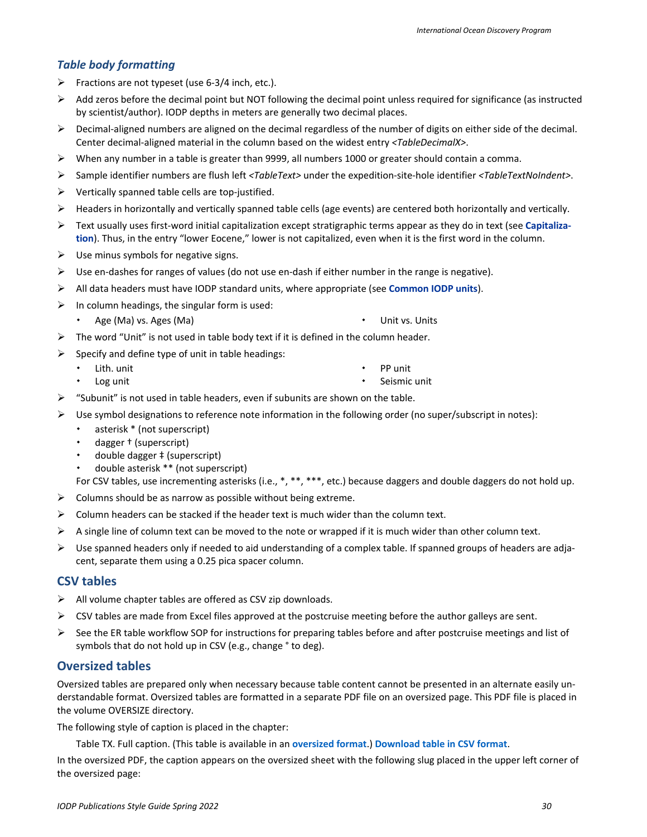#### *Table body formatting*

- $\triangleright$  Fractions are not typeset (use 6-3/4 inch, etc.).
- $\triangleright$  Add zeros before the decimal point but NOT following the decimal point unless required for significance (as instructed by scientist/author). IODP depths in meters are generally two decimal places.
- $\triangleright$  Decimal-aligned numbers are aligned on the decimal regardless of the number of digits on either side of the decimal. Center decimal-aligned material in the column based on the widest entry *<TableDecimalX>*.
- $\triangleright$  When any number in a table is greater than 9999, all numbers 1000 or greater should contain a comma.
- Sample identifier numbers are flush left *<TableText>* under the expedition-site-hole identifier *<TableTextNoIndent>*.
- $\triangleright$  Vertically spanned table cells are top-justified.
- $\triangleright$  Headers in horizontally and vertically spanned table cells (age events) are centered both horizontally and vertically.
- Text usually uses first-word initial capitalization except stratigraphic terms appear as they do in text (see **[Capitaliza](#page-5-2)[tion](#page-5-2)**). Thus, in the entry "lower Eocene," lower is not capitalized, even when it is the first word in the column.
- $\triangleright$  Use minus symbols for negative signs.
- $\triangleright$  Use en-dashes for ranges of values (do not use en-dash if either number in the range is negative).
- All data headers must have IODP standard units, where appropriate (see **[Common IODP units](#page-39-1)**).
- $\triangleright$  In column headings, the singular form is used:
	- Age (Ma) vs. Ages (Ma) **Ages (Ma) 1998 1998 1998 1998 1998 1998 1999 1999 1999 1999 1999 1999 1999 1999 1999 1999 1999 1999 1999 1999 1999 1999 1999 1999 1999 1999 19**
- $\triangleright$  The word "Unit" is not used in table body text if it is defined in the column header.
- $\triangleright$  Specify and define type of unit in table headings:
	- Lith. unit  $\cdot$  PP unit
	- Log unit
- $\triangleright$  "Subunit" is not used in table headers, even if subunits are shown on the table.
- $\triangleright$  Use symbol designations to reference note information in the following order (no super/subscript in notes):
	- asterisk \* (not superscript)
	- dagger † (superscript)
	- double dagger ‡ (superscript)
	- double asterisk \*\* (not superscript)

For CSV tables, use incrementing asterisks (i.e., \*, \*\*, \*\*\*, etc.) because daggers and double daggers do not hold up.

Seismic unit

- $\triangleright$  Columns should be as narrow as possible without being extreme.
- $\triangleright$  Column headers can be stacked if the header text is much wider than the column text.
- $\triangleright$  A single line of column text can be moved to the note or wrapped if it is much wider than other column text.
- $\triangleright$  Use spanned headers only if needed to aid understanding of a complex table. If spanned groups of headers are adjacent, separate them using a 0.25 pica spacer column.

#### <span id="page-29-0"></span>**CSV tables**

- $\triangleright$  All volume chapter tables are offered as CSV zip downloads.
- $\triangleright$  CSV tables are made from Excel files approved at the postcruise meeting before the author galleys are sent.
- $\triangleright$  See the ER table workflow SOP for instructions for preparing tables before and after postcruise meetings and list of symbols that do not hold up in CSV (e.g., change ° to deg).

### <span id="page-29-1"></span>**Oversized tables**

Oversized tables are prepared only when necessary because table content cannot be presented in an alternate easily understandable format. Oversized tables are formatted in a separate PDF file on an oversized page. This PDF file is placed in the volume OVERSIZE directory.

The following style of caption is placed in the chapter:

Table TX. Full caption. (This table is available in an **oversized format**.) **Download table in CSV format**.

In the oversized PDF, the caption appears on the oversized sheet with the following slug placed in the upper left corner of the oversized page: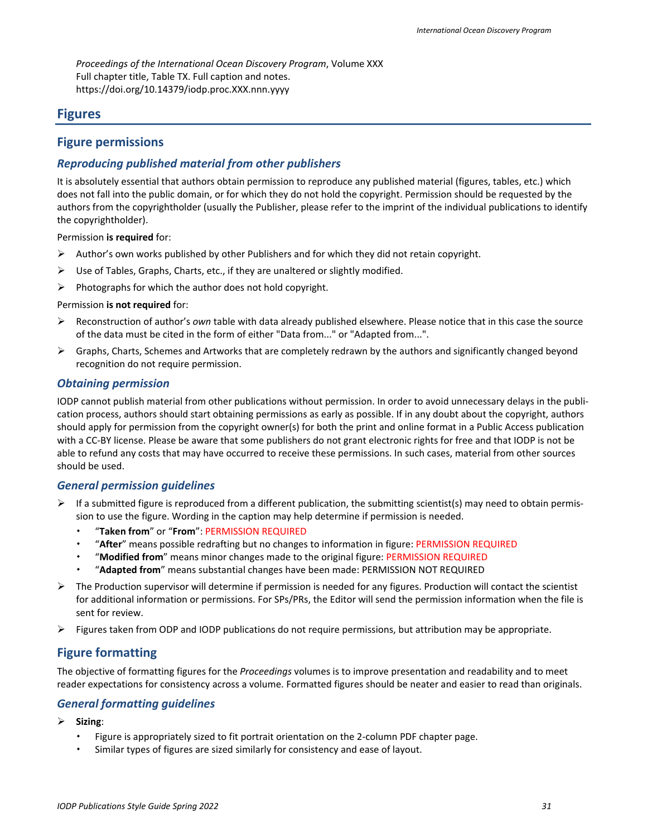*Proceedings of the International Ocean Discovery Program*, Volume XXX Full chapter title, Table TX. Full caption and notes. https://doi.org/10.14379/iodp.proc.XXX.nnn.yyyy

### <span id="page-30-0"></span>**Figures**

#### <span id="page-30-1"></span>**Figure permissions**

### *Reproducing published material from other publishers*

It is absolutely essential that authors obtain permission to reproduce any published material (figures, tables, etc.) which does not fall into the public domain, or for which they do not hold the copyright. Permission should be requested by the authors from the copyrightholder (usually the Publisher, please refer to the imprint of the individual publications to identify the copyrightholder).

Permission **is required** for:

- $\triangleright$  Author's own works published by other Publishers and for which they did not retain copyright.
- $\triangleright$  Use of Tables, Graphs, Charts, etc., if they are unaltered or slightly modified.
- $\triangleright$  Photographs for which the author does not hold copyright.

#### Permission **is not required** for:

- Reconstruction of author's *own* table with data already published elsewhere. Please notice that in this case the source of the data must be cited in the form of either "Data from..." or "Adapted from...".
- $\triangleright$  Graphs, Charts, Schemes and Artworks that are completely redrawn by the authors and significantly changed beyond recognition do not require permission.

#### *Obtaining permission*

IODP cannot publish material from other publications without permission. In order to avoid unnecessary delays in the publication process, authors should start obtaining permissions as early as possible. If in any doubt about the copyright, authors should apply for permission from the copyright owner(s) for both the print and online format in a Public Access publication with a CC-BY license. Please be aware that some publishers do not grant electronic rights for free and that IODP is not be able to refund any costs that may have occurred to receive these permissions. In such cases, material from other sources should be used.

#### *General permission guidelines*

- $\triangleright$  If a submitted figure is reproduced from a different publication, the submitting scientist(s) may need to obtain permission to use the figure. Wording in the caption may help determine if permission is needed.
	- "**Taken from**" or "**From**": PERMISSION REQUIRED
	- "**After**" means possible redrafting but no changes to information in figure: PERMISSION REQUIRED
	- "**Modified from**" means minor changes made to the original figure: PERMISSION REQUIRED
	- "**Adapted from**" means substantial changes have been made: PERMISSION NOT REQUIRED
- $\triangleright$  The Production supervisor will determine if permission is needed for any figures. Production will contact the scientist for additional information or permissions. For SPs/PRs, the Editor will send the permission information when the file is sent for review.
- $\triangleright$  Figures taken from ODP and IODP publications do not require permissions, but attribution may be appropriate.

### <span id="page-30-2"></span>**Figure formatting**

The objective of formatting figures for the *Proceedings* volumes is to improve presentation and readability and to meet reader expectations for consistency across a volume. Formatted figures should be neater and easier to read than originals.

#### *General formatting guidelines*

- **Sizing**:
	- Figure is appropriately sized to fit portrait orientation on the 2-column PDF chapter page.
	- Similar types of figures are sized similarly for consistency and ease of layout.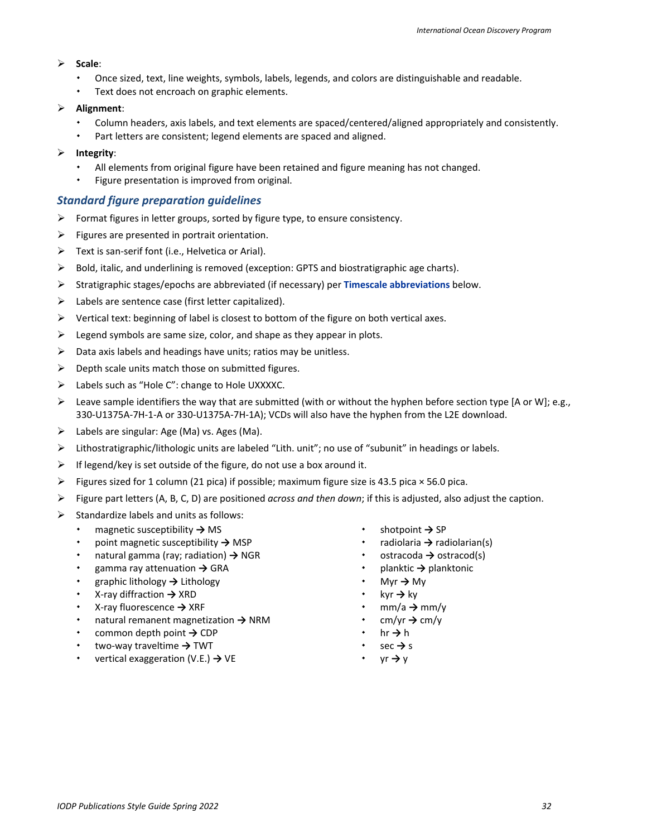#### **Scale**:

- Once sized, text, line weights, symbols, labels, legends, and colors are distinguishable and readable.
- Text does not encroach on graphic elements.

#### **Alignment**:

- Column headers, axis labels, and text elements are spaced/centered/aligned appropriately and consistently.
- Part letters are consistent; legend elements are spaced and aligned.

#### **Integrity**:

- All elements from original figure have been retained and figure meaning has not changed.
- Figure presentation is improved from original.

#### *Standard figure preparation guidelines*

- $\triangleright$  Format figures in letter groups, sorted by figure type, to ensure consistency.
- $\triangleright$  Figures are presented in portrait orientation.
- $\triangleright$  Text is san-serif font (i.e., Helvetica or Arial).
- $\triangleright$  Bold, italic, and underlining is removed (exception: GPTS and biostratigraphic age charts).
- Stratigraphic stages/epochs are abbreviated (if necessary) per **[Timescale abbreviations](#page-32-0)** below.
- $\triangleright$  Labels are sentence case (first letter capitalized).
- $\triangleright$  Vertical text: beginning of label is closest to bottom of the figure on both vertical axes.
- $\triangleright$  Legend symbols are same size, color, and shape as they appear in plots.
- $\triangleright$  Data axis labels and headings have units; ratios may be unitless.
- $\triangleright$  Depth scale units match those on submitted figures.
- > Labels such as "Hole C": change to Hole UXXXXC.
- E Leave sample identifiers the way that are submitted (with or without the hyphen before section type [A or W]; e.g., 330-U1375A-7H-1-A or 330-U1375A-7H-1A); VCDs will also have the hyphen from the L2E download.
- $\triangleright$  Labels are singular: Age (Ma) vs. Ages (Ma).
- Lithostratigraphic/lithologic units are labeled "Lith. unit"; no use of "subunit" in headings or labels.
- $\triangleright$  If legend/key is set outside of the figure, do not use a box around it.
- Figures sized for 1 column (21 pica) if possible; maximum figure size is 43.5 pica  $\times$  56.0 pica.
- Figure part letters (A, B, C, D) are positioned *across and then down*; if this is adjusted, also adjust the caption.
- $\triangleright$  Standardize labels and units as follows:
	- magnetic susceptibility **→** MS
	- point magnetic susceptibility **→** MSP
	- natural gamma (ray; radiation) **→** NGR
	- gamma ray attenuation **→** GRA
	- graphic lithology **→** Lithology
	- X-ray diffraction **→** XRD
	- X-ray fluorescence **→** XRF
	- natural remanent magnetization **→** NRM
	- common depth point **→** CDP
	- two-way traveltime **→** TWT
	- vertical exaggeration (V.E.) **→** VE
- shotpoint **→** SP
- radiolaria **→** radiolarian(s)
- ostracoda **→** ostracod(s)
- planktic **→** planktonic
- Myr **→** My
- kyr **→** ky
- mm/a **→** mm/y
- cm/yr **→** cm/y
- hr **→** h
- sec **→** s
- yr **→** y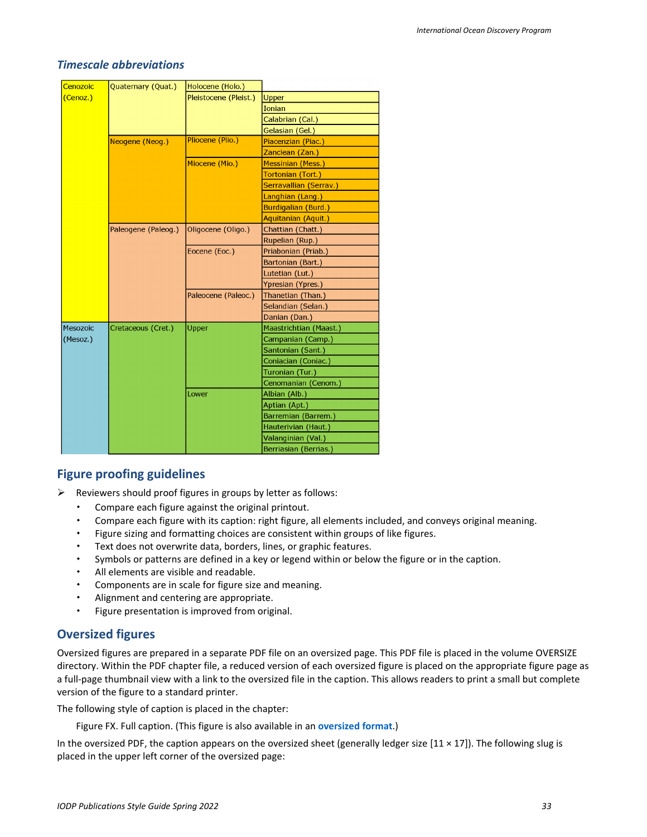#### <span id="page-32-0"></span>*Timescale abbreviations*

| Cenozoic | Quaternary (Quat.)  | Holocene (Holo.)      |                          |
|----------|---------------------|-----------------------|--------------------------|
| (Cenoz.) |                     | Pleistocene (Pleist.) | Upper                    |
|          |                     |                       | <b>Ionian</b>            |
|          |                     |                       | Calabrian (Cal.)         |
|          |                     |                       | Gelasian (Gel.)          |
|          | Neogene (Neog.)     | Pliocene (Plio.)      | Piacenzian (Piac.)       |
|          |                     |                       | Zanclean (Zan.)          |
|          |                     | Miocene (Mio.)        | <b>Messinian (Mess.)</b> |
|          |                     |                       | Tortonian (Tort.)        |
|          |                     |                       | Serravallian (Serrav.)   |
|          |                     |                       | Langhian (Lang.)         |
|          |                     |                       | Burdigalian (Burd.)      |
|          |                     |                       | Aquitanian (Aquit.)      |
|          | Paleogene (Paleog.) | Oligocene (Oligo.)    | Chattian (Chatt.)        |
|          |                     |                       | Rupelian (Rup.)          |
|          |                     | Eocene (Eoc.)         | Priabonian (Priab.)      |
|          |                     |                       | Bartonian (Bart.)        |
|          |                     |                       | Lutetian (Lut.)          |
|          |                     |                       | Ypresian (Ypres.)        |
|          |                     | Paleocene (Paleoc.)   | Thanetian (Than.)        |
|          |                     |                       | Selandian (Selan.)       |
|          |                     |                       | Danian (Dan.)            |
| Mesozoic | Cretaceous (Cret.)  | Upper                 | Maastrichtian (Maast.)   |
| (Mesoz.) |                     |                       | Campanian (Camp.)        |
|          |                     |                       | Santonian (Sant.)        |
|          |                     |                       | Coniacian (Coniac.)      |
|          |                     |                       | Turonian (Tur.)          |
|          |                     |                       | Cenomanian (Cenom.)      |
|          |                     | Lower                 | Albian (Alb.)            |
|          |                     |                       | Aptian (Apt.)            |
|          |                     |                       | Barremian (Barrem.)      |
|          |                     |                       | Hauterivian (Haut.)      |
|          |                     |                       | Valanginian (Val.)       |
|          |                     |                       | Berriasian (Berrias.)    |

### <span id="page-32-1"></span>**Figure proofing guidelines**

 $\triangleright$  Reviewers should proof figures in groups by letter as follows:

- Compare each figure against the original printout.
- Compare each figure with its caption: right figure, all elements included, and conveys original meaning.
- Figure sizing and formatting choices are consistent within groups of like figures.
- Text does not overwrite data, borders, lines, or graphic features.
- Symbols or patterns are defined in a key or legend within or below the figure or in the caption.
- All elements are visible and readable.
- Components are in scale for figure size and meaning.
- Alignment and centering are appropriate.
- Figure presentation is improved from original.

### <span id="page-32-2"></span>**Oversized figures**

Oversized figures are prepared in a separate PDF file on an oversized page. This PDF file is placed in the volume OVERSIZE directory. Within the PDF chapter file, a reduced version of each oversized figure is placed on the appropriate figure page as a full-page thumbnail view with a link to the oversized file in the caption. This allows readers to print a small but complete version of the figure to a standard printer.

The following style of caption is placed in the chapter:

Figure FX. Full caption. (This figure is also available in an **oversized format**.)

In the oversized PDF, the caption appears on the oversized sheet (generally ledger size  $[11 \times 17]$ ). The following slug is placed in the upper left corner of the oversized page: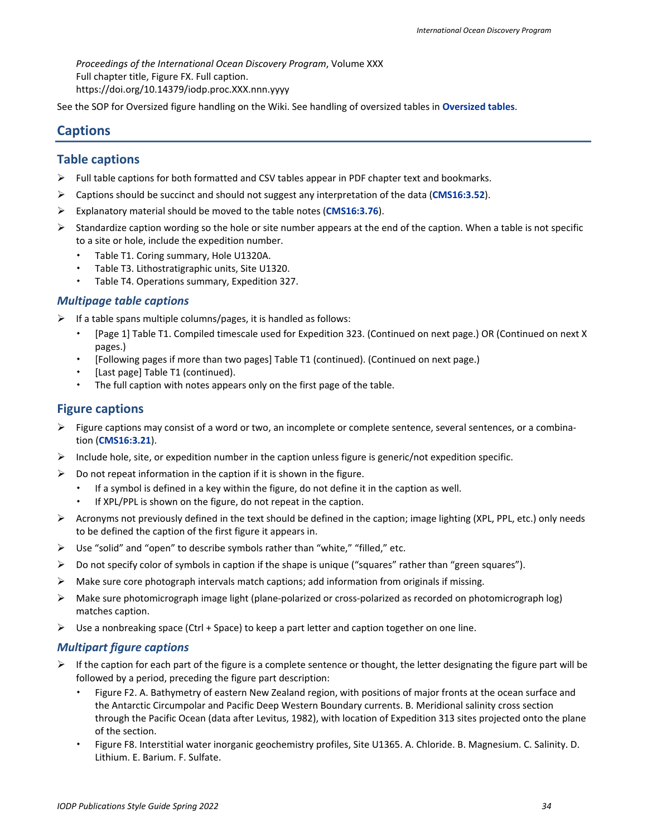*Proceedings of the International Ocean Discovery Program*, Volume XXX Full chapter title, Figure FX. Full caption. https://doi.org/10.14379/iodp.proc.XXX.nnn.yyyy

See the SOP for Oversized figure handling on the Wiki. See handling of oversized tables in **[Oversized tables](#page-29-1)**.

# <span id="page-33-0"></span>**Captions**

## <span id="page-33-1"></span>**Table captions**

- $\triangleright$  Full table captions for both formatted and CSV tables appear in PDF chapter text and bookmarks.
- Captions should be succinct and should not suggest any interpretation of the data (**[CMS16:3.52](http://www.chicagomanualofstyle.org/16/ch03/ch03_sec052.html)**).
- Explanatory material should be moved to the table notes (**[CMS16:3.76](http://www.chicagomanualofstyle.org/16/ch03/ch03_sec076.html)**).
- $\triangleright$  Standardize caption wording so the hole or site number appears at the end of the caption. When a table is not specific to a site or hole, include the expedition number.
	- Table T1. Coring summary, Hole U1320A.
	- Table T3. Lithostratigraphic units, Site U1320.
	- Table T4. Operations summary, Expedition 327.

#### *Multipage table captions*

- $\triangleright$  If a table spans multiple columns/pages, it is handled as follows:
	- [Page 1] Table T1. Compiled timescale used for Expedition 323. (Continued on next page.) OR (Continued on next X pages.)
	- [Following pages if more than two pages] Table T1 (continued). (Continued on next page.)
	- [Last page] Table T1 (continued).
	- The full caption with notes appears only on the first page of the table.

### <span id="page-33-2"></span>**Figure captions**

- $\triangleright$  Figure captions may consist of a word or two, an incomplete or complete sentence, several sentences, or a combination (**[CMS16:3.21](http://www.chicagomanualofstyle.org/16/ch03/ch03_sec021.html)**).
- Include hole, site, or expedition number in the caption unless figure is generic/not expedition specific.
- $\triangleright$  Do not repeat information in the caption if it is shown in the figure.
	- If a symbol is defined in a key within the figure, do not define it in the caption as well.
	- If XPL/PPL is shown on the figure, do not repeat in the caption.
- $\triangleright$  Acronyms not previously defined in the text should be defined in the caption; image lighting (XPL, PPL, etc.) only needs to be defined the caption of the first figure it appears in.
- $\triangleright$  Use "solid" and "open" to describe symbols rather than "white," "filled," etc.
- $\triangleright$  Do not specify color of symbols in caption if the shape is unique ("squares" rather than "green squares").
- $\triangleright$  Make sure core photograph intervals match captions; add information from originals if missing.
- Make sure photomicrograph image light (plane-polarized or cross-polarized as recorded on photomicrograph log) matches caption.
- $\triangleright$  Use a nonbreaking space (Ctrl + Space) to keep a part letter and caption together on one line.

#### *Multipart figure captions*

- $\triangleright$  If the caption for each part of the figure is a complete sentence or thought, the letter designating the figure part will be followed by a period, preceding the figure part description:
	- Figure F2. A. Bathymetry of eastern New Zealand region, with positions of major fronts at the ocean surface and the Antarctic Circumpolar and Pacific Deep Western Boundary currents. B. Meridional salinity cross section through the Pacific Ocean (data after Levitus, 1982), with location of Expedition 313 sites projected onto the plane of the section.
	- Figure F8. Interstitial water inorganic geochemistry profiles, Site U1365. A. Chloride. B. Magnesium. C. Salinity. D. Lithium. E. Barium. F. Sulfate.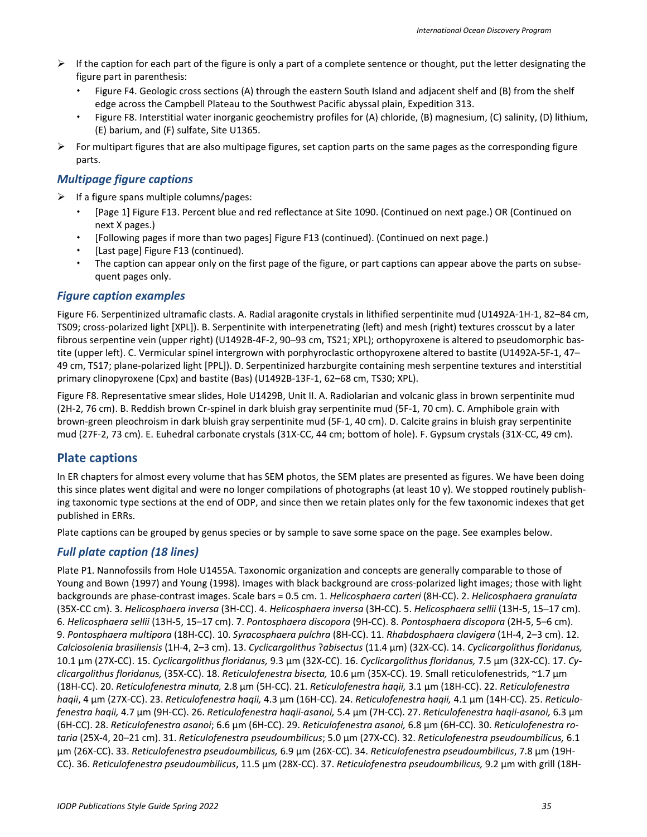- $\triangleright$  If the caption for each part of the figure is only a part of a complete sentence or thought, put the letter designating the figure part in parenthesis:
	- Figure F4. Geologic cross sections (A) through the eastern South Island and adjacent shelf and (B) from the shelf edge across the Campbell Plateau to the Southwest Pacific abyssal plain, Expedition 313.
	- Figure F8. Interstitial water inorganic geochemistry profiles for (A) chloride, (B) magnesium, (C) salinity, (D) lithium, (E) barium, and (F) sulfate, Site U1365.
- $\triangleright$  For multipart figures that are also multipage figures, set caption parts on the same pages as the corresponding figure parts.

### *Multipage figure captions*

- $\triangleright$  If a figure spans multiple columns/pages:
	- [Page 1] Figure F13. Percent blue and red reflectance at Site 1090. (Continued on next page.) OR (Continued on next X pages.)
	- [Following pages if more than two pages] Figure F13 (continued). (Continued on next page.)
	- [Last page] Figure F13 (continued).
	- The caption can appear only on the first page of the figure, or part captions can appear above the parts on subsequent pages only.

### *Figure caption examples*

Figure F6. Serpentinized ultramafic clasts. A. Radial aragonite crystals in lithified serpentinite mud (U1492A-1H-1, 82–84 cm, TS09; cross-polarized light [XPL]). B. Serpentinite with interpenetrating (left) and mesh (right) textures crosscut by a later fibrous serpentine vein (upper right) (U1492B-4F-2, 90–93 cm, TS21; XPL); orthopyroxene is altered to pseudomorphic bastite (upper left). C. Vermicular spinel intergrown with porphyroclastic orthopyroxene altered to bastite (U1492A-5F-1, 47– 49 cm, TS17; plane-polarized light [PPL]). D. Serpentinized harzburgite containing mesh serpentine textures and interstitial primary clinopyroxene (Cpx) and bastite (Bas) (U1492B-13F-1, 62–68 cm, TS30; XPL).

Figure F8. Representative smear slides, Hole U1429B, Unit II. A. Radiolarian and volcanic glass in brown serpentinite mud (2H-2, 76 cm). B. Reddish brown Cr-spinel in dark bluish gray serpentinite mud (5F-1, 70 cm). C. Amphibole grain with brown-green pleochroism in dark bluish gray serpentinite mud (5F-1, 40 cm). D. Calcite grains in bluish gray serpentinite mud (27F-2, 73 cm). E. Euhedral carbonate crystals (31X-CC, 44 cm; bottom of hole). F. Gypsum crystals (31X-CC, 49 cm).

# <span id="page-34-0"></span>**Plate captions**

In ER chapters for almost every volume that has SEM photos, the SEM plates are presented as figures. We have been doing this since plates went digital and were no longer compilations of photographs (at least 10 y). We stopped routinely publishing taxonomic type sections at the end of ODP, and since then we retain plates only for the few taxonomic indexes that get published in ERRs.

Plate captions can be grouped by genus species or by sample to save some space on the page. See examples below.

# *Full plate caption (18 lines)*

Plate P1. Nannofossils from Hole U1455A. Taxonomic organization and concepts are generally comparable to those of Young and Bown (1997) and Young (1998). Images with black background are cross-polarized light images; those with light backgrounds are phase-contrast images. Scale bars = 0.5 cm. 1. *Helicosphaera carteri* (8H-CC). 2. *Helicosphaera granulata* (35X-CC cm). 3. *Helicosphaera inversa* (3H-CC). 4. *Helicosphaera inversa* (3H-CC). 5. *Helicosphaera sellii* (13H-5, 15–17 cm). 6. *Helicosphaera sellii* (13H-5, 15–17 cm). 7. *Pontosphaera discopora* (9H-CC). 8. *Pontosphaera discopora* (2H-5, 5–6 cm). 9. *Pontosphaera multipora* (18H-CC). 10. *Syracosphaera pulchra* (8H-CC). 11. *Rhabdosphaera clavigera* (1H-4, 2–3 cm). 12. *Calciosolenia brasiliensis* (1H-4, 2–3 cm). 13. *Cyclicargolithus* ?*abisectus* (11.4 µm) (32X-CC). 14. *Cyclicargolithus floridanus,* 10.1 µm (27X-CC). 15. *Cyclicargolithus floridanus,* 9.3 µm (32X-CC). 16. *Cyclicargolithus floridanus,* 7.5 µm (32X-CC). 17. *Cyclicargolithus floridanus,* (35X-CC). 18. *Reticulofenestra bisecta,* 10.6 µm (35X-CC). 19. Small reticulofenestrids, ~1.7 µm (18H-CC). 20. *Reticulofenestra minuta,* 2.8 µm (5H-CC). 21. *Reticulofenestra haqii,* 3.1 µm (18H-CC). 22. *Reticulofenestra haqii*, 4 µm (27X-CC). 23. *Reticulofenestra haqii,* 4.3 µm (16H-CC). 24. *Reticulofenestra haqii,* 4.1 µm (14H-CC). 25. *Reticulofenestra haqii,* 4.7 µm (9H-CC). 26. *Reticulofenestra haqii-asanoi,* 5.4 µm (7H-CC). 27. *Reticulofenestra haqii-asanoi,* 6.3 µm (6H-CC). 28. *Reticulofenestra asanoi*; 6.6 µm (6H-CC). 29. *Reticulofenestra asanoi,* 6.8 µm (6H-CC). 30. *Reticulofenestra rotaria* (25X-4, 20–21 cm). 31. *Reticulofenestra pseudoumbilicus*; 5.0 µm (27X-CC). 32. *Reticulofenestra pseudoumbilicus,* 6.1 µm (26X-CC). 33. *Reticulofenestra pseudoumbilicus,* 6.9 µm (26X-CC). 34. *Reticulofenestra pseudoumbilicus*, 7.8 µm (19H-CC). 36. *Reticulofenestra pseudoumbilicus*, 11.5 µm (28X-CC). 37. *Reticulofenestra pseudoumbilicus,* 9.2 µm with grill (18H-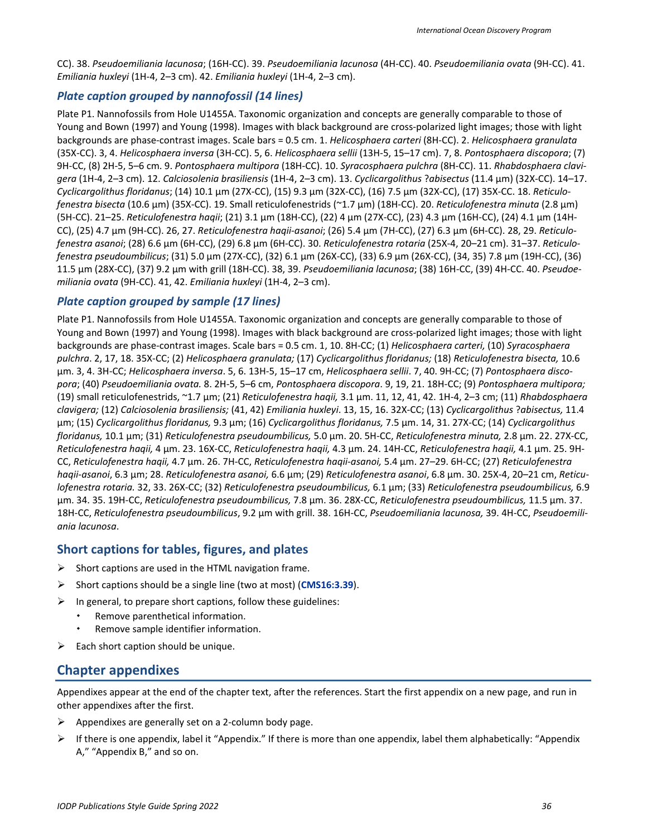CC). 38. *Pseudoemiliania lacunosa*; (16H-CC). 39. *Pseudoemiliania lacunosa* (4H-CC). 40. *Pseudoemiliania ovata* (9H-CC). 41. *Emiliania huxleyi* (1H-4, 2–3 cm). 42. *Emiliania huxleyi* (1H-4, 2–3 cm).

### *Plate caption grouped by nannofossil (14 lines)*

Plate P1. Nannofossils from Hole U1455A. Taxonomic organization and concepts are generally comparable to those of Young and Bown (1997) and Young (1998). Images with black background are cross-polarized light images; those with light backgrounds are phase-contrast images. Scale bars = 0.5 cm. 1. *Helicosphaera carteri* (8H-CC). 2. *Helicosphaera granulata* (35X-CC). 3, 4. *Helicosphaera inversa* (3H-CC). 5, 6. *Helicosphaera sellii* (13H-5, 15–17 cm). 7, 8. *Pontosphaera discopora*; (7) 9H-CC, (8) 2H-5, 5–6 cm. 9. *Pontosphaera multipora* (18H-CC). 10. *Syracosphaera pulchra* (8H-CC). 11. *Rhabdosphaera clavigera* (1H-4, 2–3 cm). 12. *Calciosolenia brasiliensis* (1H-4, 2–3 cm). 13. *Cyclicargolithus* ?*abisectus* (11.4 µm) (32X-CC). 14–17. *Cyclicargolithus floridanus*; (14) 10.1 µm (27X-CC), (15) 9.3 µm (32X-CC), (16) 7.5 µm (32X-CC), (17) 35X-CC. 18. *Reticulofenestra bisecta* (10.6 µm) (35X-CC). 19. Small reticulofenestrids (~1.7 µm) (18H-CC). 20. *Reticulofenestra minuta* (2.8 µm) (5H-CC). 21–25. *Reticulofenestra haqii*; (21) 3.1 µm (18H-CC), (22) 4 µm (27X-CC), (23) 4.3 µm (16H-CC), (24) 4.1 µm (14H-CC), (25) 4.7 µm (9H-CC). 26, 27. *Reticulofenestra haqii-asanoi*; (26) 5.4 µm (7H-CC), (27) 6.3 µm (6H-CC). 28, 29. *Reticulofenestra asanoi*; (28) 6.6 µm (6H-CC), (29) 6.8 µm (6H-CC). 30. *Reticulofenestra rotaria* (25X-4, 20–21 cm). 31–37. *Reticulofenestra pseudoumbilicus*; (31) 5.0 µm (27X-CC), (32) 6.1 µm (26X-CC), (33) 6.9 µm (26X-CC), (34, 35) 7.8 µm (19H-CC), (36) 11.5 µm (28X-CC), (37) 9.2 µm with grill (18H-CC). 38, 39. *Pseudoemiliania lacunosa*; (38) 16H-CC, (39) 4H-CC. 40. *Pseudoemiliania ovata* (9H-CC). 41, 42. *Emiliania huxleyi* (1H-4, 2–3 cm).

### *Plate caption grouped by sample (17 lines)*

Plate P1. Nannofossils from Hole U1455A. Taxonomic organization and concepts are generally comparable to those of Young and Bown (1997) and Young (1998). Images with black background are cross-polarized light images; those with light backgrounds are phase-contrast images. Scale bars = 0.5 cm. 1, 10. 8H-CC; (1) *Helicosphaera carteri,* (10) *Syracosphaera pulchra*. 2, 17, 18. 35X-CC; (2) *Helicosphaera granulata;* (17) *Cyclicargolithus floridanus;* (18) *Reticulofenestra bisecta,* 10.6 µm. 3, 4. 3H-CC; *Helicosphaera inversa*. 5, 6. 13H-5, 15–17 cm, *Helicosphaera sellii*. 7, 40. 9H-CC; (7) *Pontosphaera discopora*; (40) *Pseudoemiliania ovata.* 8. 2H-5, 5–6 cm, *Pontosphaera discopora*. 9, 19, 21. 18H-CC; (9) *Pontosphaera multipora;*  (19) small reticulofenestrids, ~1.7 µm; (21) *Reticulofenestra haqii,* 3.1 µm. 11, 12, 41, 42. 1H-4, 2–3 cm; (11) *Rhabdosphaera clavigera;* (12) *Calciosolenia brasiliensis;* (41, 42) *Emiliania huxleyi*. 13, 15, 16. 32X-CC; (13) *Cyclicargolithus* ?*abisectus,* 11.4 µm; (15) *Cyclicargolithus floridanus,* 9.3 µm; (16) *Cyclicargolithus floridanus,* 7.5 µm. 14, 31. 27X-CC; (14) *Cyclicargolithus floridanus,* 10.1 µm; (31) *Reticulofenestra pseudoumbilicus,* 5.0 µm. 20. 5H-CC, *Reticulofenestra minuta,* 2.8 µm. 22. 27X-CC, *Reticulofenestra haqii,* 4 µm. 23. 16X-CC, *Reticulofenestra haqii,* 4.3 µm. 24. 14H-CC, *Reticulofenestra haqii,* 4.1 µm. 25. 9H-CC, *Reticulofenestra haqii,* 4.7 µm. 26. 7H-CC, *Reticulofenestra haqii-asanoi,* 5.4 µm. 27–29. 6H-CC; (27) *Reticulofenestra haqii-asanoi*, 6.3 µm; 28. *Reticulofenestra asanoi,* 6.6 µm; (29) *Reticulofenestra asanoi*, 6.8 µm. 30. 25X-4, 20–21 cm, *Reticulofenestra rotaria.* 32, 33. 26X-CC; (32) *Reticulofenestra pseudoumbilicus,* 6.1 µm; (33) *Reticulofenestra pseudoumbilicus,* 6.9 µm. 34. 35. 19H-CC, *Reticulofenestra pseudoumbilicus,* 7.8 µm. 36. 28X-CC, *Reticulofenestra pseudoumbilicus,* 11.5 µm. 37. 18H-CC, *Reticulofenestra pseudoumbilicus*, 9.2 µm with grill. 38. 16H-CC, *Pseudoemiliania lacunosa,* 39. 4H-CC, *Pseudoemiliania lacunosa*.

### <span id="page-35-0"></span>**Short captions for tables, figures, and plates**

- $\triangleright$  Short captions are used in the HTML navigation frame.
- Short captions should be a single line (two at most) (**[CMS16:3.39](http://www.chicagomanualofstyle.org/16/ch03/ch03_sec039.html)**).
- $\triangleright$  In general, to prepare short captions, follow these guidelines:
	- Remove parenthetical information.
	- Remove sample identifier information.
- $\triangleright$  Each short caption should be unique.

# <span id="page-35-1"></span>**Chapter appendixes**

Appendixes appear at the end of the chapter text, after the references. Start the first appendix on a new page, and run in other appendixes after the first.

- $\triangleright$  Appendixes are generally set on a 2-column body page.
- $\triangleright$  If there is one appendix, label it "Appendix." If there is more than one appendix, label them alphabetically: "Appendix A," "Appendix B," and so on.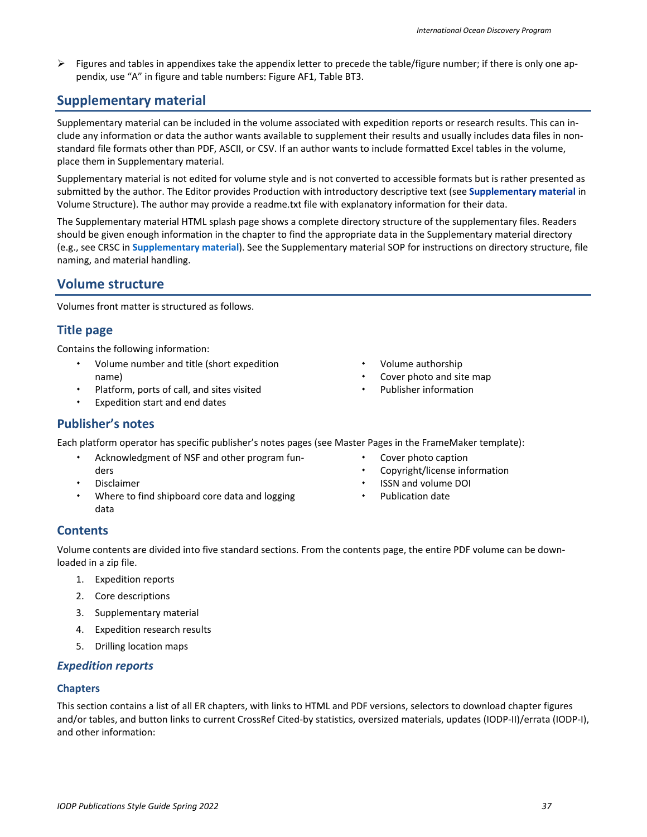$\triangleright$  Figures and tables in appendixes take the appendix letter to precede the table/figure number; if there is only one appendix, use "A" in figure and table numbers: Figure AF1, Table BT3.

# <span id="page-36-0"></span>**Supplementary material**

Supplementary material can be included in the volume associated with expedition reports or research results. This can include any information or data the author wants available to supplement their results and usually includes data files in nonstandard file formats other than PDF, ASCII, or CSV. If an author wants to include formatted Excel tables in the volume, place them in Supplementary material.

Supplementary material is not edited for volume style and is not converted to accessible formats but is rather presented as submitted by the author. The Editor provides Production with introductory descriptive text (see **[Supplementary material](#page-37-1)** in Volume Structure). The author may provide a readme.txt file with explanatory information for their data.

The Supplementary material HTML splash page shows a complete directory structure of the supplementary files. Readers should be given enough information in the chapter to find the appropriate data in the Supplementary material directory (e.g., see CRSC in **Supplementary material**). See the Supplementary material SOP for instructions on directory structure, file naming, and material handling.

# <span id="page-36-1"></span>**Volume structure**

Volumes front matter is structured as follows.

# <span id="page-36-2"></span>**Title page**

Contains the following information:

- Volume number and title (short expedition name)
- Platform, ports of call, and sites visited
- Expedition start and end dates
- Volume authorship
- Cover photo and site map
- Publisher information

# <span id="page-36-3"></span>**Publisher's notes**

Each platform operator has specific publisher's notes pages (see Master Pages in the FrameMaker template):

- Acknowledgment of NSF and other program funders
- Disclaimer
- Where to find shipboard core data and logging data
- Cover photo caption
- Copyright/license information
- ISSN and volume DOI
- Publication date

# <span id="page-36-4"></span>**Contents**

Volume contents are divided into five standard sections. From the contents page, the entire PDF volume can be downloaded in a zip file.

- 1. Expedition reports
- 2. Core descriptions
- 3. Supplementary material
- 4. Expedition research results
- 5. Drilling location maps

#### <span id="page-36-5"></span>*Expedition reports*

#### **Chapters**

This section contains a list of all ER chapters, with links to HTML and PDF versions, selectors to download chapter figures and/or tables, and button links to current CrossRef Cited-by statistics, oversized materials, updates (IODP-II)/errata (IODP-I), and other information: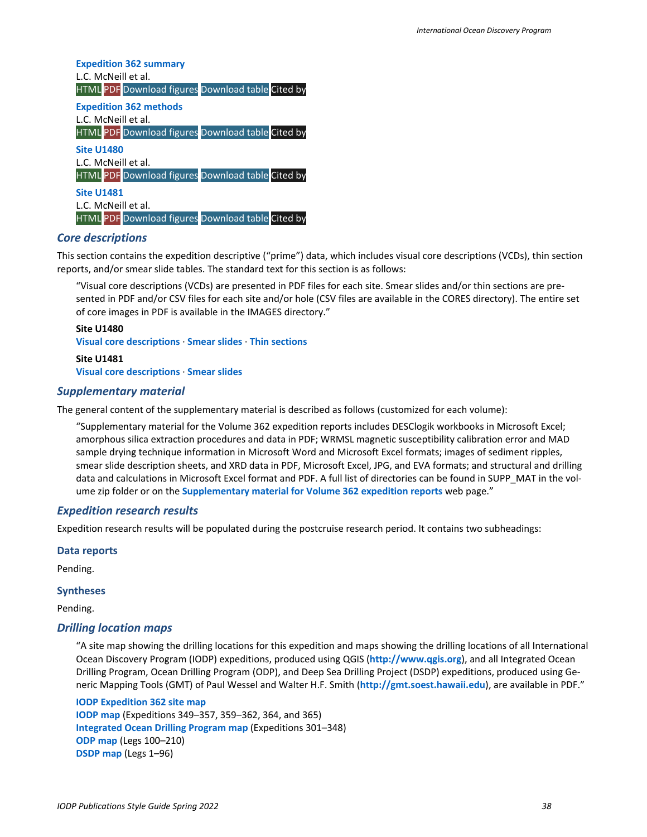**Expedition 362 summary** L.C. McNeill et al. HTML PDF Download figures Download table Cited by **Expedition 362 methods** L.C. McNeill et al. HTML PDF Download figures Download table Cited by **Site U1480** L.C. McNeill et al. HTML PDF Download figures Download table Cited by

**Site U1481** L.C. McNeill et al. HTML PDF Download figures Download table Cited by

#### <span id="page-37-0"></span>*Core descriptions*

This section contains the expedition descriptive ("prime") data, which includes visual core descriptions (VCDs), thin section reports, and/or smear slide tables. The standard text for this section is as follows:

"Visual core descriptions (VCDs) are presented in PDF files for each site. Smear slides and/or thin sections are presented in PDF and/or CSV files for each site and/or hole (CSV files are available in the CORES directory). The entire set of core images in PDF is available in the IMAGES directory."

#### **Site U1480**

**Visual core descriptions** · **Smear slides** · **Thin sections**

**Site U1481 Visual core descriptions** · **Smear slides**

#### <span id="page-37-1"></span>*Supplementary material*

The general content of the supplementary material is described as follows (customized for each volume):

"Supplementary material for the Volume 362 expedition reports includes DESClogik workbooks in Microsoft Excel; amorphous silica extraction procedures and data in PDF; WRMSL magnetic susceptibility calibration error and MAD sample drying technique information in Microsoft Word and Microsoft Excel formats; images of sediment ripples, smear slide description sheets, and XRD data in PDF, Microsoft Excel, JPG, and EVA formats; and structural and drilling data and calculations in Microsoft Excel format and PDF. A full list of directories can be found in SUPP\_MAT in the volume zip folder or on the **Supplementary material for Volume 362 expedition reports** web page."

#### <span id="page-37-2"></span>*Expedition research results*

Expedition research results will be populated during the postcruise research period. It contains two subheadings:

#### **Data reports**

Pending.

#### **Syntheses**

Pending.

#### <span id="page-37-3"></span>*Drilling location maps*

"A site map showing the drilling locations for this expedition and maps showing the drilling locations of all International Ocean Discovery Program (IODP) expeditions, produced using QGIS (**http://www.qgis.org**), and all Integrated Ocean Drilling Program, Ocean Drilling Program (ODP), and Deep Sea Drilling Project (DSDP) expeditions, produced using Generic Mapping Tools (GMT) of Paul Wessel and Walter H.F. Smith (**http://gmt.soest.hawaii.edu**), are available in PDF."

**IODP Expedition 362 site map IODP map** (Expeditions 349–357, 359–362, 364, and 365) **Integrated Ocean Drilling Program map** (Expeditions 301–348) **ODP map** (Legs 100–210) **DSDP map** (Legs 1–96)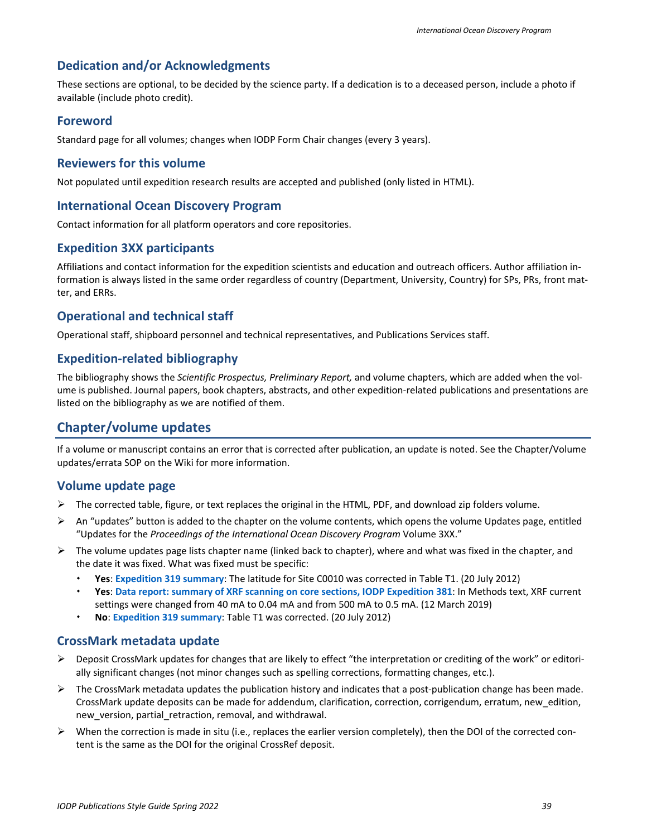### <span id="page-38-0"></span>**Dedication and/or Acknowledgments**

These sections are optional, to be decided by the science party. If a dedication is to a deceased person, include a photo if available (include photo credit).

#### <span id="page-38-1"></span>**Foreword**

Standard page for all volumes; changes when IODP Form Chair changes (every 3 years).

#### <span id="page-38-2"></span>**Reviewers for this volume**

Not populated until expedition research results are accepted and published (only listed in HTML).

#### <span id="page-38-3"></span>**International Ocean Discovery Program**

Contact information for all platform operators and core repositories.

#### <span id="page-38-4"></span>**Expedition 3XX participants**

Affiliations and contact information for the expedition scientists and education and outreach officers. Author affiliation information is always listed in the same order regardless of country (Department, University, Country) for SPs, PRs, front matter, and ERRs.

#### <span id="page-38-5"></span>**Operational and technical staff**

Operational staff, shipboard personnel and technical representatives, and Publications Services staff.

#### <span id="page-38-6"></span>**Expedition-related bibliography**

The bibliography shows the *Scientific Prospectus, Preliminary Report,* and volume chapters, which are added when the volume is published. Journal papers, book chapters, abstracts, and other expedition-related publications and presentations are listed on the bibliography as we are notified of them.

#### <span id="page-38-7"></span>**Chapter/volume updates**

If a volume or manuscript contains an error that is corrected after publication, an update is noted. See the Chapter/Volume updates/errata SOP on the Wiki for more information.

#### <span id="page-38-8"></span>**Volume update page**

- $\triangleright$  The corrected table, figure, or text replaces the original in the HTML, PDF, and download zip folders volume.
- $\triangleright$  An "updates" button is added to the chapter on the volume contents, which opens the volume Updates page, entitled "Updates for the *Proceedings of the International Ocean Discovery Program* Volume 3XX."
- $\triangleright$  The volume updates page lists chapter name (linked back to chapter), where and what was fixed in the chapter, and the date it was fixed. What was fixed must be specific:
	- **Yes**: **Expedition 319 summary**: The latitude for Site C0010 was corrected in Table T1. (20 July 2012)
	- **Yes**: **Data report: summary of XRF scanning on core sections, IODP Expedition 381**: In Methods text, XRF current settings were changed from 40 mA to 0.04 mA and from 500 mA to 0.5 mA. (12 March 2019)
	- **No**: **Expedition 319 summary**: Table T1 was corrected. (20 July 2012)

#### <span id="page-38-9"></span>**CrossMark metadata update**

- $\triangleright$  Deposit CrossMark updates for changes that are likely to effect "the interpretation or crediting of the work" or editorially significant changes (not minor changes such as spelling corrections, formatting changes, etc.).
- $\triangleright$  The CrossMark metadata updates the publication history and indicates that a post-publication change has been made. CrossMark update deposits can be made for addendum, clarification, correction, corrigendum, erratum, new\_edition, new version, partial retraction, removal, and withdrawal.
- $\triangleright$  When the correction is made in situ (i.e., replaces the earlier version completely), then the DOI of the corrected content is the same as the DOI for the original CrossRef deposit.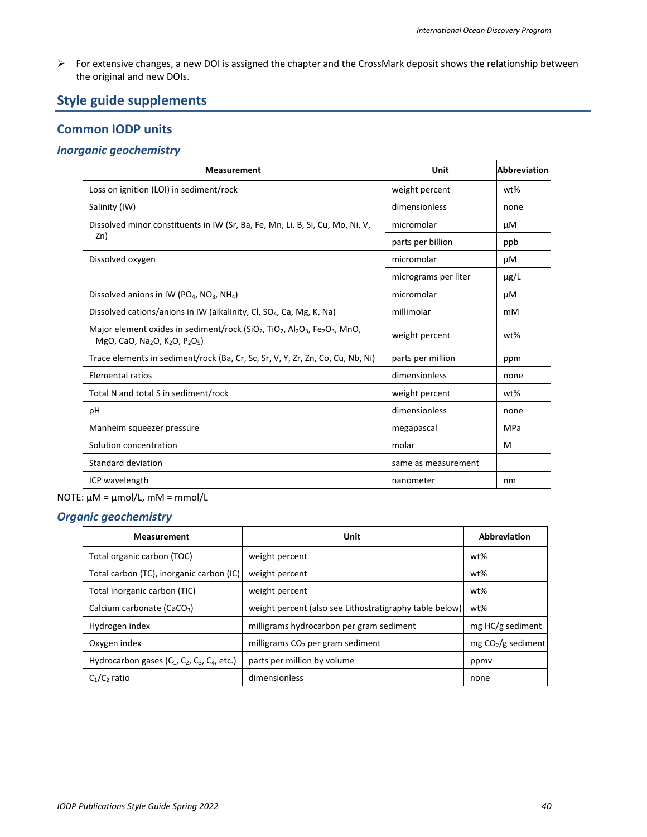For extensive changes, a new DOI is assigned the chapter and the CrossMark deposit shows the relationship between the original and new DOIs.

# <span id="page-39-0"></span>**Style guide supplements**

# <span id="page-39-1"></span>**Common IODP units**

#### <span id="page-39-2"></span>*Inorganic geochemistry*

| <b>Measurement</b>                                                                                                                                                                                                                    | Unit                 | <b>Abbreviation</b> |
|---------------------------------------------------------------------------------------------------------------------------------------------------------------------------------------------------------------------------------------|----------------------|---------------------|
| Loss on ignition (LOI) in sediment/rock                                                                                                                                                                                               | weight percent       | wt%                 |
| Salinity (IW)                                                                                                                                                                                                                         | dimensionless        | none                |
| Dissolved minor constituents in IW (Sr, Ba, Fe, Mn, Li, B, Si, Cu, Mo, Ni, V,                                                                                                                                                         | micromolar           | μM                  |
| Zn)                                                                                                                                                                                                                                   | parts per billion    | ppb                 |
| Dissolved oxygen                                                                                                                                                                                                                      | micromolar           | μM                  |
|                                                                                                                                                                                                                                       | micrograms per liter | $\mu$ g/L           |
| Dissolved anions in IW (PO <sub>4</sub> , NO <sub>3</sub> , NH <sub>4</sub> )                                                                                                                                                         | micromolar           | μM                  |
| Dissolved cations/anions in IW (alkalinity, CI, SO <sub>4</sub> , Ca, Mg, K, Na)                                                                                                                                                      | millimolar           | mM                  |
| Major element oxides in sediment/rock (SiO <sub>2</sub> , TiO <sub>2</sub> , Al <sub>2</sub> O <sub>3</sub> , Fe <sub>2</sub> O <sub>3</sub> , MnO,<br>MgO, CaO, Na <sub>2</sub> O, K <sub>2</sub> O, P <sub>2</sub> O <sub>5</sub> ) | weight percent       | $wt\%$              |
| Trace elements in sediment/rock (Ba, Cr, Sc, Sr, V, Y, Zr, Zn, Co, Cu, Nb, Ni)                                                                                                                                                        | parts per million    | ppm                 |
| <b>Elemental ratios</b>                                                                                                                                                                                                               | dimensionless        | none                |
| Total N and total S in sediment/rock                                                                                                                                                                                                  | weight percent       | wt%                 |
| рH                                                                                                                                                                                                                                    | dimensionless        | none                |
| Manheim squeezer pressure                                                                                                                                                                                                             | megapascal           | MPa                 |
| Solution concentration                                                                                                                                                                                                                | molar                | M                   |
| Standard deviation                                                                                                                                                                                                                    | same as measurement  |                     |
| ICP wavelength                                                                                                                                                                                                                        | nanometer            | nm                  |

#### NOTE: µM = µmol/L, mM = mmol/L

### <span id="page-39-3"></span>*Organic geochemistry*

| <b>Measurement</b>                                                                           | Unit                                                    | Abbreviation        |
|----------------------------------------------------------------------------------------------|---------------------------------------------------------|---------------------|
| Total organic carbon (TOC)                                                                   | weight percent                                          | wt%                 |
| Total carbon (TC), inorganic carbon (IC)                                                     | weight percent                                          | wt%                 |
| Total inorganic carbon (TIC)                                                                 | weight percent                                          | wt%                 |
| Calcium carbonate (CaCO <sub>3</sub> )                                                       | weight percent (also see Lithostratigraphy table below) | wt%                 |
| Hydrogen index                                                                               | milligrams hydrocarbon per gram sediment                | mg HC/g sediment    |
| Oxygen index                                                                                 | milligrams $CO2$ per gram sediment                      | $mg CO2/g$ sediment |
| Hydrocarbon gases (C <sub>1</sub> , C <sub>2</sub> , C <sub>3</sub> , C <sub>4</sub> , etc.) | parts per million by volume                             | ppmy                |
| $C_1/C_2$ ratio                                                                              | dimensionless                                           | none                |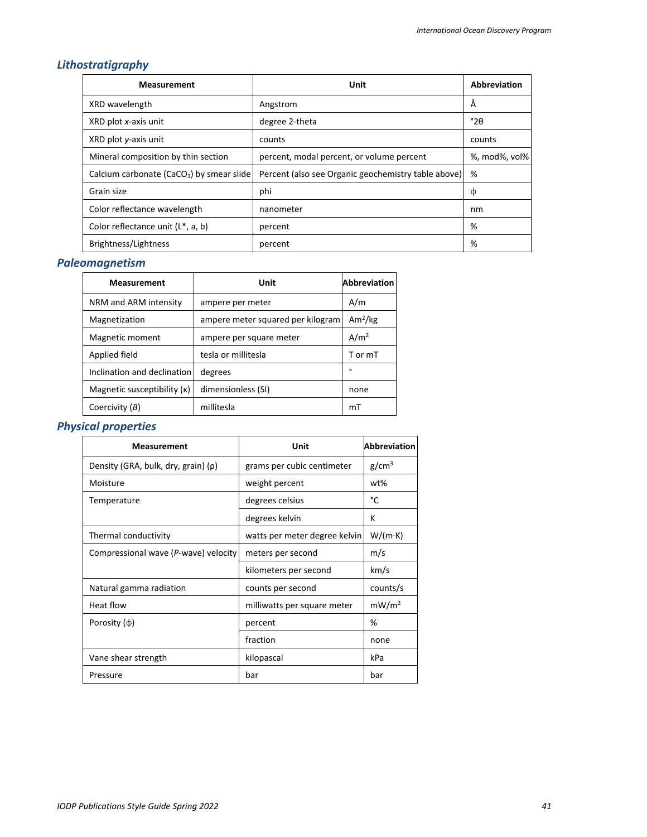# <span id="page-40-0"></span>*Lithostratigraphy*

| <b>Measurement</b>                             | Unit                                                | <b>Abbreviation</b> |
|------------------------------------------------|-----------------------------------------------------|---------------------|
| XRD wavelength                                 | Angstrom                                            | Ă                   |
| XRD plot x-axis unit                           | degree 2-theta                                      | $^{\circ}2\theta$   |
| XRD plot y-axis unit                           | counts                                              | counts              |
| Mineral composition by thin section            | percent, modal percent, or volume percent           | %, mod%, vol%       |
| Calcium carbonate ( $CaCO3$ ) by smear slide   | Percent (also see Organic geochemistry table above) | %                   |
| Grain size                                     | phi                                                 | Φ                   |
| Color reflectance wavelength                   | nanometer                                           | nm                  |
| Color reflectance unit (L <sup>*</sup> , a, b) | percent                                             | %                   |
| Brightness/Lightness                           | percent                                             | %                   |

# <span id="page-40-1"></span>*Paleomagnetism*

| <b>Measurement</b>          | Unit                              | <b>Abbreviation</b> |
|-----------------------------|-----------------------------------|---------------------|
| NRM and ARM intensity       | ampere per meter                  | A/m                 |
| Magnetization               | ampere meter squared per kilogram | Am <sup>2</sup> /kg |
| Magnetic moment             | ampere per square meter           | A/m <sup>2</sup>    |
| Applied field               | tesla or millitesla               | T or mT             |
| Inclination and declination | degrees                           | $\circ$             |
| Magnetic susceptibility (K) | dimensionless (SI)                | none                |
| Coercivity (B)              | millitesla                        | mT                  |

# <span id="page-40-2"></span>*Physical properties*

| <b>Measurement</b>                   | Unit                          | <b>Abbreviation</b> |
|--------------------------------------|-------------------------------|---------------------|
| Density (GRA, bulk, dry, grain) (p)  | grams per cubic centimeter    | g/cm <sup>3</sup>   |
| Moisture                             | weight percent                | wt%                 |
| Temperature                          | degrees celsius               | °C                  |
|                                      | degrees kelvin                | К                   |
| Thermal conductivity                 | watts per meter degree kelvin | $W/(m \cdot K)$     |
| Compressional wave (P-wave) velocity | meters per second             | m/s                 |
|                                      | kilometers per second         | km/s                |
| Natural gamma radiation              | counts per second             | counts/s            |
| Heat flow                            | milliwatts per square meter   | mW/m <sup>2</sup>   |
| Porosity $(\varphi)$                 | percent                       | %                   |
|                                      | fraction                      | none                |
| Vane shear strength                  | kilopascal                    | kPa                 |
| Pressure                             | bar                           | bar                 |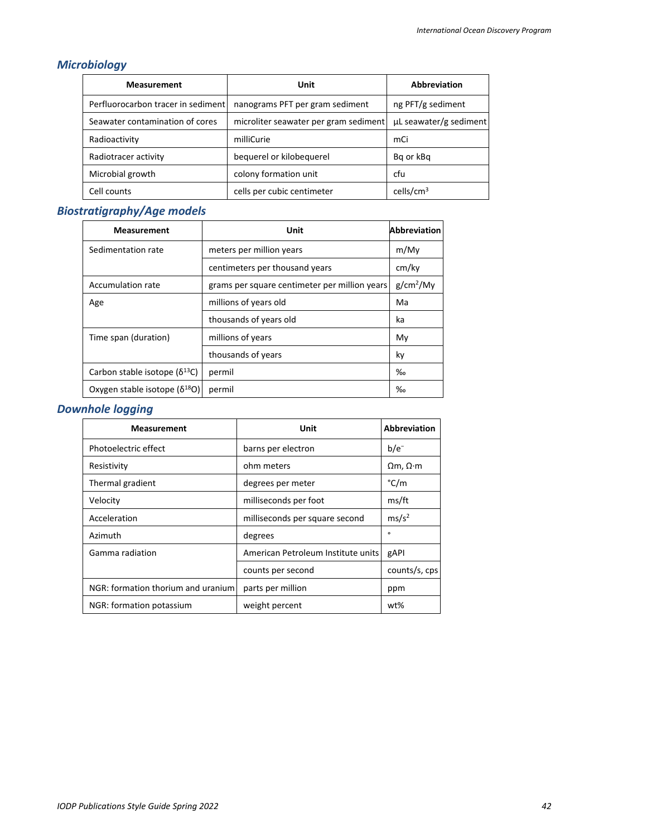# <span id="page-41-0"></span>*Microbiology*

| <b>Measurement</b>                 | Unit                                  | <b>Abbreviation</b>    |
|------------------------------------|---------------------------------------|------------------------|
| Perfluorocarbon tracer in sediment | nanograms PFT per gram sediment       | ng PFT/g sediment      |
| Seawater contamination of cores    | microliter seawater per gram sediment | µL seawater/g sediment |
| Radioactivity                      | milliCurie                            | mCi                    |
| Radiotracer activity               | bequerel or kilobequerel              | Bg or kBg              |
| Microbial growth                   | colony formation unit                 | cfu                    |
| Cell counts                        | cells per cubic centimeter            | cells/ $\text{cm}^3$   |

# <span id="page-41-1"></span>*Biostratigraphy/Age models*

| <b>Measurement</b>                     | Unit                                          | <b>Abbreviation</b>   |
|----------------------------------------|-----------------------------------------------|-----------------------|
| Sedimentation rate                     | meters per million years                      | m/My                  |
|                                        | centimeters per thousand years                | cm/ky                 |
| Accumulation rate                      | grams per square centimeter per million years | g/cm <sup>2</sup> /My |
| Age                                    | millions of years old                         | Ma                    |
|                                        | thousands of years old                        | ka                    |
| Time span (duration)                   | millions of years                             | My                    |
|                                        | thousands of years                            | ky                    |
| Carbon stable isotope $(\delta^{13}C)$ | permil                                        | $\%$                  |
| Oxygen stable isotope $(\delta^{18}O)$ | permil                                        | $\%$                  |

# <span id="page-41-2"></span>*Downhole logging*

| <b>Measurement</b>                 | Unit                               | <b>Abbreviation</b>     |
|------------------------------------|------------------------------------|-------------------------|
| Photoelectric effect               | barns per electron                 | $b/e^-$                 |
| Resistivity                        | ohm meters                         | $\Omega$ m, $\Omega$ ·m |
| Thermal gradient                   | degrees per meter                  | °C/m                    |
| Velocity                           | milliseconds per foot              | ms/ft                   |
| Acceleration                       | milliseconds per square second     | ms/s <sup>2</sup>       |
| Azimuth                            | degrees                            | $\circ$                 |
| Gamma radiation                    | American Petroleum Institute units | gAPI                    |
|                                    | counts per second                  | counts/s, cps           |
| NGR: formation thorium and uranium | parts per million                  | ppm                     |
| NGR: formation potassium           | weight percent                     | wt%                     |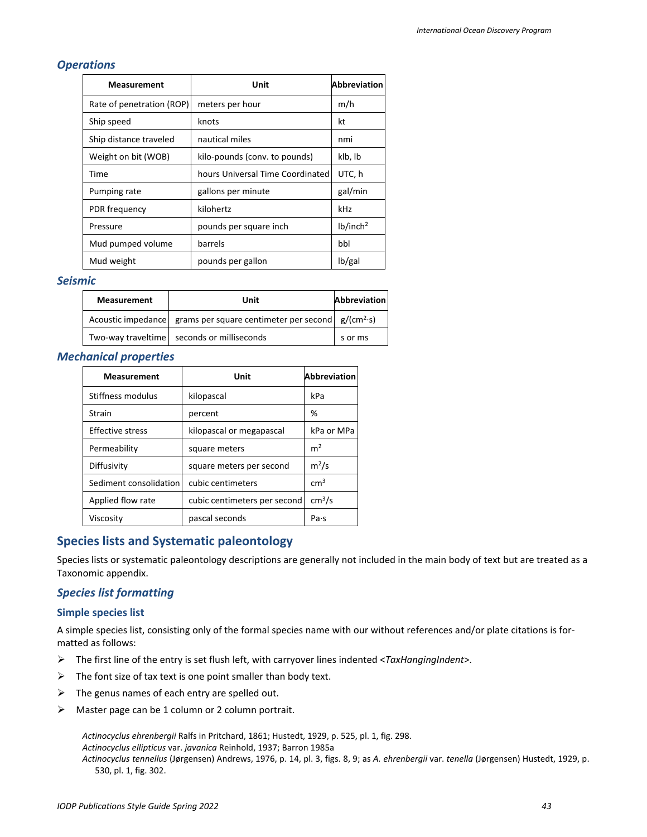#### <span id="page-42-0"></span>*Operations*

| <b>Measurement</b>        | Unit                             | <b>Abbreviation</b>  |
|---------------------------|----------------------------------|----------------------|
| Rate of penetration (ROP) | meters per hour                  | m/h                  |
| Ship speed                | knots                            | kt                   |
| Ship distance traveled    | nautical miles                   | nmi                  |
| Weight on bit (WOB)       | kilo-pounds (conv. to pounds)    | klb, lb              |
| Time                      | hours Universal Time Coordinated | UTC, h               |
| Pumping rate              | gallons per minute               | gal/min              |
| PDR frequency             | kilohertz                        | kHz                  |
| Pressure                  | pounds per square inch           | lb/inch <sup>2</sup> |
| Mud pumped volume         | barrels                          | bbl                  |
| Mud weight                | pounds per gallon                | lb/gal               |

#### <span id="page-42-1"></span>*Seismic*

| <b>Measurement</b> | Unit                                                                   | <b>Abbreviation</b> |
|--------------------|------------------------------------------------------------------------|---------------------|
|                    | Acoustic impedance grams per square centimeter per second $g/(cm^2-s)$ |                     |
|                    | Two-way traveltime seconds or milliseconds                             | s or ms             |

#### <span id="page-42-2"></span>*Mechanical properties*

| <b>Measurement</b>     | Unit                         | <b>Abbreviation</b> |
|------------------------|------------------------------|---------------------|
| Stiffness modulus      | kilopascal                   | kPa                 |
| <b>Strain</b>          | percent                      | ℅                   |
| Effective stress       | kilopascal or megapascal     | kPa or MPa          |
| Permeability           | square meters                | m <sup>2</sup>      |
| Diffusivity            | square meters per second     | $m^2/s$             |
| Sediment consolidation | cubic centimeters            | cm <sup>3</sup>     |
| Applied flow rate      | cubic centimeters per second | cm <sup>3</sup> /s  |
| Viscosity              | pascal seconds               | Pa·s                |

### <span id="page-42-3"></span>**Species lists and Systematic paleontology**

Species lists or systematic paleontology descriptions are generally not included in the main body of text but are treated as a Taxonomic appendix.

#### <span id="page-42-4"></span>*Species list formatting*

#### **Simple species list**

A simple species list, consisting only of the formal species name with our without references and/or plate citations is formatted as follows:

- The first line of the entry is set flush left, with carryover lines indented <*TaxHangingIndent*>.
- $\triangleright$  The font size of tax text is one point smaller than body text.
- $\triangleright$  The genus names of each entry are spelled out.
- $\triangleright$  Master page can be 1 column or 2 column portrait.

*Actinocyclus ehrenbergii* Ralfs in Pritchard, 1861; Hustedt, 1929, p. 525, pl. 1, fig. 298. *Actinocyclus ellipticus* var. *javanica* Reinhold, 1937; Barron 1985a *Actinocyclus tennellus* (Jørgensen) Andrews, 1976, p. 14, pl. 3, figs. 8, 9; as *A. ehrenbergii* var. *tenella* (Jørgensen) Hustedt, 1929, p. 530, pl. 1, fig. 302.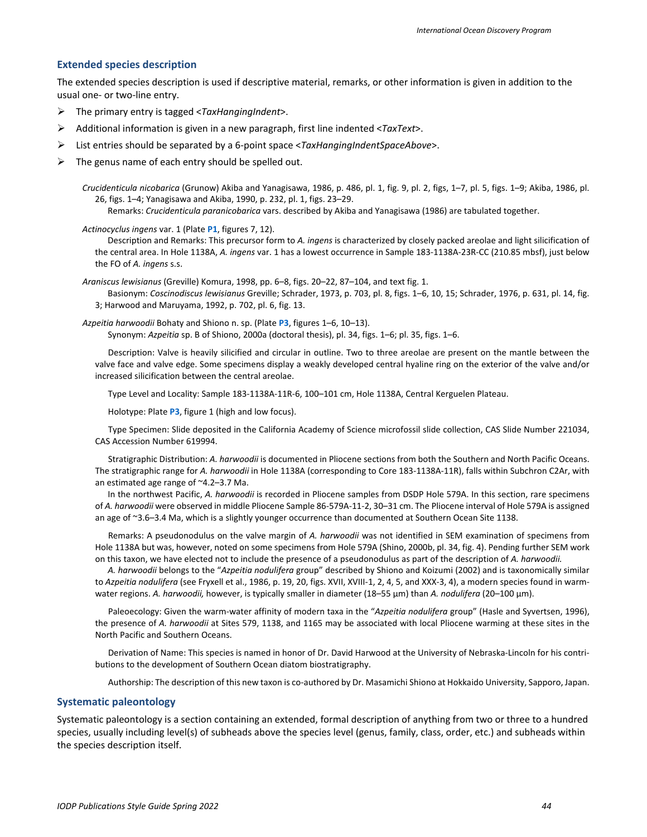#### **Extended species description**

The extended species description is used if descriptive material, remarks, or other information is given in addition to the usual one- or two-line entry.

- The primary entry is tagged <*TaxHangingIndent*>.
- Additional information is given in a new paragraph, first line indented <*TaxText*>.
- List entries should be separated by a 6-point space <*TaxHangingIndentSpaceAbove*>.
- The genus name of each entry should be spelled out.

*Crucidenticula nicobarica* (Grunow) Akiba and Yanagisawa, 1986, p. 486, pl. 1, fig. 9, pl. 2, figs, 1–7, pl. 5, figs. 1–9; Akiba, 1986, pl. 26, figs. 1–4; Yanagisawa and Akiba, 1990, p. 232, pl. 1, figs. 23–29. Remarks: *Crucidenticula paranicobarica* vars. described by Akiba and Yanagisawa (1986) are tabulated together.

*Actinocyclus ingens* var. 1 (Plate **P1**, figures 7, 12).

Description and Remarks: This precursor form to *A. ingens* is characterized by closely packed areolae and light silicification of the central area. In Hole 1138A, *A. ingens* var. 1 has a lowest occurrence in Sample 183-1138A-23R-CC (210.85 mbsf), just below the FO of *A. ingens* s.s.

*Araniscus lewisianus* (Greville) Komura, 1998, pp. 6–8, figs. 20–22, 87–104, and text fig. 1.

Basionym: *Coscinodiscus lewisianus* Greville; Schrader, 1973, p. 703, pl. 8, figs. 1–6, 10, 15; Schrader, 1976, p. 631, pl. 14, fig. 3; Harwood and Maruyama, 1992, p. 702, pl. 6, fig. 13.

*Azpeitia harwoodii* Bohaty and Shiono n. sp. (Plate **P3**, figures 1–6, 10–13). Synonym: *Azpeitia* sp. B of Shiono, 2000a (doctoral thesis), pl. 34, figs. 1–6; pl. 35, figs. 1–6.

Description: Valve is heavily silicified and circular in outline. Two to three areolae are present on the mantle between the valve face and valve edge. Some specimens display a weakly developed central hyaline ring on the exterior of the valve and/or increased silicification between the central areolae.

Type Level and Locality: Sample 183-1138A-11R-6, 100–101 cm, Hole 1138A, Central Kerguelen Plateau.

Holotype: Plate **P3**, figure 1 (high and low focus).

Type Specimen: Slide deposited in the California Academy of Science microfossil slide collection, CAS Slide Number 221034, CAS Accession Number 619994.

Stratigraphic Distribution: *A. harwoodii* is documented in Pliocene sections from both the Southern and North Pacific Oceans. The stratigraphic range for *A. harwoodii* in Hole 1138A (corresponding to Core 183-1138A-11R), falls within Subchron C2Ar, with an estimated age range of ~4.2–3.7 Ma.

In the northwest Pacific, *A. harwoodii* is recorded in Pliocene samples from DSDP Hole 579A. In this section, rare specimens of *A. harwoodii* were observed in middle Pliocene Sample 86-579A-11-2, 30–31 cm. The Pliocene interval of Hole 579A is assigned an age of ~3.6–3.4 Ma, which is a slightly younger occurrence than documented at Southern Ocean Site 1138.

Remarks: A pseudonodulus on the valve margin of *A. harwoodii* was not identified in SEM examination of specimens from Hole 1138A but was, however, noted on some specimens from Hole 579A (Shino, 2000b, pl. 34, fig. 4). Pending further SEM work on this taxon, we have elected not to include the presence of a pseudonodulus as part of the description of *A. harwoodii.*

*A. harwoodii* belongs to the "*Azpeitia nodulifera* group" described by Shiono and Koizumi (2002) and is taxonomically similar to *Azpeitia nodulifera* (see Fryxell et al., 1986, p. 19, 20, figs. XVII, XVIII-1, 2, 4, 5, and XXX-3, 4), a modern species found in warmwater regions. *A. harwoodii,* however, is typically smaller in diameter (18–55 µm) than *A. nodulifera* (20–100 µm).

Paleoecology: Given the warm-water affinity of modern taxa in the "*Azpeitia nodulifera* group" (Hasle and Syvertsen, 1996), the presence of *A. harwoodii* at Sites 579, 1138, and 1165 may be associated with local Pliocene warming at these sites in the North Pacific and Southern Oceans.

Derivation of Name: This species is named in honor of Dr. David Harwood at the University of Nebraska-Lincoln for his contributions to the development of Southern Ocean diatom biostratigraphy.

Authorship: The description of this new taxon is co-authored by Dr. Masamichi Shiono at Hokkaido University, Sapporo, Japan.

#### **Systematic paleontology**

Systematic paleontology is a section containing an extended, formal description of anything from two or three to a hundred species, usually including level(s) of subheads above the species level (genus, family, class, order, etc.) and subheads within the species description itself.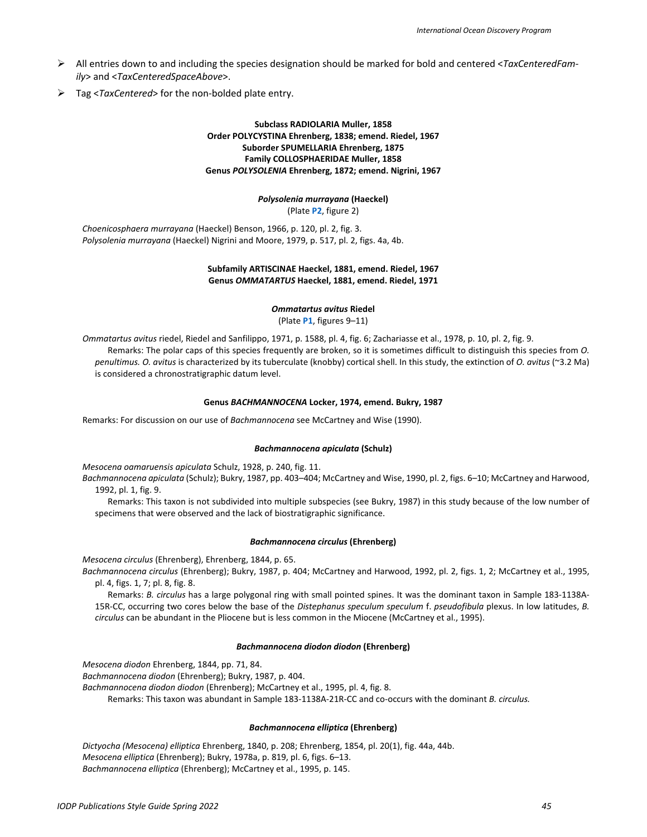- All entries down to and including the species designation should be marked for bold and centered <*TaxCenteredFamily*> and <*TaxCenteredSpaceAbove*>.
- Tag <*TaxCentered*> for the non-bolded plate entry.

#### **Subclass RADIOLARIA Muller, 1858 Order POLYCYSTINA Ehrenberg, 1838; emend. Riedel, 1967 Suborder SPUMELLARIA Ehrenberg, 1875 Family COLLOSPHAERIDAE Muller, 1858 Genus** *POLYSOLENIA* **Ehrenberg, 1872; emend. Nigrini, 1967**

#### *Polysolenia murrayana* **(Haeckel)** (Plate **P2**, figure 2)

*Choenicosphaera murrayana* (Haeckel) Benson, 1966, p. 120, pl. 2, fig. 3. *Polysolenia murrayana* (Haeckel) Nigrini and Moore, 1979, p. 517, pl. 2, figs. 4a, 4b.

#### **Subfamily ARTISCINAE Haeckel, 1881, emend. Riedel, 1967 Genus** *OMMATARTUS* **Haeckel, 1881, emend. Riedel, 1971**

#### *Ommatartus avitus* **Riedel**

(Plate **P1**, figures 9–11)

*Ommatartus avitus* riedel, Riedel and Sanfilippo, 1971, p. 1588, pl. 4, fig. 6; Zachariasse et al., 1978, p. 10, pl. 2, fig. 9. Remarks: The polar caps of this species frequently are broken, so it is sometimes difficult to distinguish this species from *O. penultimus. O. avitus* is characterized by its tuberculate (knobby) cortical shell. In this study, the extinction of *O. avitus* (~3.2 Ma) is considered a chronostratigraphic datum level.

#### **Genus** *BACHMANNOCENA* **Locker, 1974, emend. Bukry, 1987**

Remarks: For discussion on our use of *Bachmannocena* see McCartney and Wise (1990).

#### *Bachmannocena apiculata* **(Schulz)**

*Mesocena oamaruensis apiculata* Schulz, 1928, p. 240, fig. 11.

*Bachmannocena apiculata* (Schulz); Bukry, 1987, pp. 403–404; McCartney and Wise, 1990, pl. 2, figs. 6–10; McCartney and Harwood, 1992, pl. 1, fig. 9.

Remarks: This taxon is not subdivided into multiple subspecies (see Bukry, 1987) in this study because of the low number of specimens that were observed and the lack of biostratigraphic significance.

#### *Bachmannocena circulus* **(Ehrenberg)**

*Mesocena circulus* (Ehrenberg), Ehrenberg, 1844, p. 65.

*Bachmannocena circulus* (Ehrenberg); Bukry, 1987, p. 404; McCartney and Harwood, 1992, pl. 2, figs. 1, 2; McCartney et al., 1995, pl. 4, figs. 1, 7; pl. 8, fig. 8.

Remarks: *B. circulus* has a large polygonal ring with small pointed spines. It was the dominant taxon in Sample 183-1138A-15R-CC, occurring two cores below the base of the *Distephanus speculum speculum* f. *pseudofibula* plexus. In low latitudes, *B. circulus* can be abundant in the Pliocene but is less common in the Miocene (McCartney et al., 1995).

#### *Bachmannocena diodon diodon* **(Ehrenberg)**

*Mesocena diodon* Ehrenberg, 1844, pp. 71, 84.

*Bachmannocena diodon* (Ehrenberg); Bukry, 1987, p. 404.

*Bachmannocena diodon diodon* (Ehrenberg); McCartney et al., 1995, pl. 4, fig. 8.

Remarks: This taxon was abundant in Sample 183-1138A-21R-CC and co-occurs with the dominant *B. circulus.*

#### *Bachmannocena elliptica* **(Ehrenberg)**

*Dictyocha (Mesocena) elliptica* Ehrenberg, 1840, p. 208; Ehrenberg, 1854, pl. 20(1), fig. 44a, 44b. *Mesocena elliptica* (Ehrenberg); Bukry, 1978a, p. 819, pl. 6, figs. 6–13. *Bachmannocena elliptica* (Ehrenberg); McCartney et al., 1995, p. 145.